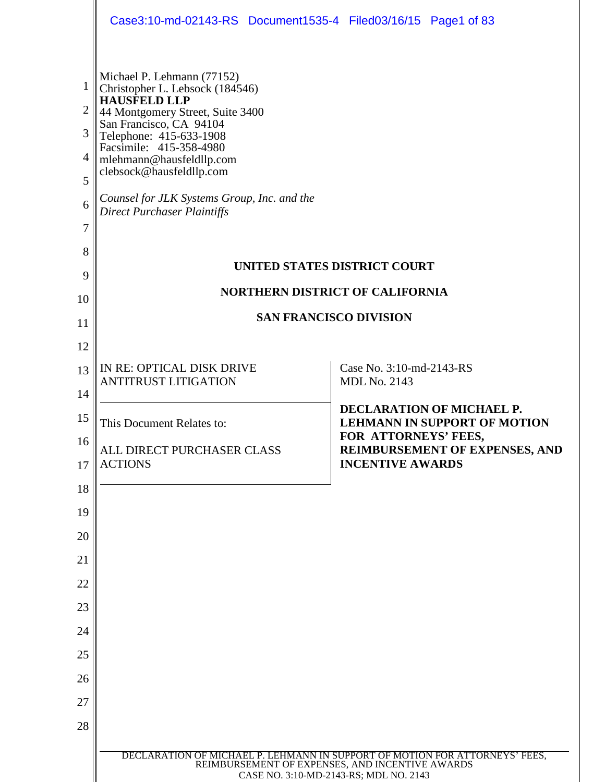|                                                   | Case3:10-md-02143-RS Document1535-4 Filed03/16/15 Page1 of 83                                                                                                                                                                                                                                                                                   |                                                                                                 |
|---------------------------------------------------|-------------------------------------------------------------------------------------------------------------------------------------------------------------------------------------------------------------------------------------------------------------------------------------------------------------------------------------------------|-------------------------------------------------------------------------------------------------|
| 1<br>$\overline{2}$<br>3<br>4<br>5<br>6<br>7<br>8 | Michael P. Lehmann (77152)<br>Christopher L. Lebsock (184546)<br>HAUSFELD LLP<br>44 Montgomery Street, Suite 3400<br>San Francisco, CA 94104<br>Telephone: 415-633-1908<br>Facsimile: 415-358-4980<br>mlehmann@hausfeldllp.com<br>clebsock@hausfeldllp.com<br>Counsel for JLK Systems Group, Inc. and the<br><b>Direct Purchaser Plaintiffs</b> | UNITED STATES DISTRICT COURT                                                                    |
| 9                                                 | <b>NORTHERN DISTRICT OF CALIFORNIA</b>                                                                                                                                                                                                                                                                                                          |                                                                                                 |
| 10                                                | <b>SAN FRANCISCO DIVISION</b>                                                                                                                                                                                                                                                                                                                   |                                                                                                 |
| 11<br>12                                          |                                                                                                                                                                                                                                                                                                                                                 |                                                                                                 |
| 13                                                | IN RE: OPTICAL DISK DRIVE<br><b>ANTITRUST LITIGATION</b>                                                                                                                                                                                                                                                                                        | Case No. 3:10-md-2143-RS<br><b>MDL No. 2143</b>                                                 |
| 14<br>15                                          | This Document Relates to:                                                                                                                                                                                                                                                                                                                       | <b>DECLARATION OF MICHAEL P.</b><br><b>LEHMANN IN SUPPORT OF MOTION</b><br>FOR ATTORNEYS' FEES, |
| 16<br>17                                          | ALL DIRECT PURCHASER CLASS<br><b>ACTIONS</b>                                                                                                                                                                                                                                                                                                    | REIMBURSEMENT OF EXPENSES, AND<br><b>INCENTIVE AWARDS</b>                                       |
| 18                                                |                                                                                                                                                                                                                                                                                                                                                 |                                                                                                 |
| 19                                                |                                                                                                                                                                                                                                                                                                                                                 |                                                                                                 |
| 20                                                |                                                                                                                                                                                                                                                                                                                                                 |                                                                                                 |
| 21<br>22                                          |                                                                                                                                                                                                                                                                                                                                                 |                                                                                                 |
| 23                                                |                                                                                                                                                                                                                                                                                                                                                 |                                                                                                 |
| 24                                                |                                                                                                                                                                                                                                                                                                                                                 |                                                                                                 |
| 25                                                |                                                                                                                                                                                                                                                                                                                                                 |                                                                                                 |
| 26                                                |                                                                                                                                                                                                                                                                                                                                                 |                                                                                                 |
| 27                                                |                                                                                                                                                                                                                                                                                                                                                 |                                                                                                 |
| 28                                                |                                                                                                                                                                                                                                                                                                                                                 |                                                                                                 |
|                                                   | DECLARATION OF MICHAEL P. LEHMANN IN SUPPORT OF MOTION FOR ATTORNEYS' FEES,<br>REIMBURSEMENT OF EXPENSES, AND INCENTIVE AWARDS<br>CASE NO. 3:10-MD-2143-RS; MDL NO. 2143                                                                                                                                                                        |                                                                                                 |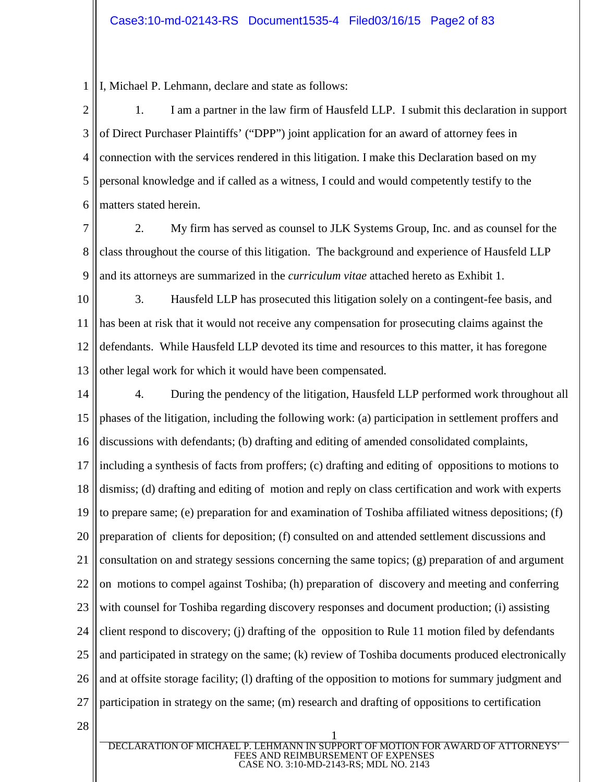1 I, Michael P. Lehmann, declare and state as follows:

2 3 4 5 6 1. I am a partner in the law firm of Hausfeld LLP. I submit this declaration in support of Direct Purchaser Plaintiffs' ("DPP") joint application for an award of attorney fees in connection with the services rendered in this litigation. I make this Declaration based on my personal knowledge and if called as a witness, I could and would competently testify to the matters stated herein.

- 7 8 9 2. My firm has served as counsel to JLK Systems Group, Inc. and as counsel for the class throughout the course of this litigation. The background and experience of Hausfeld LLP and its attorneys are summarized in the *curriculum vitae* attached hereto as Exhibit 1.
- 10 11 12 13 3. Hausfeld LLP has prosecuted this litigation solely on a contingent-fee basis, and has been at risk that it would not receive any compensation for prosecuting claims against the defendants. While Hausfeld LLP devoted its time and resources to this matter, it has foregone other legal work for which it would have been compensated.

14 15 16 17 18 19 20 21 22 23 24 25 26 27 4. During the pendency of the litigation, Hausfeld LLP performed work throughout all phases of the litigation, including the following work: (a) participation in settlement proffers and discussions with defendants; (b) drafting and editing of amended consolidated complaints, including a synthesis of facts from proffers; (c) drafting and editing of oppositions to motions to dismiss; (d) drafting and editing of motion and reply on class certification and work with experts to prepare same; (e) preparation for and examination of Toshiba affiliated witness depositions; (f) preparation of clients for deposition; (f) consulted on and attended settlement discussions and consultation on and strategy sessions concerning the same topics; (g) preparation of and argument on motions to compel against Toshiba; (h) preparation of discovery and meeting and conferring with counsel for Toshiba regarding discovery responses and document production; (i) assisting client respond to discovery; (j) drafting of the opposition to Rule 11 motion filed by defendants and participated in strategy on the same; (k) review of Toshiba documents produced electronically and at offsite storage facility; (l) drafting of the opposition to motions for summary judgment and participation in strategy on the same; (m) research and drafting of oppositions to certification

28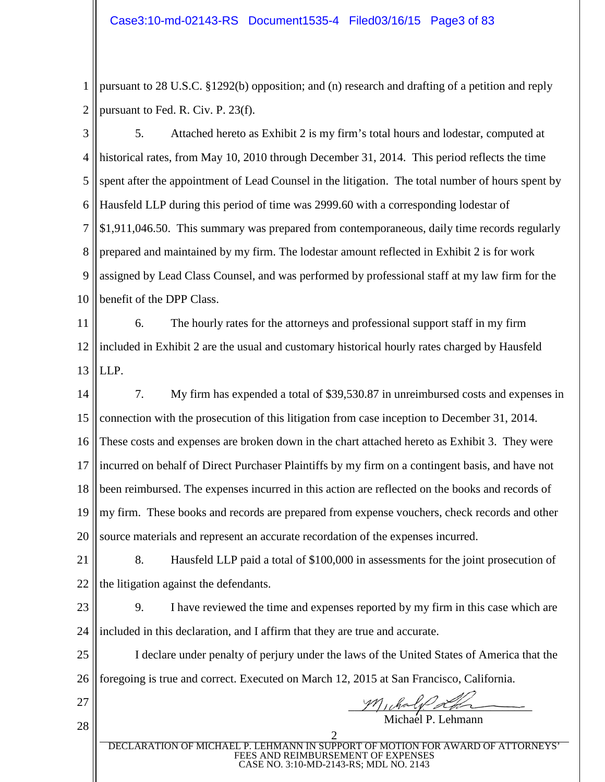1 2 pursuant to 28 U.S.C. §1292(b) opposition; and (n) research and drafting of a petition and reply pursuant to Fed. R. Civ. P. 23(f).

3 4 5 6 7 8 9 10 5. Attached hereto as Exhibit 2 is my firm's total hours and lodestar, computed at historical rates, from May 10, 2010 through December 31, 2014. This period reflects the time spent after the appointment of Lead Counsel in the litigation. The total number of hours spent by Hausfeld LLP during this period of time was 2999.60 with a corresponding lodestar of \$1,911,046.50. This summary was prepared from contemporaneous, daily time records regularly prepared and maintained by my firm. The lodestar amount reflected in Exhibit 2 is for work assigned by Lead Class Counsel, and was performed by professional staff at my law firm for the benefit of the DPP Class.

11 12 13 6. The hourly rates for the attorneys and professional support staff in my firm included in Exhibit 2 are the usual and customary historical hourly rates charged by Hausfeld LLP.

14 15 16 17 18 19 20 7. My firm has expended a total of \$39,530.87 in unreimbursed costs and expenses in connection with the prosecution of this litigation from case inception to December 31, 2014. These costs and expenses are broken down in the chart attached hereto as Exhibit 3. They were incurred on behalf of Direct Purchaser Plaintiffs by my firm on a contingent basis, and have not been reimbursed. The expenses incurred in this action are reflected on the books and records of my firm. These books and records are prepared from expense vouchers, check records and other source materials and represent an accurate recordation of the expenses incurred.

- 21 22 8. Hausfeld LLP paid a total of \$100,000 in assessments for the joint prosecution of the litigation against the defendants.
- 23 24 9. I have reviewed the time and expenses reported by my firm in this case which are included in this declaration, and I affirm that they are true and accurate.

25 26 I declare under penalty of perjury under the laws of the United States of America that the foregoing is true and correct. Executed on March 12, 2015 at San Francisco, California.

27

28

 $M$ , chaly a Michael P. Lehmann

2 DECLARATION OF MICHAEL P. LEHMANN IN SUPPORT OF MOTION FOR AWARD OF ATTORNEYS' FEES AND REIMBURSEMENT OF EXPENSES CASE NO. 3:10-MD-2143-RS; MDL NO. 2143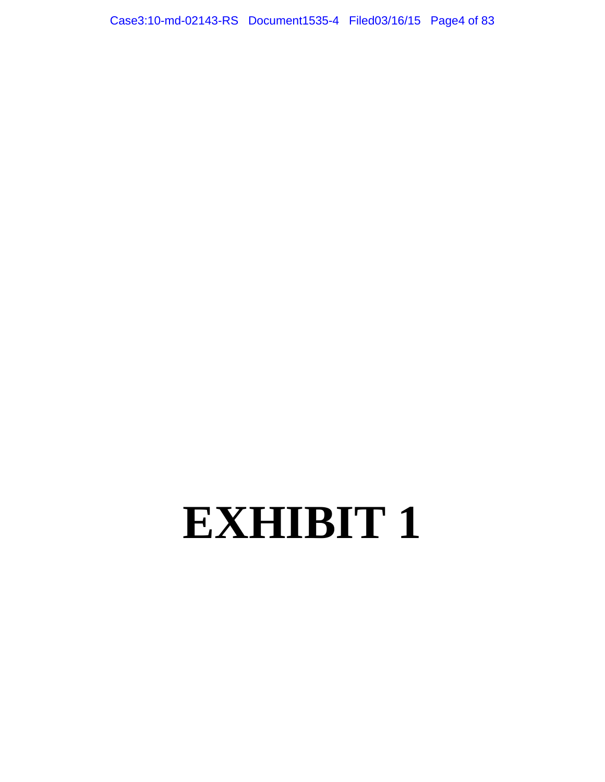Case3:10-md-02143-RS Document1535-4 Filed03/16/15 Page4 of 83

# **EXHIBIT 1**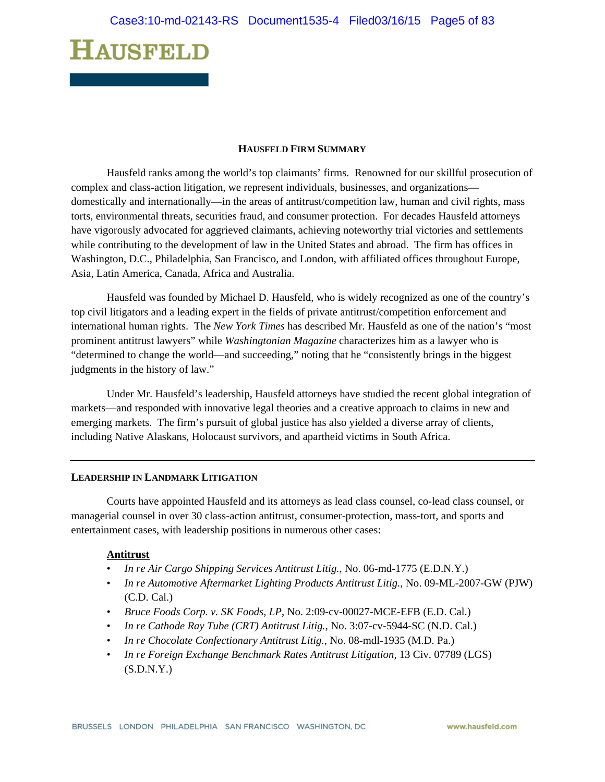#### **HAUSFELD FIRM SUMMARY**

Hausfeld ranks among the world's top claimants' firms. Renowned for our skillful prosecution of complex and class-action litigation, we represent individuals, businesses, and organizations domestically and internationally—in the areas of antitrust/competition law, human and civil rights, mass torts, environmental threats, securities fraud, and consumer protection. For decades Hausfeld attorneys have vigorously advocated for aggrieved claimants, achieving noteworthy trial victories and settlements while contributing to the development of law in the United States and abroad. The firm has offices in Washington, D.C., Philadelphia, San Francisco, and London, with affiliated offices throughout Europe, Asia, Latin America, Canada, Africa and Australia.

Hausfeld was founded by Michael D. Hausfeld, who is widely recognized as one of the country's top civil litigators and a leading expert in the fields of private antitrust/competition enforcement and international human rights. The *New York Times* has described Mr. Hausfeld as one of the nation's "most prominent antitrust lawyers" while *Washingtonian Magazine* characterizes him as a lawyer who is "determined to change the world—and succeeding," noting that he "consistently brings in the biggest judgments in the history of law."

Under Mr. Hausfeld's leadership, Hausfeld attorneys have studied the recent global integration of markets—and responded with innovative legal theories and a creative approach to claims in new and emerging markets. The firm's pursuit of global justice has also yielded a diverse array of clients, including Native Alaskans, Holocaust survivors, and apartheid victims in South Africa.

#### **LEADERSHIP IN LANDMARK LITIGATION**

Courts have appointed Hausfeld and its attorneys as lead class counsel, co-lead class counsel, or managerial counsel in over 30 class-action antitrust, consumer-protection, mass-tort, and sports and entertainment cases, with leadership positions in numerous other cases:

#### **Antitrust**

- *In re Air Cargo Shipping Services Antitrust Litig.*, No. 06-md-1775 (E.D.N.Y.)
- *In re Automotive Aftermarket Lighting Products Antitrust Litig.*, No. 09-ML-2007-GW (PJW) (C.D. Cal.)
- *Bruce Foods Corp. v. SK Foods, LP*, No. 2:09-cv-00027-MCE-EFB (E.D. Cal.)
- *In re Cathode Ray Tube (CRT) Antitrust Litig.,* No. 3:07-cv-5944-SC (N.D. Cal.)
- *In re Chocolate Confectionary Antitrust Litig.*, No. 08-mdl-1935 (M.D. Pa.)
- *In re Foreign Exchange Benchmark Rates Antitrust Litigation,* 13 Civ. 07789 (LGS)  $(S.D.N.Y.)$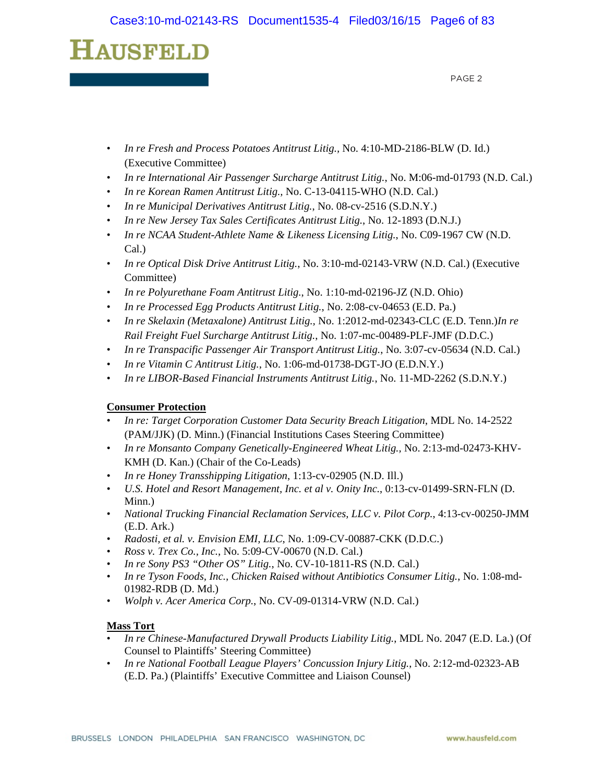PAGE 2

- *In re Fresh and Process Potatoes Antitrust Litig.,* No. 4:10-MD-2186-BLW (D. Id.) (Executive Committee)
- *In re International Air Passenger Surcharge Antitrust Litig.*, No. M:06-md-01793 (N.D. Cal.)
- *In re Korean Ramen Antitrust Litig.,* No. C-13-04115-WHO (N.D. Cal.)
- *In re Municipal Derivatives Antitrust Litig.*, No. 08-cv-2516 (S.D.N.Y.)
- *In re New Jersey Tax Sales Certificates Antitrust Litig.*, No. 12-1893 (D.N.J.)
- *In re NCAA Student-Athlete Name & Likeness Licensing Litig.*, No. C09-1967 CW (N.D. Cal.)
- *In re Optical Disk Drive Antitrust Litig.*, No. 3:10-md-02143-VRW (N.D. Cal.) (Executive Committee)
- *In re Polyurethane Foam Antitrust Litig.*, No. 1:10-md-02196-JZ (N.D. Ohio)
- *In re Processed Egg Products Antitrust Litig.*, No. 2:08-cv-04653 (E.D. Pa.)
- *In re Skelaxin (Metaxalone) Antitrust Litig.,* No. 1:2012-md-02343-CLC (E.D. Tenn.)*In re Rail Freight Fuel Surcharge Antitrust Litig.*, No. 1:07-mc-00489-PLF-JMF (D.D.C.)
- *In re Transpacific Passenger Air Transport Antitrust Litig.*, No. 3:07-cv-05634 (N.D. Cal.)
- *In re Vitamin C Antitrust Litig.*, No. 1:06-md-01738-DGT-JO (E.D.N.Y.)
- *In re LIBOR-Based Financial Instruments Antitrust Litig.*, No. 11-MD-2262 (S.D.N.Y.)

### **Consumer Protection**

- *In re: Target Corporation Customer Data Security Breach Litigation*, MDL No. 14-2522 (PAM/JJK) (D. Minn.) (Financial Institutions Cases Steering Committee)
- *In re Monsanto Company Genetically-Engineered Wheat Litig.,* No. 2:13-md-02473-KHV-KMH (D. Kan.) (Chair of the Co-Leads)
- *In re Honey Transshipping Litigation*, 1:13-cv-02905 (N.D. Ill.)
- *U.S. Hotel and Resort Management, Inc. et al v. Onity Inc.*, 0:13-cv-01499-SRN-FLN (D. Minn.)
- *National Trucking Financial Reclamation Services, LLC v. Pilot Corp.*, 4:13-cv-00250-JMM (E.D. Ark.)
- *Radosti, et al. v. Envision EMI, LLC*, No. 1:09-CV-00887-CKK (D.D.C.)
- *Ross v. Trex Co., Inc.*, No. 5:09-CV-00670 (N.D. Cal.)
- *In re Sony PS3 "Other OS" Litig.*, No. CV-10-1811-RS (N.D. Cal.)
- *In re Tyson Foods, Inc., Chicken Raised without Antibiotics Consumer Litig.*, No. 1:08-md-01982-RDB (D. Md.)
- *Wolph v. Acer America Corp.*, No. CV-09-01314-VRW (N.D. Cal.)

### **Mass Tort**

- *In re Chinese-Manufactured Drywall Products Liability Litig.*, MDL No. 2047 (E.D. La.) (Of Counsel to Plaintiffs' Steering Committee)
- *In re National Football League Players' Concussion Injury Litig.*, No. 2:12-md-02323-AB (E.D. Pa.) (Plaintiffs' Executive Committee and Liaison Counsel)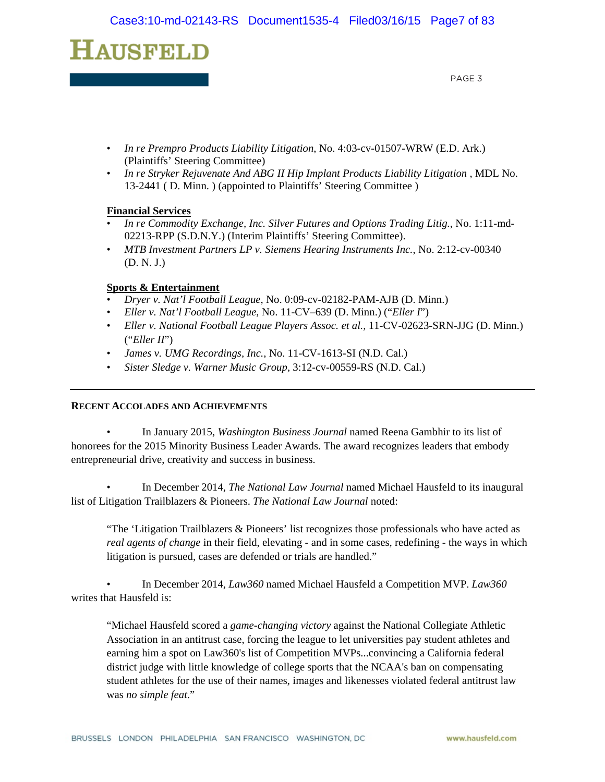PAGE 3

- *In re Prempro Products Liability Litigation*, No. 4:03-cv-01507-WRW (E.D. Ark.) (Plaintiffs' Steering Committee)
- *In re Stryker Rejuvenate And ABG II Hip Implant Products Liability Litigation* , MDL No. 13-2441 ( D. Minn. ) (appointed to Plaintiffs' Steering Committee )

#### **Financial Services**

- *In re Commodity Exchange, Inc. Silver Futures and Options Trading Litig.*, No. 1:11-md-02213-RPP (S.D.N.Y.) (Interim Plaintiffs' Steering Committee).
- *MTB Investment Partners LP v. Siemens Hearing Instruments Inc.*, No. 2:12-cv-00340 (D. N. J.)

#### **Sports & Entertainment**

- *Dryer v. Nat'l Football League*, No. 0:09-cv-02182-PAM-AJB (D. Minn.)
- *Eller v. Nat'l Football League*, No. 11-CV–639 (D. Minn.) ("*Eller I*")
- *Eller v. National Football League Players Assoc. et al.,* 11-CV-02623-SRN-JJG (D. Minn.) ("*Eller II*")
- *James v. UMG Recordings, Inc.*, No. 11-CV-1613-SI (N.D. Cal.)
- *Sister Sledge v. Warner Music Group*, 3:12-cv-00559-RS (N.D. Cal.)

#### **RECENT ACCOLADES AND ACHIEVEMENTS**

• In January 2015, *Washington Business Journal* named Reena Gambhir to its list of honorees for the 2015 Minority Business Leader Awards. The award recognizes leaders that embody entrepreneurial drive, creativity and success in business.

• In December 2014, *The National Law Journal* named Michael Hausfeld to its inaugural list of Litigation Trailblazers & Pioneers. *The National Law Journal* noted:

"The 'Litigation Trailblazers & Pioneers' list recognizes those professionals who have acted as *real agents of change* in their field, elevating - and in some cases, redefining - the ways in which litigation is pursued, cases are defended or trials are handled."

• In December 2014, *Law360* named Michael Hausfeld a Competition MVP. *Law360*  writes that Hausfeld is:

"Michael Hausfeld scored a *game-changing victory* against the National Collegiate Athletic Association in an antitrust case, forcing the league to let universities pay student athletes and earning him a spot on Law360's list of Competition MVPs...convincing a California federal district judge with little knowledge of college sports that the NCAA's ban on compensating student athletes for the use of their names, images and likenesses violated federal antitrust law was *no simple feat*."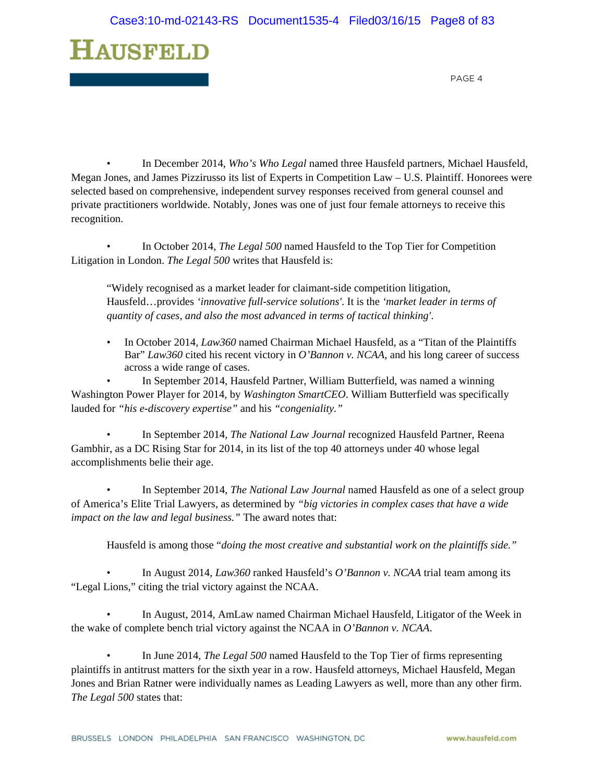

• In December 2014, *Who's Who Legal* named three Hausfeld partners, Michael Hausfeld, Megan Jones, and James Pizzirusso its list of Experts in Competition Law – U.S. Plaintiff. Honorees were selected based on comprehensive, independent survey responses received from general counsel and private practitioners worldwide. Notably, Jones was one of just four female attorneys to receive this recognition.

• In October 2014, *The Legal 500* named Hausfeld to the Top Tier for Competition Litigation in London. *The Legal 500* writes that Hausfeld is:

"Widely recognised as a market leader for claimant-side competition litigation, Hausfeld…provides *'innovative full-service solutions'*. It is the *'market leader in terms of quantity of cases, and also the most advanced in terms of tactical thinking'*.

• In October 2014, *Law360* named Chairman Michael Hausfeld, as a "Titan of the Plaintiffs" Bar" *Law360* cited his recent victory in *O'Bannon v. NCAA*, and his long career of success across a wide range of cases.

• In September 2014, Hausfeld Partner, William Butterfield, was named a winning Washington Power Player for 2014, by *Washington SmartCEO*. William Butterfield was specifically lauded for *"his e-discovery expertise"* and his *"congeniality."*

• In September 2014, *The National Law Journal* recognized Hausfeld Partner, Reena Gambhir, as a DC Rising Star for 2014, in its list of the top 40 attorneys under 40 whose legal accomplishments belie their age.

• In September 2014, *The National Law Journal* named Hausfeld as one of a select group of America's Elite Trial Lawyers, as determined by *"big victories in complex cases that have a wide impact on the law and legal business."* The award notes that:

Hausfeld is among those "*doing the most creative and substantial work on the plaintiffs side."* 

• In August 2014, *Law360* ranked Hausfeld's *O'Bannon v. NCAA* trial team among its "Legal Lions," citing the trial victory against the NCAA.

• In August, 2014, AmLaw named Chairman Michael Hausfeld, Litigator of the Week in the wake of complete bench trial victory against the NCAA in *O'Bannon v. NCAA*.

• In June 2014, *The Legal 500* named Hausfeld to the Top Tier of firms representing plaintiffs in antitrust matters for the sixth year in a row. Hausfeld attorneys, Michael Hausfeld, Megan Jones and Brian Ratner were individually names as Leading Lawyers as well, more than any other firm. *The Legal 500* states that: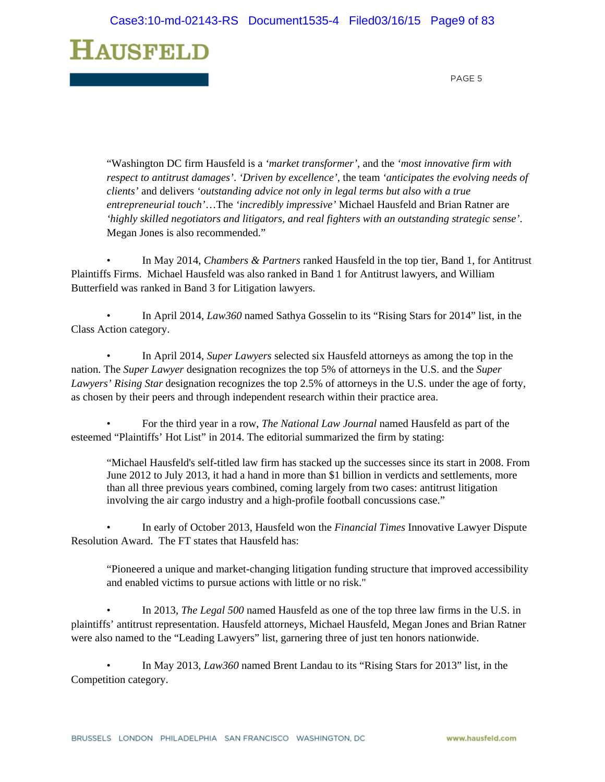

"Washington DC firm Hausfeld is a *'market transformer'*, and the *'most innovative firm with respect to antitrust damages'*. *'Driven by excellence'*, the team *'anticipates the evolving needs of clients'* and delivers *'outstanding advice not only in legal terms but also with a true entrepreneurial touch'*…The *'incredibly impressive'* Michael Hausfeld and Brian Ratner are *'highly skilled negotiators and litigators, and real fighters with an outstanding strategic sense'*. Megan Jones is also recommended."

• In May 2014, *Chambers & Partners* ranked Hausfeld in the top tier, Band 1, for Antitrust Plaintiffs Firms. Michael Hausfeld was also ranked in Band 1 for Antitrust lawyers, and William Butterfield was ranked in Band 3 for Litigation lawyers.

• In April 2014, *Law360* named Sathya Gosselin to its "Rising Stars for 2014" list, in the Class Action category.

• In April 2014, *Super Lawyers* selected six Hausfeld attorneys as among the top in the nation. The *Super Lawyer* designation recognizes the top 5% of attorneys in the U.S. and the *Super Lawyers' Rising Star* designation recognizes the top 2.5% of attorneys in the U.S. under the age of forty, as chosen by their peers and through independent research within their practice area.

• For the third year in a row, *The National Law Journal* named Hausfeld as part of the esteemed "Plaintiffs' Hot List" in 2014. The editorial summarized the firm by stating:

"Michael Hausfeld's self-titled law firm has stacked up the successes since its start in 2008. From June 2012 to July 2013, it had a hand in more than \$1 billion in verdicts and settlements, more than all three previous years combined, coming largely from two cases: antitrust litigation involving the air cargo industry and a high-profile football concussions case."

• In early of October 2013, Hausfeld won the *Financial Times* Innovative Lawyer Dispute Resolution Award. The FT states that Hausfeld has:

"Pioneered a unique and market-changing litigation funding structure that improved accessibility and enabled victims to pursue actions with little or no risk."

• In 2013, *The Legal 500* named Hausfeld as one of the top three law firms in the U.S. in plaintiffs' antitrust representation. Hausfeld attorneys, Michael Hausfeld, Megan Jones and Brian Ratner were also named to the "Leading Lawyers" list, garnering three of just ten honors nationwide.

• In May 2013, *Law360* named Brent Landau to its "Rising Stars for 2013" list, in the Competition category.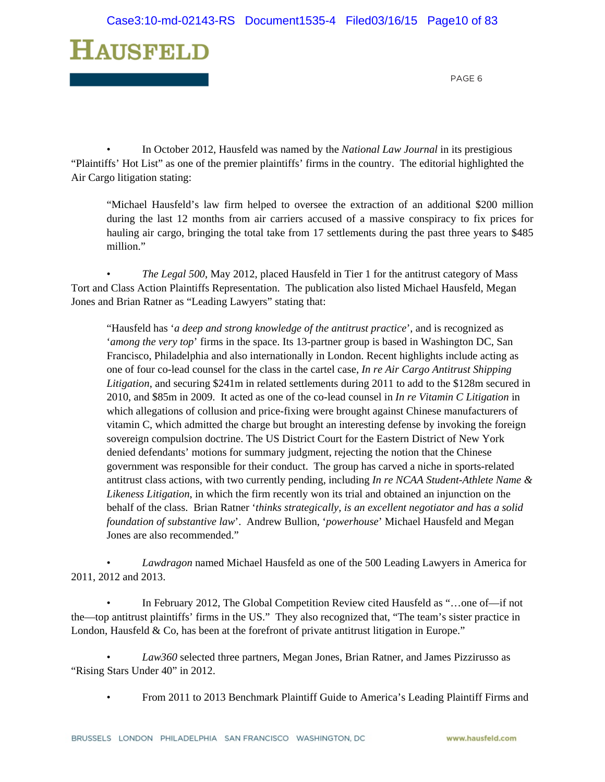

• In October 2012, Hausfeld was named by the *National Law Journal* in its prestigious "Plaintiffs' Hot List" as one of the premier plaintiffs' firms in the country. The editorial highlighted the Air Cargo litigation stating:

"Michael Hausfeld's law firm helped to oversee the extraction of an additional \$200 million during the last 12 months from air carriers accused of a massive conspiracy to fix prices for hauling air cargo, bringing the total take from 17 settlements during the past three years to \$485 million."

• *The Legal 500*, May 2012, placed Hausfeld in Tier 1 for the antitrust category of Mass Tort and Class Action Plaintiffs Representation. The publication also listed Michael Hausfeld, Megan Jones and Brian Ratner as "Leading Lawyers" stating that:

"Hausfeld has '*a deep and strong knowledge of the antitrust practice*', and is recognized as '*among the very top*' firms in the space. Its 13-partner group is based in Washington DC, San Francisco, Philadelphia and also internationally in London. Recent highlights include acting as one of four co-lead counsel for the class in the cartel case, *In re Air Cargo Antitrust Shipping Litigation*, and securing \$241m in related settlements during 2011 to add to the \$128m secured in 2010, and \$85m in 2009. It acted as one of the co-lead counsel in *In re Vitamin C Litigation* in which allegations of collusion and price-fixing were brought against Chinese manufacturers of vitamin C, which admitted the charge but brought an interesting defense by invoking the foreign sovereign compulsion doctrine. The US District Court for the Eastern District of New York denied defendants' motions for summary judgment, rejecting the notion that the Chinese government was responsible for their conduct. The group has carved a niche in sports-related antitrust class actions, with two currently pending, including *In re NCAA Student-Athlete Name & Likeness Litigation*, in which the firm recently won its trial and obtained an injunction on the behalf of the class. Brian Ratner '*thinks strategically, is an excellent negotiator and has a solid foundation of substantive law*'. Andrew Bullion, '*powerhouse*' Michael Hausfeld and Megan Jones are also recommended."

• *Lawdragon* named Michael Hausfeld as one of the 500 Leading Lawyers in America for 2011, 2012 and 2013.

• In February 2012, The Global Competition Review cited Hausfeld as "...one of—if not the—top antitrust plaintiffs' firms in the US." They also recognized that, "The team's sister practice in London, Hausfeld  $& Co$ , has been at the forefront of private antitrust litigation in Europe."

• *Law360* selected three partners, Megan Jones, Brian Ratner, and James Pizzirusso as "Rising Stars Under 40" in 2012.

• From 2011 to 2013 Benchmark Plaintiff Guide to America's Leading Plaintiff Firms and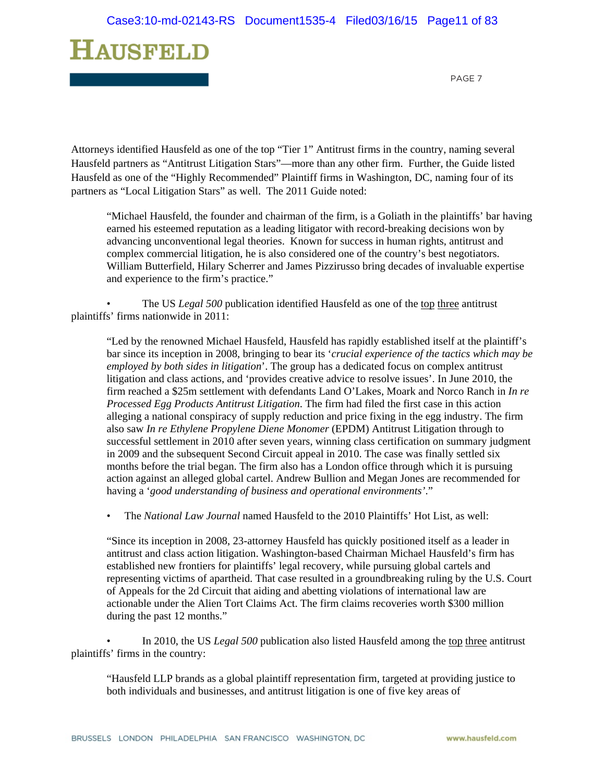

Attorneys identified Hausfeld as one of the top "Tier 1" Antitrust firms in the country, naming several Hausfeld partners as "Antitrust Litigation Stars"—more than any other firm. Further, the Guide listed Hausfeld as one of the "Highly Recommended" Plaintiff firms in Washington, DC, naming four of its partners as "Local Litigation Stars" as well. The 2011 Guide noted:

"Michael Hausfeld, the founder and chairman of the firm, is a Goliath in the plaintiffs' bar having earned his esteemed reputation as a leading litigator with record-breaking decisions won by advancing unconventional legal theories. Known for success in human rights, antitrust and complex commercial litigation, he is also considered one of the country's best negotiators. William Butterfield, Hilary Scherrer and James Pizzirusso bring decades of invaluable expertise and experience to the firm's practice."

The US *Legal 500* publication identified Hausfeld as one of the top three antitrust plaintiffs' firms nationwide in 2011:

"Led by the renowned Michael Hausfeld, Hausfeld has rapidly established itself at the plaintiff's bar since its inception in 2008, bringing to bear its '*crucial experience of the tactics which may be employed by both sides in litigation*'. The group has a dedicated focus on complex antitrust litigation and class actions, and 'provides creative advice to resolve issues'. In June 2010, the firm reached a \$25m settlement with defendants Land O'Lakes, Moark and Norco Ranch in *In re Processed Egg Products Antitrust Litigation*. The firm had filed the first case in this action alleging a national conspiracy of supply reduction and price fixing in the egg industry. The firm also saw *In re Ethylene Propylene Diene Monomer* (EPDM) Antitrust Litigation through to successful settlement in 2010 after seven years, winning class certification on summary judgment in 2009 and the subsequent Second Circuit appeal in 2010. The case was finally settled six months before the trial began. The firm also has a London office through which it is pursuing action against an alleged global cartel. Andrew Bullion and Megan Jones are recommended for having a '*good understanding of business and operational environments'*."

• The *National Law Journal* named Hausfeld to the 2010 Plaintiffs' Hot List, as well:

"Since its inception in 2008, 23-attorney Hausfeld has quickly positioned itself as a leader in antitrust and class action litigation. Washington-based Chairman Michael Hausfeld's firm has established new frontiers for plaintiffs' legal recovery, while pursuing global cartels and representing victims of apartheid. That case resulted in a groundbreaking ruling by the U.S. Court of Appeals for the 2d Circuit that aiding and abetting violations of international law are actionable under the Alien Tort Claims Act. The firm claims recoveries worth \$300 million during the past 12 months."

• In 2010, the US *Legal 500* publication also listed Hausfeld among the top three antitrust plaintiffs' firms in the country:

"Hausfeld LLP brands as a global plaintiff representation firm, targeted at providing justice to both individuals and businesses, and antitrust litigation is one of five key areas of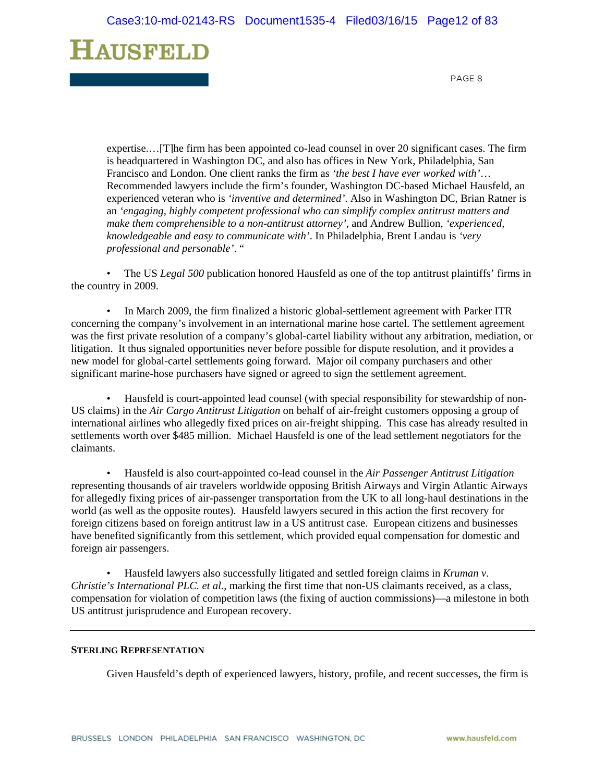PAGE 8

expertise.…[T]he firm has been appointed co-lead counsel in over 20 significant cases. The firm is headquartered in Washington DC, and also has offices in New York, Philadelphia, San Francisco and London. One client ranks the firm as *'the best I have ever worked with'*… Recommended lawyers include the firm's founder, Washington DC-based Michael Hausfeld, an experienced veteran who is *'inventive and determined'*. Also in Washington DC, Brian Ratner is an *'engaging, highly competent professional who can simplify complex antitrust matters and make them comprehensible to a non-antitrust attorney'*, and Andrew Bullion, *'experienced, knowledgeable and easy to communicate with'*. In Philadelphia, Brent Landau is *'very professional and personable'*. "

• The US *Legal 500* publication honored Hausfeld as one of the top antitrust plaintiffs' firms in the country in 2009.

• In March 2009, the firm finalized a historic global-settlement agreement with Parker ITR concerning the company's involvement in an international marine hose cartel. The settlement agreement was the first private resolution of a company's global-cartel liability without any arbitration, mediation, or litigation. It thus signaled opportunities never before possible for dispute resolution, and it provides a new model for global-cartel settlements going forward. Major oil company purchasers and other significant marine-hose purchasers have signed or agreed to sign the settlement agreement.

• Hausfeld is court-appointed lead counsel (with special responsibility for stewardship of non-US claims) in the *Air Cargo Antitrust Litigation* on behalf of air-freight customers opposing a group of international airlines who allegedly fixed prices on air-freight shipping. This case has already resulted in settlements worth over \$485 million. Michael Hausfeld is one of the lead settlement negotiators for the claimants.

• Hausfeld is also court-appointed co-lead counsel in the *Air Passenger Antitrust Litigation* representing thousands of air travelers worldwide opposing British Airways and Virgin Atlantic Airways for allegedly fixing prices of air-passenger transportation from the UK to all long-haul destinations in the world (as well as the opposite routes). Hausfeld lawyers secured in this action the first recovery for foreign citizens based on foreign antitrust law in a US antitrust case. European citizens and businesses have benefited significantly from this settlement, which provided equal compensation for domestic and foreign air passengers.

• Hausfeld lawyers also successfully litigated and settled foreign claims in *Kruman v. Christie's International PLC. et al.*, marking the first time that non-US claimants received, as a class, compensation for violation of competition laws (the fixing of auction commissions)—a milestone in both US antitrust jurisprudence and European recovery.

#### **STERLING REPRESENTATION**

Given Hausfeld's depth of experienced lawyers, history, profile, and recent successes, the firm is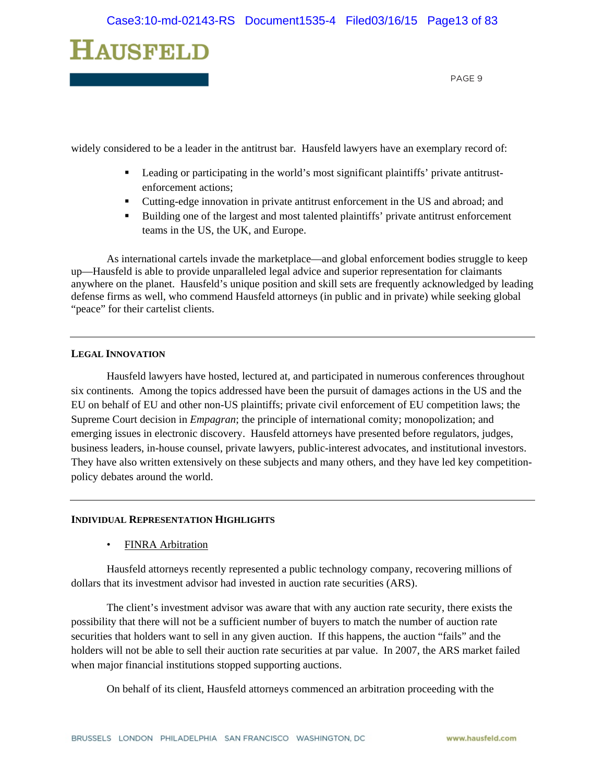

widely considered to be a leader in the antitrust bar. Hausfeld lawyers have an exemplary record of:

- Leading or participating in the world's most significant plaintiffs' private antitrustenforcement actions;
- Cutting-edge innovation in private antitrust enforcement in the US and abroad; and
- Building one of the largest and most talented plaintiffs' private antitrust enforcement teams in the US, the UK, and Europe.

As international cartels invade the marketplace—and global enforcement bodies struggle to keep up—Hausfeld is able to provide unparalleled legal advice and superior representation for claimants anywhere on the planet. Hausfeld's unique position and skill sets are frequently acknowledged by leading defense firms as well, who commend Hausfeld attorneys (in public and in private) while seeking global "peace" for their cartelist clients.

#### **LEGAL INNOVATION**

Hausfeld lawyers have hosted, lectured at, and participated in numerous conferences throughout six continents. Among the topics addressed have been the pursuit of damages actions in the US and the EU on behalf of EU and other non-US plaintiffs; private civil enforcement of EU competition laws; the Supreme Court decision in *Empagran*; the principle of international comity; monopolization; and emerging issues in electronic discovery. Hausfeld attorneys have presented before regulators, judges, business leaders, in-house counsel, private lawyers, public-interest advocates, and institutional investors. They have also written extensively on these subjects and many others, and they have led key competitionpolicy debates around the world.

#### **INDIVIDUAL REPRESENTATION HIGHLIGHTS**

• FINRA Arbitration

Hausfeld attorneys recently represented a public technology company, recovering millions of dollars that its investment advisor had invested in auction rate securities (ARS).

The client's investment advisor was aware that with any auction rate security, there exists the possibility that there will not be a sufficient number of buyers to match the number of auction rate securities that holders want to sell in any given auction. If this happens, the auction "fails" and the holders will not be able to sell their auction rate securities at par value. In 2007, the ARS market failed when major financial institutions stopped supporting auctions.

On behalf of its client, Hausfeld attorneys commenced an arbitration proceeding with the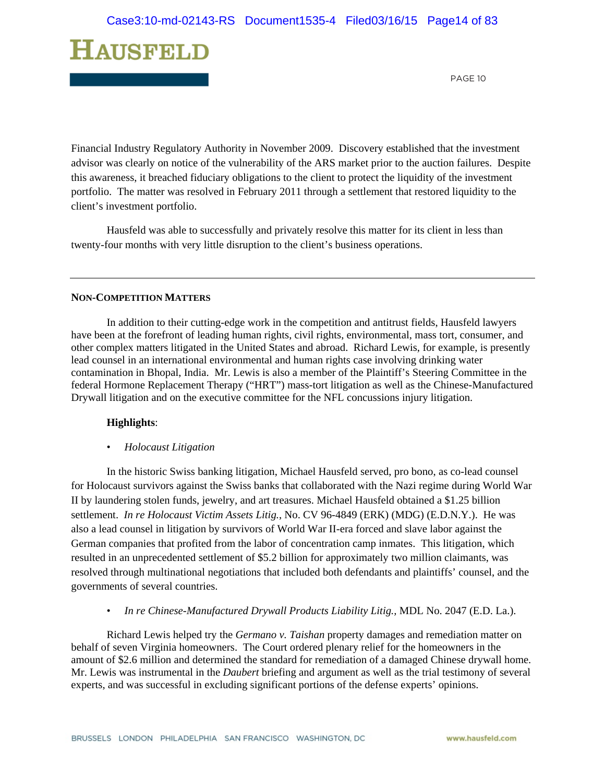PAGE 10

Financial Industry Regulatory Authority in November 2009. Discovery established that the investment advisor was clearly on notice of the vulnerability of the ARS market prior to the auction failures. Despite this awareness, it breached fiduciary obligations to the client to protect the liquidity of the investment portfolio. The matter was resolved in February 2011 through a settlement that restored liquidity to the client's investment portfolio.

Hausfeld was able to successfully and privately resolve this matter for its client in less than twenty-four months with very little disruption to the client's business operations.

#### **NON-COMPETITION MATTERS**

In addition to their cutting-edge work in the competition and antitrust fields, Hausfeld lawyers have been at the forefront of leading human rights, civil rights, environmental, mass tort, consumer, and other complex matters litigated in the United States and abroad. Richard Lewis, for example, is presently lead counsel in an international environmental and human rights case involving drinking water contamination in Bhopal, India. Mr. Lewis is also a member of the Plaintiff's Steering Committee in the federal Hormone Replacement Therapy ("HRT") mass-tort litigation as well as the Chinese-Manufactured Drywall litigation and on the executive committee for the NFL concussions injury litigation.

#### **Highlights**:

• *Holocaust Litigation*

In the historic Swiss banking litigation, Michael Hausfeld served, pro bono, as co-lead counsel for Holocaust survivors against the Swiss banks that collaborated with the Nazi regime during World War II by laundering stolen funds, jewelry, and art treasures. Michael Hausfeld obtained a \$1.25 billion settlement. *In re Holocaust Victim Assets Litig.*, No. CV 96-4849 (ERK) (MDG) (E.D.N.Y.). He was also a lead counsel in litigation by survivors of World War II-era forced and slave labor against the German companies that profited from the labor of concentration camp inmates. This litigation, which resulted in an unprecedented settlement of \$5.2 billion for approximately two million claimants, was resolved through multinational negotiations that included both defendants and plaintiffs' counsel, and the governments of several countries.

• *In re Chinese-Manufactured Drywall Products Liability Litig., MDL No. 2047 (E.D. La.).* 

Richard Lewis helped try the *Germano v. Taishan* property damages and remediation matter on behalf of seven Virginia homeowners. The Court ordered plenary relief for the homeowners in the amount of \$2.6 million and determined the standard for remediation of a damaged Chinese drywall home. Mr. Lewis was instrumental in the *Daubert* briefing and argument as well as the trial testimony of several experts, and was successful in excluding significant portions of the defense experts' opinions.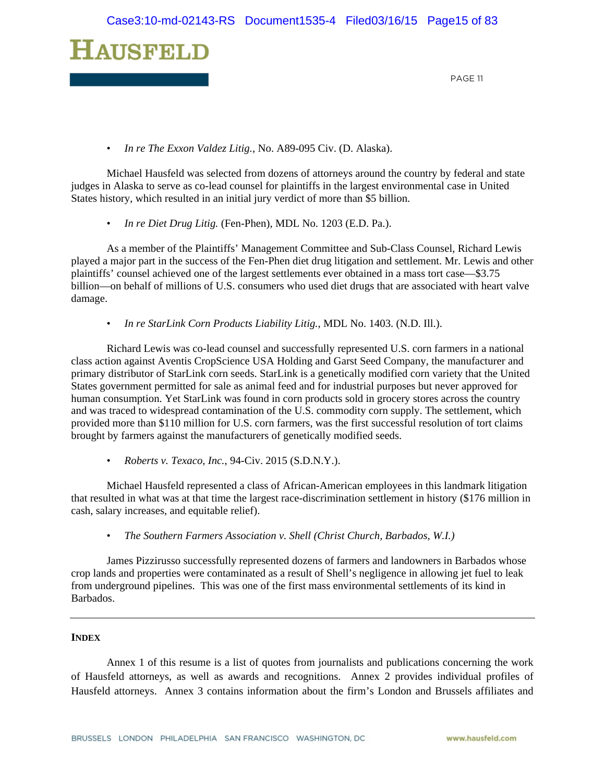

• *In re The Exxon Valdez Litig.*, No. A89-095 Civ. (D. Alaska).

Michael Hausfeld was selected from dozens of attorneys around the country by federal and state judges in Alaska to serve as co-lead counsel for plaintiffs in the largest environmental case in United States history, which resulted in an initial jury verdict of more than \$5 billion.

• *In re Diet Drug Litig.* (Fen-Phen), MDL No. 1203 (E.D. Pa.).

As a member of the Plaintiffs' Management Committee and Sub-Class Counsel, Richard Lewis played a major part in the success of the Fen-Phen diet drug litigation and settlement. Mr. Lewis and other plaintiffs' counsel achieved one of the largest settlements ever obtained in a mass tort case—\$3.75 billion—on behalf of millions of U.S. consumers who used diet drugs that are associated with heart valve damage.

• *In re StarLink Corn Products Liability Litig.*, MDL No. 1403. (N.D. Ill.).

Richard Lewis was co-lead counsel and successfully represented U.S. corn farmers in a national class action against Aventis CropScience USA Holding and Garst Seed Company, the manufacturer and primary distributor of StarLink corn seeds. StarLink is a genetically modified corn variety that the United States government permitted for sale as animal feed and for industrial purposes but never approved for human consumption. Yet StarLink was found in corn products sold in grocery stores across the country and was traced to widespread contamination of the U.S. commodity corn supply. The settlement, which provided more than \$110 million for U.S. corn farmers, was the first successful resolution of tort claims brought by farmers against the manufacturers of genetically modified seeds.

• *Roberts v. Texaco, Inc.*, 94-Civ. 2015 (S.D.N.Y.).

Michael Hausfeld represented a class of African-American employees in this landmark litigation that resulted in what was at that time the largest race-discrimination settlement in history (\$176 million in cash, salary increases, and equitable relief).

• *The Southern Farmers Association v. Shell (Christ Church, Barbados, W.I.)* 

James Pizzirusso successfully represented dozens of farmers and landowners in Barbados whose crop lands and properties were contaminated as a result of Shell's negligence in allowing jet fuel to leak from underground pipelines. This was one of the first mass environmental settlements of its kind in Barbados.

#### **INDEX**

Annex 1 of this resume is a list of quotes from journalists and publications concerning the work of Hausfeld attorneys, as well as awards and recognitions. Annex 2 provides individual profiles of Hausfeld attorneys. Annex 3 contains information about the firm's London and Brussels affiliates and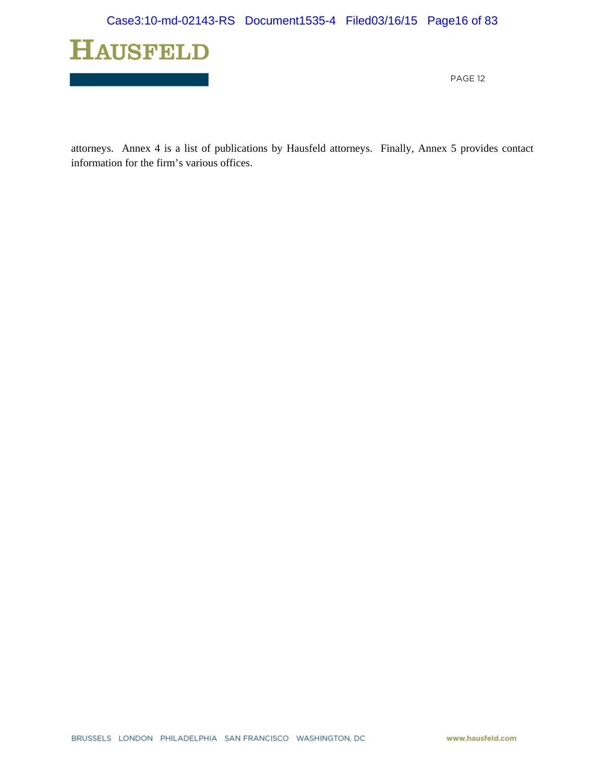

attorneys. Annex 4 is a list of publications by Hausfeld attorneys. Finally, Annex 5 provides contact information for the firm's various offices.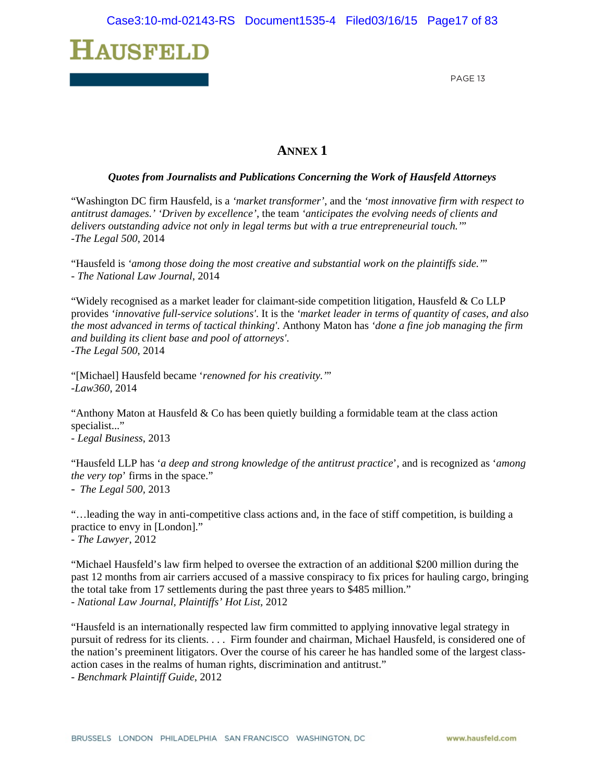

### **ANNEX 1**

#### *Quotes from Journalists and Publications Concerning the Work of Hausfeld Attorneys*

"Washington DC firm Hausfeld, is a *'market transformer'*, and the *'most innovative firm with respect to antitrust damages.' 'Driven by excellence'*, the team *'anticipates the evolving needs of clients and delivers outstanding advice not only in legal terms but with a true entrepreneurial touch.'*" -*The Legal 500*, 2014

"Hausfeld is *'among those doing the most creative and substantial work on the plaintiffs side.'*" *- The National Law Journal*, 2014

"Widely recognised as a market leader for claimant-side competition litigation, Hausfeld & Co LLP provides *'innovative full-service solutions'*. It is the *'market leader in terms of quantity of cases, and also the most advanced in terms of tactical thinking'*. Anthony Maton has *'done a fine job managing the firm and building its client base and pool of attorneys'*. -*The Legal 500*, 2014

"[Michael] Hausfeld became '*renowned for his creativity.'*" *-Law360*, 2014

"Anthony Maton at Hausfeld  $&$  Co has been quietly building a formidable team at the class action specialist..."

- *Legal Business*, 2013

"Hausfeld LLP has '*a deep and strong knowledge of the antitrust practice*', and is recognized as '*among the very top*' firms in the space."

- *The Legal 500,* 2013

"…leading the way in anti-competitive class actions and, in the face of stiff competition, is building a practice to envy in [London]." *- The Lawyer*, 2012

"Michael Hausfeld's law firm helped to oversee the extraction of an additional \$200 million during the past 12 months from air carriers accused of a massive conspiracy to fix prices for hauling cargo, bringing the total take from 17 settlements during the past three years to \$485 million." - *National Law Journal, Plaintiffs' Hot List,* 2012

"Hausfeld is an internationally respected law firm committed to applying innovative legal strategy in pursuit of redress for its clients. . . . Firm founder and chairman, Michael Hausfeld, is considered one of the nation's preeminent litigators. Over the course of his career he has handled some of the largest classaction cases in the realms of human rights, discrimination and antitrust."

- *Benchmark Plaintiff Guide*, 2012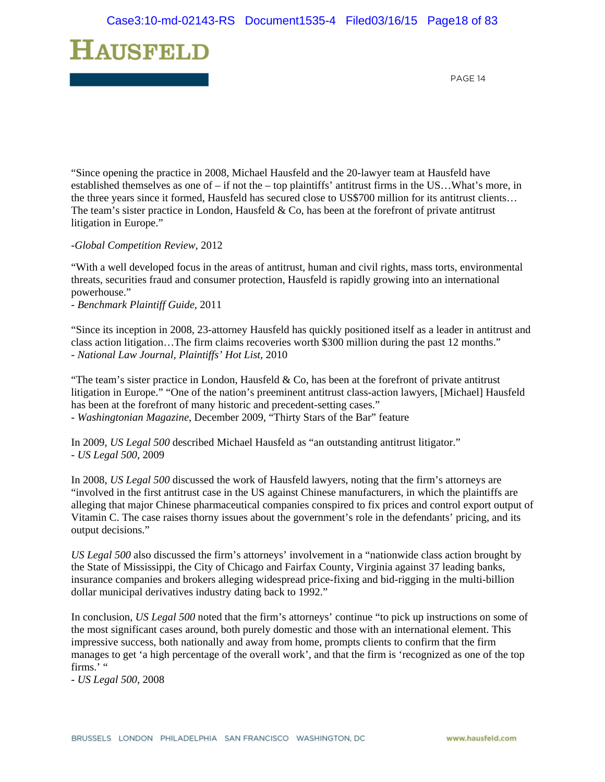

"Since opening the practice in 2008, Michael Hausfeld and the 20-lawyer team at Hausfeld have established themselves as one of – if not the – top plaintiffs' antitrust firms in the US…What's more, in the three years since it formed, Hausfeld has secured close to US\$700 million for its antitrust clients… The team's sister practice in London, Hausfeld & Co, has been at the forefront of private antitrust litigation in Europe."

#### -*Global Competition Review*, 2012

"With a well developed focus in the areas of antitrust, human and civil rights, mass torts, environmental threats, securities fraud and consumer protection, Hausfeld is rapidly growing into an international powerhouse."

- *Benchmark Plaintiff Guide*, 2011

"Since its inception in 2008, 23-attorney Hausfeld has quickly positioned itself as a leader in antitrust and class action litigation…The firm claims recoveries worth \$300 million during the past 12 months." - *National Law Journal, Plaintiffs' Hot List,* 2010

"The team's sister practice in London, Hausfeld  $& Co$ , has been at the forefront of private antitrust litigation in Europe." "One of the nation's preeminent antitrust class-action lawyers, [Michael] Hausfeld has been at the forefront of many historic and precedent-setting cases." - *Washingtonian Magazine*, December 2009, "Thirty Stars of the Bar" feature

In 2009, *US Legal 500* described Michael Hausfeld as "an outstanding antitrust litigator." - *US Legal 500*, 2009

In 2008, *US Legal 500* discussed the work of Hausfeld lawyers, noting that the firm's attorneys are "involved in the first antitrust case in the US against Chinese manufacturers, in which the plaintiffs are alleging that major Chinese pharmaceutical companies conspired to fix prices and control export output of Vitamin C. The case raises thorny issues about the government's role in the defendants' pricing, and its output decisions."

*US Legal 500* also discussed the firm's attorneys' involvement in a "nationwide class action brought by the State of Mississippi, the City of Chicago and Fairfax County, Virginia against 37 leading banks, insurance companies and brokers alleging widespread price-fixing and bid-rigging in the multi-billion dollar municipal derivatives industry dating back to 1992."

In conclusion, *US Legal 500* noted that the firm's attorneys' continue "to pick up instructions on some of the most significant cases around, both purely domestic and those with an international element. This impressive success, both nationally and away from home, prompts clients to confirm that the firm manages to get 'a high percentage of the overall work', and that the firm is 'recognized as one of the top firms."

- *US Legal 500*, 2008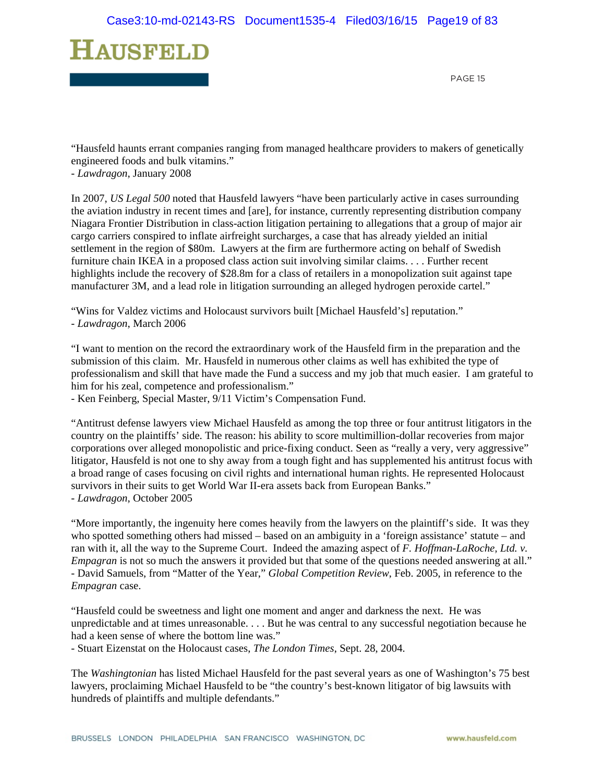

"Hausfeld haunts errant companies ranging from managed healthcare providers to makers of genetically engineered foods and bulk vitamins."

- *Lawdragon*, January 2008

In 2007, *US Legal 500* noted that Hausfeld lawyers "have been particularly active in cases surrounding the aviation industry in recent times and [are], for instance, currently representing distribution company Niagara Frontier Distribution in class-action litigation pertaining to allegations that a group of major air cargo carriers conspired to inflate airfreight surcharges, a case that has already yielded an initial settlement in the region of \$80m. Lawyers at the firm are furthermore acting on behalf of Swedish furniture chain IKEA in a proposed class action suit involving similar claims. . . . Further recent highlights include the recovery of \$28.8m for a class of retailers in a monopolization suit against tape manufacturer 3M, and a lead role in litigation surrounding an alleged hydrogen peroxide cartel."

"Wins for Valdez victims and Holocaust survivors built [Michael Hausfeld's] reputation." - *Lawdragon*, March 2006

"I want to mention on the record the extraordinary work of the Hausfeld firm in the preparation and the submission of this claim. Mr. Hausfeld in numerous other claims as well has exhibited the type of professionalism and skill that have made the Fund a success and my job that much easier. I am grateful to him for his zeal, competence and professionalism."

- Ken Feinberg, Special Master, 9/11 Victim's Compensation Fund.

"Antitrust defense lawyers view Michael Hausfeld as among the top three or four antitrust litigators in the country on the plaintiffs' side. The reason: his ability to score multimillion-dollar recoveries from major corporations over alleged monopolistic and price-fixing conduct. Seen as "really a very, very aggressive" litigator, Hausfeld is not one to shy away from a tough fight and has supplemented his antitrust focus with a broad range of cases focusing on civil rights and international human rights. He represented Holocaust survivors in their suits to get World War II-era assets back from European Banks." - *Lawdragon*, October 2005

"More importantly, the ingenuity here comes heavily from the lawyers on the plaintiff's side. It was they who spotted something others had missed – based on an ambiguity in a 'foreign assistance' statute – and ran with it, all the way to the Supreme Court. Indeed the amazing aspect of *F. Hoffman-LaRoche, Ltd. v. Empagran* is not so much the answers it provided but that some of the questions needed answering at all." - David Samuels, from "Matter of the Year," *Global Competition Review*, Feb. 2005, in reference to the *Empagran* case.

"Hausfeld could be sweetness and light one moment and anger and darkness the next. He was unpredictable and at times unreasonable. . . . But he was central to any successful negotiation because he had a keen sense of where the bottom line was."

- Stuart Eizenstat on the Holocaust cases, *The London Times*, Sept. 28, 2004.

The *Washingtonian* has listed Michael Hausfeld for the past several years as one of Washington's 75 best lawyers, proclaiming Michael Hausfeld to be "the country's best-known litigator of big lawsuits with hundreds of plaintiffs and multiple defendants."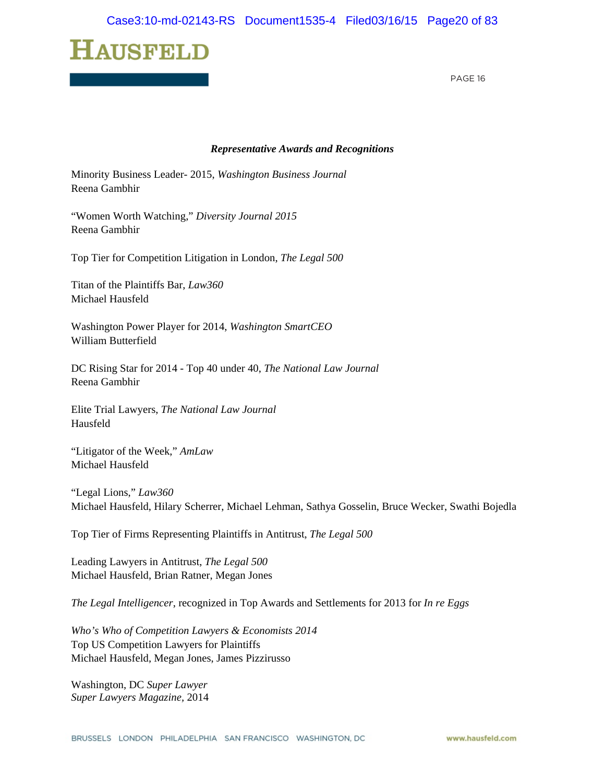PAGE 16

#### *Representative Awards and Recognitions*

Minority Business Leader- 2015, *Washington Business Journal*  Reena Gambhir

"Women Worth Watching," *Diversity Journal 2015*  Reena Gambhir

Top Tier for Competition Litigation in London, *The Legal 500* 

Titan of the Plaintiffs Bar, *Law360*  Michael Hausfeld

Washington Power Player for 2014, *Washington SmartCEO*  William Butterfield

DC Rising Star for 2014 - Top 40 under 40, *The National Law Journal*  Reena Gambhir

Elite Trial Lawyers, *The National Law Journal*  Hausfeld

"Litigator of the Week," *AmLaw*  Michael Hausfeld

"Legal Lions," *Law360*  Michael Hausfeld, Hilary Scherrer, Michael Lehman, Sathya Gosselin, Bruce Wecker, Swathi Bojedla

Top Tier of Firms Representing Plaintiffs in Antitrust, *The Legal 500* 

Leading Lawyers in Antitrust, *The Legal 500*  Michael Hausfeld, Brian Ratner, Megan Jones

*The Legal Intelligencer*, recognized in Top Awards and Settlements for 2013 for *In re Eggs*

*Who's Who of Competition Lawyers & Economists 2014* Top US Competition Lawyers for Plaintiffs Michael Hausfeld, Megan Jones, James Pizzirusso

Washington, DC *Super Lawyer Super Lawyers Magazine,* 2014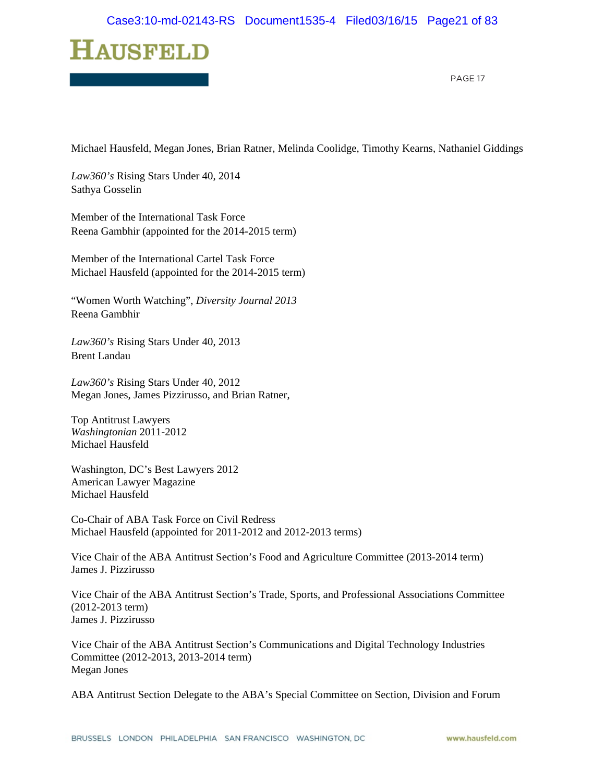

Michael Hausfeld, Megan Jones, Brian Ratner, Melinda Coolidge, Timothy Kearns, Nathaniel Giddings

*Law360's* Rising Stars Under 40, 2014 Sathya Gosselin

Member of the International Task Force Reena Gambhir (appointed for the 2014-2015 term)

Member of the International Cartel Task Force Michael Hausfeld (appointed for the 2014-2015 term)

"Women Worth Watching", *Diversity Journal 2013*  Reena Gambhir

*Law360's* Rising Stars Under 40, 2013 Brent Landau

*Law360's* Rising Stars Under 40, 2012 Megan Jones, James Pizzirusso, and Brian Ratner,

Top Antitrust Lawyers *Washingtonian* 2011-2012 Michael Hausfeld

Washington, DC's Best Lawyers 2012 American Lawyer Magazine Michael Hausfeld

Co-Chair of ABA Task Force on Civil Redress Michael Hausfeld (appointed for 2011-2012 and 2012-2013 terms)

Vice Chair of the ABA Antitrust Section's Food and Agriculture Committee (2013-2014 term) James J. Pizzirusso

Vice Chair of the ABA Antitrust Section's Trade, Sports, and Professional Associations Committee (2012-2013 term) James J. Pizzirusso

Vice Chair of the ABA Antitrust Section's Communications and Digital Technology Industries Committee (2012-2013, 2013-2014 term) Megan Jones

ABA Antitrust Section Delegate to the ABA's Special Committee on Section, Division and Forum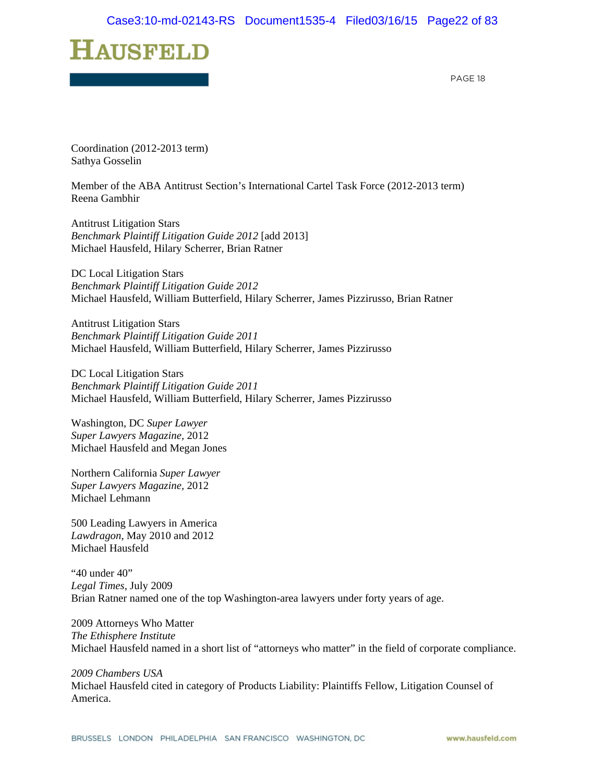PAGE 18

Coordination (2012-2013 term) Sathya Gosselin

Member of the ABA Antitrust Section's International Cartel Task Force (2012-2013 term) Reena Gambhir

Antitrust Litigation Stars *Benchmark Plaintiff Litigation Guide 2012* [add 2013] Michael Hausfeld, Hilary Scherrer, Brian Ratner

DC Local Litigation Stars *Benchmark Plaintiff Litigation Guide 2012*  Michael Hausfeld, William Butterfield, Hilary Scherrer, James Pizzirusso, Brian Ratner

Antitrust Litigation Stars *Benchmark Plaintiff Litigation Guide 2011*  Michael Hausfeld, William Butterfield, Hilary Scherrer, James Pizzirusso

DC Local Litigation Stars *Benchmark Plaintiff Litigation Guide 2011*  Michael Hausfeld, William Butterfield, Hilary Scherrer, James Pizzirusso

Washington, DC *Super Lawyer Super Lawyers Magazine,* 2012 Michael Hausfeld and Megan Jones

Northern California *Super Lawyer Super Lawyers Magazine,* 2012 Michael Lehmann

500 Leading Lawyers in America *Lawdragon*, May 2010 and 2012 Michael Hausfeld

"40 under 40" *Legal Times,* July 2009 Brian Ratner named one of the top Washington-area lawyers under forty years of age.

2009 Attorneys Who Matter *The Ethisphere Institute*  Michael Hausfeld named in a short list of "attorneys who matter" in the field of corporate compliance.

*2009 Chambers USA*  Michael Hausfeld cited in category of Products Liability: Plaintiffs Fellow, Litigation Counsel of America.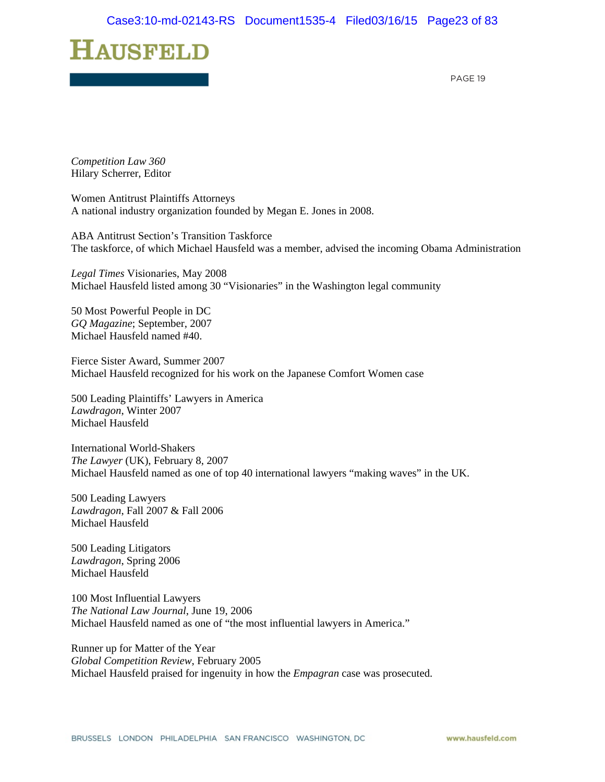PAGE 19

*Competition Law 360*  Hilary Scherrer, Editor

Women Antitrust Plaintiffs Attorneys A national industry organization founded by Megan E. Jones in 2008.

ABA Antitrust Section's Transition Taskforce The taskforce, of which Michael Hausfeld was a member, advised the incoming Obama Administration

*Legal Times* Visionaries, May 2008 Michael Hausfeld listed among 30 "Visionaries" in the Washington legal community

50 Most Powerful People in DC *GQ Magazine*; September, 2007 Michael Hausfeld named #40.

Fierce Sister Award, Summer 2007 Michael Hausfeld recognized for his work on the Japanese Comfort Women case

500 Leading Plaintiffs' Lawyers in America *Lawdragon*, Winter 2007 Michael Hausfeld

International World-Shakers *The Lawyer* (UK), February 8, 2007 Michael Hausfeld named as one of top 40 international lawyers "making waves" in the UK.

500 Leading Lawyers *Lawdragon*, Fall 2007 & Fall 2006 Michael Hausfeld

500 Leading Litigators *Lawdragon*, Spring 2006 Michael Hausfeld

100 Most Influential Lawyers *The National Law Journal*, June 19, 2006 Michael Hausfeld named as one of "the most influential lawyers in America."

Runner up for Matter of the Year *Global Competition Review*, February 2005 Michael Hausfeld praised for ingenuity in how the *Empagran* case was prosecuted.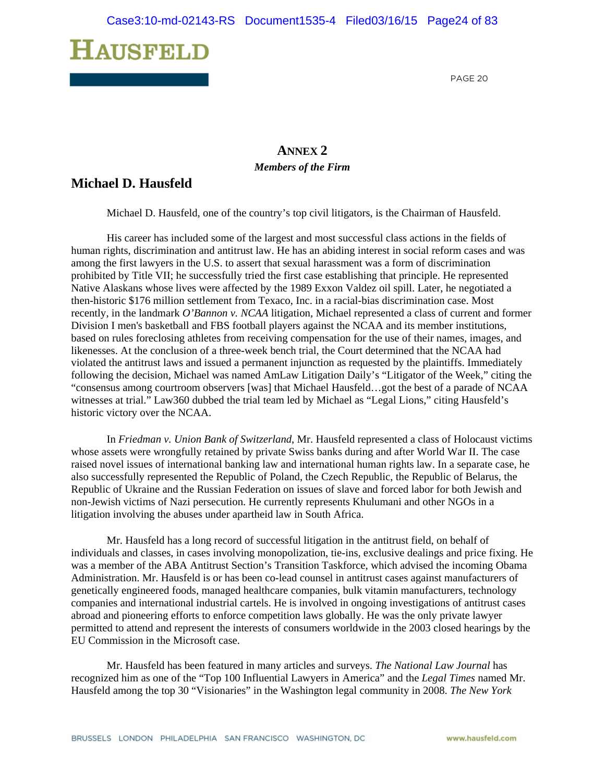

### **ANNEX 2** *Members of the Firm*

### **Michael D. Hausfeld**

Michael D. Hausfeld, one of the country's top civil litigators, is the Chairman of Hausfeld.

His career has included some of the largest and most successful class actions in the fields of human rights, discrimination and antitrust law. He has an abiding interest in social reform cases and was among the first lawyers in the U.S. to assert that sexual harassment was a form of discrimination prohibited by Title VII; he successfully tried the first case establishing that principle. He represented Native Alaskans whose lives were affected by the 1989 Exxon Valdez oil spill. Later, he negotiated a then-historic \$176 million settlement from Texaco, Inc. in a racial-bias discrimination case. Most recently, in the landmark *O'Bannon v. NCAA* litigation, Michael represented a class of current and former Division I men's basketball and FBS football players against the NCAA and its member institutions, based on rules foreclosing athletes from receiving compensation for the use of their names, images, and likenesses. At the conclusion of a three-week bench trial, the Court determined that the NCAA had violated the antitrust laws and issued a permanent injunction as requested by the plaintiffs. Immediately following the decision, Michael was named AmLaw Litigation Daily's "Litigator of the Week," citing the "consensus among courtroom observers [was] that Michael Hausfeld…got the best of a parade of NCAA witnesses at trial." Law360 dubbed the trial team led by Michael as "Legal Lions," citing Hausfeld's historic victory over the NCAA.

In *Friedman v. Union Bank of Switzerland*, Mr. Hausfeld represented a class of Holocaust victims whose assets were wrongfully retained by private Swiss banks during and after World War II. The case raised novel issues of international banking law and international human rights law. In a separate case, he also successfully represented the Republic of Poland, the Czech Republic, the Republic of Belarus, the Republic of Ukraine and the Russian Federation on issues of slave and forced labor for both Jewish and non-Jewish victims of Nazi persecution. He currently represents Khulumani and other NGOs in a litigation involving the abuses under apartheid law in South Africa.

Mr. Hausfeld has a long record of successful litigation in the antitrust field, on behalf of individuals and classes, in cases involving monopolization, tie-ins, exclusive dealings and price fixing. He was a member of the ABA Antitrust Section's Transition Taskforce, which advised the incoming Obama Administration. Mr. Hausfeld is or has been co-lead counsel in antitrust cases against manufacturers of genetically engineered foods, managed healthcare companies, bulk vitamin manufacturers, technology companies and international industrial cartels. He is involved in ongoing investigations of antitrust cases abroad and pioneering efforts to enforce competition laws globally. He was the only private lawyer permitted to attend and represent the interests of consumers worldwide in the 2003 closed hearings by the EU Commission in the Microsoft case.

Mr. Hausfeld has been featured in many articles and surveys. *The National Law Journal* has recognized him as one of the "Top 100 Influential Lawyers in America" and the *Legal Times* named Mr. Hausfeld among the top 30 "Visionaries" in the Washington legal community in 2008. *The New York*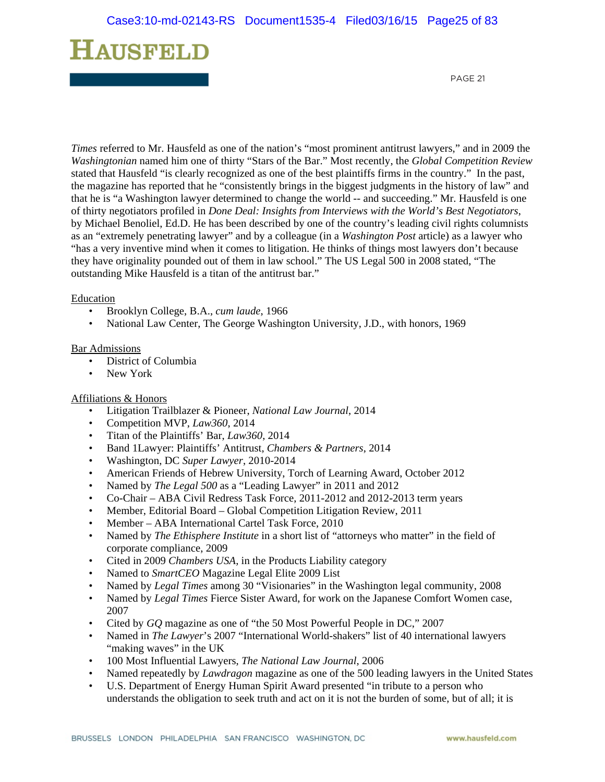# ${\bf H}$ ausfeld

PAGE 21

*Times* referred to Mr. Hausfeld as one of the nation's "most prominent antitrust lawyers," and in 2009 the *Washingtonian* named him one of thirty "Stars of the Bar." Most recently, the *Global Competition Review* stated that Hausfeld "is clearly recognized as one of the best plaintiffs firms in the country." In the past, the magazine has reported that he "consistently brings in the biggest judgments in the history of law" and that he is "a Washington lawyer determined to change the world -- and succeeding." Mr. Hausfeld is one of thirty negotiators profiled in *Done Deal: Insights from Interviews with the World's Best Negotiators*, by Michael Benoliel, Ed.D. He has been described by one of the country's leading civil rights columnists as an "extremely penetrating lawyer" and by a colleague (in a *Washington Post* article) as a lawyer who "has a very inventive mind when it comes to litigation. He thinks of things most lawyers don't because they have originality pounded out of them in law school." The US Legal 500 in 2008 stated, "The outstanding Mike Hausfeld is a titan of the antitrust bar."

#### **Education**

- Brooklyn College, B.A., *cum laude*, 1966
- National Law Center, The George Washington University, J.D., with honors, 1969

#### Bar Admissions

- District of Columbia
- New York

#### Affiliations & Honors

- Litigation Trailblazer & Pioneer, *National Law Journal*, 2014
- Competition MVP, *Law360*, 2014
- Titan of the Plaintiffs' Bar, *Law360*, 2014
- Band 1Lawyer: Plaintiffs' Antitrust, *Chambers & Partners*, 2014
- Washington, DC *Super Lawyer*, 2010-2014
- American Friends of Hebrew University, Torch of Learning Award, October 2012
- Named by *The Legal 500* as a "Leading Lawyer" in 2011 and 2012
- Co-Chair ABA Civil Redress Task Force, 2011-2012 and 2012-2013 term years
- Member, Editorial Board Global Competition Litigation Review, 2011
- Member ABA International Cartel Task Force, 2010
- Named by *The Ethisphere Institute* in a short list of "attorneys who matter" in the field of corporate compliance, 2009
- Cited in 2009 *Chambers USA*, in the Products Liability category
- Named to *SmartCEO* Magazine Legal Elite 2009 List
- Named by *Legal Times* among 30 "Visionaries" in the Washington legal community, 2008
- Named by *Legal Times* Fierce Sister Award, for work on the Japanese Comfort Women case, 2007
- Cited by *GQ* magazine as one of "the 50 Most Powerful People in DC," 2007
- Named in *The Lawyer*'s 2007 "International World-shakers" list of 40 international lawyers "making waves" in the UK
- 100 Most Influential Lawyers, *The National Law Journal*, 2006
- Named repeatedly by *Lawdragon* magazine as one of the 500 leading lawyers in the United States
- U.S. Department of Energy Human Spirit Award presented "in tribute to a person who understands the obligation to seek truth and act on it is not the burden of some, but of all; it is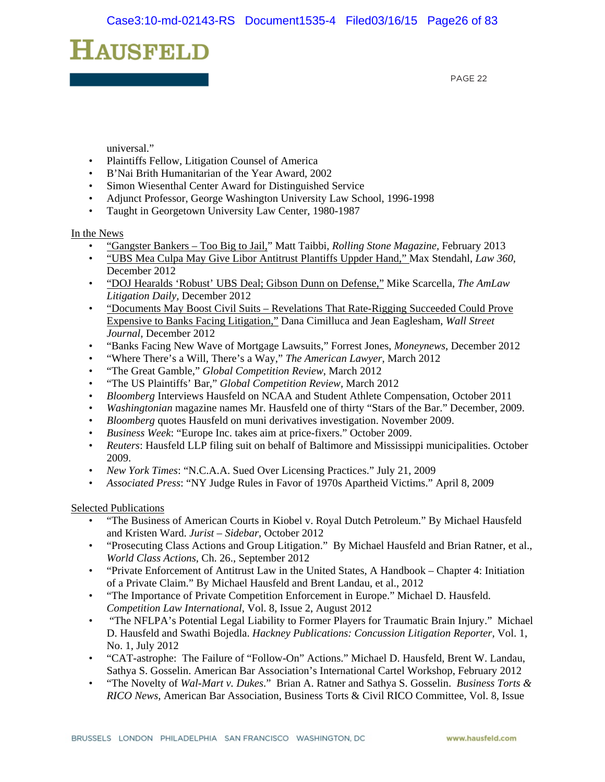PAGE 22

universal."

- Plaintiffs Fellow, Litigation Counsel of America
- B'Nai Brith Humanitarian of the Year Award, 2002
- Simon Wiesenthal Center Award for Distinguished Service
- Adjunct Professor, George Washington University Law School, 1996-1998
- Taught in Georgetown University Law Center, 1980-1987

#### In the News

- "Gangster Bankers Too Big to Jail," Matt Taibbi, *Rolling Stone Magazine,* February 2013
- "UBS Mea Culpa May Give Libor Antitrust Plantiffs Uppder Hand," Max Stendahl, *Law 360,* December 2012
- "DOJ Hearalds 'Robust' UBS Deal; Gibson Dunn on Defense," Mike Scarcella, *The AmLaw Litigation Daily,* December 2012
- "Documents May Boost Civil Suits Revelations That Rate-Rigging Succeeded Could Prove Expensive to Banks Facing Litigation," Dana Cimilluca and Jean Eaglesham, *Wall Street Journal,* December 2012
- "Banks Facing New Wave of Mortgage Lawsuits," Forrest Jones, *Moneynews*, December 2012
- "Where There's a Will, There's a Way," *The American Lawyer*, March 2012
- "The Great Gamble," *Global Competition Review*, March 2012
- "The US Plaintiffs' Bar," *Global Competition Review,* March 2012
- *Bloomberg* Interviews Hausfeld on NCAA and Student Athlete Compensation*,* October 2011
- *Washingtonian* magazine names Mr. Hausfeld one of thirty "Stars of the Bar." December, 2009.
- *Bloomberg* quotes Hausfeld on muni derivatives investigation. November 2009.
- *Business Week*: "Europe Inc. takes aim at price-fixers." October 2009.
- *Reuters*: Hausfeld LLP filing suit on behalf of Baltimore and Mississippi municipalities. October 2009.
- *New York Times*: "N.C.A.A. Sued Over Licensing Practices." July 21, 2009
- *Associated Press*: "NY Judge Rules in Favor of 1970s Apartheid Victims." April 8, 2009

#### Selected Publications

- "The Business of American Courts in Kiobel v. Royal Dutch Petroleum." By Michael Hausfeld and Kristen Ward. *Jurist – Sidebar,* October 2012
- "Prosecuting Class Actions and Group Litigation." By Michael Hausfeld and Brian Ratner, et al., *World Class Actions*, Ch. 26., September 2012
- "Private Enforcement of Antitrust Law in the United States, A Handbook Chapter 4: Initiation of a Private Claim." By Michael Hausfeld and Brent Landau, et al., 2012
- "The Importance of Private Competition Enforcement in Europe." Michael D. Hausfeld. *Competition Law International*, Vol. 8, Issue 2, August 2012
- "The NFLPA's Potential Legal Liability to Former Players for Traumatic Brain Injury." Michael D. Hausfeld and Swathi Bojedla. *Hackney Publications: Concussion Litigation Reporter,* Vol. 1, No. 1, July 2012
- "CAT-astrophe: The Failure of "Follow-On" Actions." Michael D. Hausfeld, Brent W. Landau, Sathya S. Gosselin. American Bar Association's International Cartel Workshop, February 2012
- "The Novelty of *Wal-Mart v. Dukes*." Brian A. Ratner and Sathya S. Gosselin. *Business Torts & RICO News*, American Bar Association, Business Torts & Civil RICO Committee, Vol. 8, Issue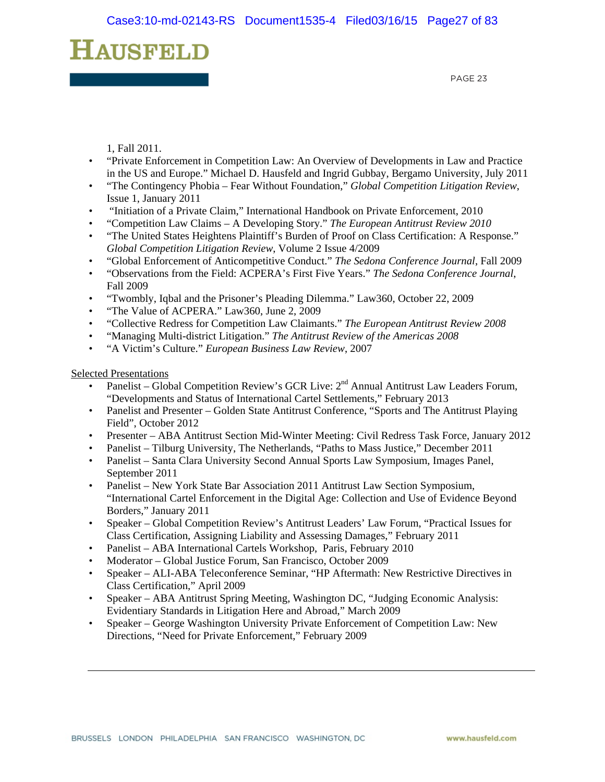PAGE 23

1, Fall 2011.

- "Private Enforcement in Competition Law: An Overview of Developments in Law and Practice in the US and Europe." Michael D. Hausfeld and Ingrid Gubbay, Bergamo University, July 2011
- "The Contingency Phobia Fear Without Foundation," *Global Competition Litigation Review*, Issue 1, January 2011
- "Initiation of a Private Claim," International Handbook on Private Enforcement, 2010
- "Competition Law Claims A Developing Story." *The European Antitrust Review 2010*
- "The United States Heightens Plaintiff's Burden of Proof on Class Certification: A Response." *Global Competition Litigation Review*, Volume 2 Issue 4/2009
- "Global Enforcement of Anticompetitive Conduct." *The Sedona Conference Journal*, Fall 2009
- "Observations from the Field: ACPERA's First Five Years." *The Sedona Conference Journal*, Fall 2009
- "Twombly, Iqbal and the Prisoner's Pleading Dilemma." Law360, October 22, 2009
- "The Value of ACPERA." Law360, June 2, 2009
- "Collective Redress for Competition Law Claimants." *The European Antitrust Review 2008*
- "Managing Multi-district Litigation." *The Antitrust Review of the Americas 2008*
- "A Victim's Culture." *European Business Law Review*, 2007

Selected Presentations

- Panelist Global Competition Review's GCR Live: 2<sup>nd</sup> Annual Antitrust Law Leaders Forum, "Developments and Status of International Cartel Settlements," February 2013
- Panelist and Presenter Golden State Antitrust Conference, "Sports and The Antitrust Playing Field", October 2012
- Presenter ABA Antitrust Section Mid-Winter Meeting: Civil Redress Task Force, January 2012
- Panelist Tilburg University, The Netherlands, "Paths to Mass Justice," December 2011
- Panelist Santa Clara University Second Annual Sports Law Symposium, Images Panel, September 2011
- Panelist New York State Bar Association 2011 Antitrust Law Section Symposium, "International Cartel Enforcement in the Digital Age: Collection and Use of Evidence Beyond Borders," January 2011
- Speaker Global Competition Review's Antitrust Leaders' Law Forum, "Practical Issues for Class Certification, Assigning Liability and Assessing Damages," February 2011
- Panelist ABA International Cartels Workshop, Paris, February 2010
- Moderator Global Justice Forum, San Francisco, October 2009
- Speaker ALI-ABA Teleconference Seminar, "HP Aftermath: New Restrictive Directives in Class Certification," April 2009
- Speaker ABA Antitrust Spring Meeting, Washington DC, "Judging Economic Analysis: Evidentiary Standards in Litigation Here and Abroad," March 2009
- Speaker George Washington University Private Enforcement of Competition Law: New Directions, "Need for Private Enforcement," February 2009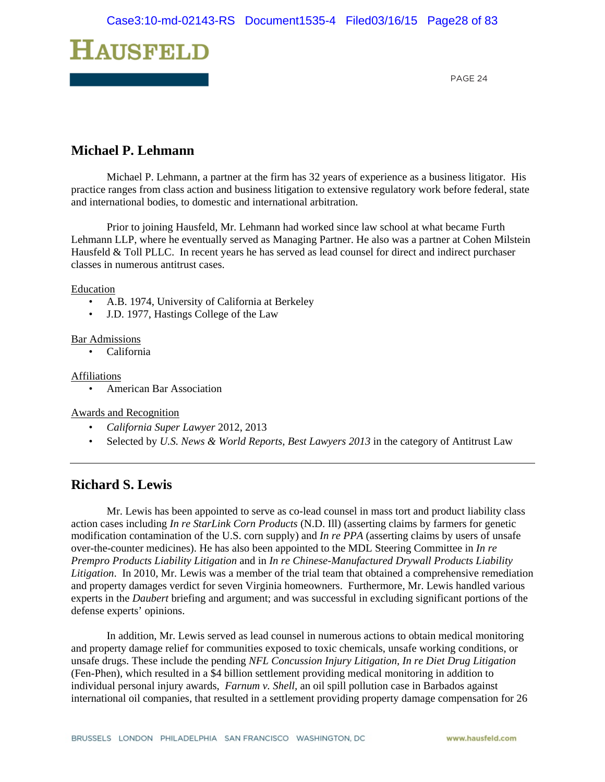

### **Michael P. Lehmann**

Michael P. Lehmann, a partner at the firm has 32 years of experience as a business litigator. His practice ranges from class action and business litigation to extensive regulatory work before federal, state and international bodies, to domestic and international arbitration.

Prior to joining Hausfeld, Mr. Lehmann had worked since law school at what became Furth Lehmann LLP, where he eventually served as Managing Partner. He also was a partner at Cohen Milstein Hausfeld & Toll PLLC. In recent years he has served as lead counsel for direct and indirect purchaser classes in numerous antitrust cases.

#### Education

- A.B. 1974, University of California at Berkeley
- J.D. 1977, Hastings College of the Law

#### Bar Admissions

• California

#### Affiliations

• American Bar Association

Awards and Recognition

- *California Super Lawyer* 2012, 2013
- Selected by *U.S. News & World Reports, Best Lawyers 2013* in the category of Antitrust Law

### **Richard S. Lewis**

Mr. Lewis has been appointed to serve as co-lead counsel in mass tort and product liability class action cases including *In re StarLink Corn Products* (N.D. Ill) (asserting claims by farmers for genetic modification contamination of the U.S. corn supply) and *In re PPA* (asserting claims by users of unsafe over-the-counter medicines). He has also been appointed to the MDL Steering Committee in *In re Prempro Products Liability Litigation* and in *In re Chinese-Manufactured Drywall Products Liability Litigation*. In 2010, Mr. Lewis was a member of the trial team that obtained a comprehensive remediation and property damages verdict for seven Virginia homeowners. Furthermore, Mr. Lewis handled various experts in the *Daubert* briefing and argument; and was successful in excluding significant portions of the defense experts' opinions.

In addition, Mr. Lewis served as lead counsel in numerous actions to obtain medical monitoring and property damage relief for communities exposed to toxic chemicals, unsafe working conditions, or unsafe drugs. These include the pending *NFL Concussion Injury Litigation, In re Diet Drug Litigation* (Fen-Phen), which resulted in a \$4 billion settlement providing medical monitoring in addition to individual personal injury awards, *Farnum v. Shell,* an oil spill pollution case in Barbados against international oil companies, that resulted in a settlement providing property damage compensation for 26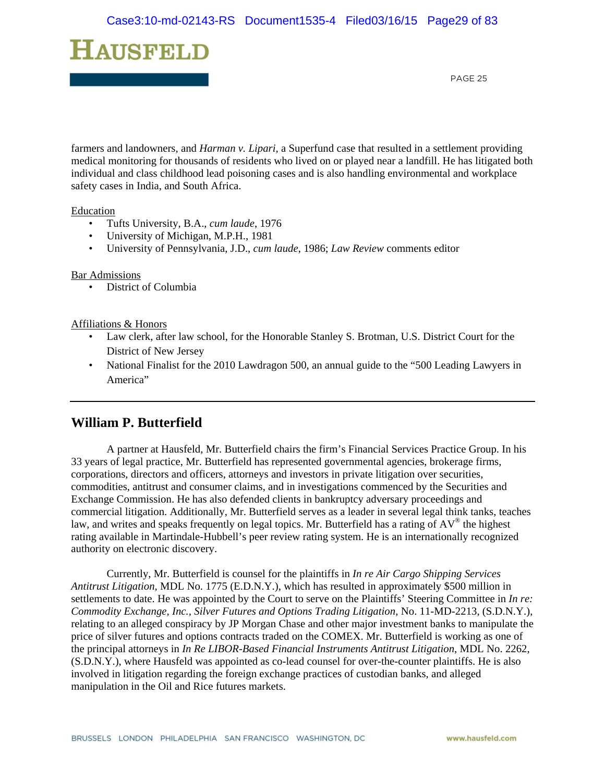

farmers and landowners, and *Harman v. Lipari*, a Superfund case that resulted in a settlement providing medical monitoring for thousands of residents who lived on or played near a landfill. He has litigated both individual and class childhood lead poisoning cases and is also handling environmental and workplace safety cases in India, and South Africa.

Education

- Tufts University, B.A., *cum laude*, 1976
- University of Michigan, M.P.H., 1981
- University of Pennsylvania, J.D., *cum laude*, 1986; *Law Review* comments editor

#### Bar Admissions

• District of Columbia

#### Affiliations & Honors

- Law clerk, after law school, for the Honorable Stanley S. Brotman, U.S. District Court for the District of New Jersey
- National Finalist for the 2010 Lawdragon 500, an annual guide to the "500 Leading Lawyers in America"

### **William P. Butterfield**

 A partner at Hausfeld, Mr. Butterfield chairs the firm's Financial Services Practice Group. In his 33 years of legal practice, Mr. Butterfield has represented governmental agencies, brokerage firms, corporations, directors and officers, attorneys and investors in private litigation over securities, commodities, antitrust and consumer claims, and in investigations commenced by the Securities and Exchange Commission. He has also defended clients in bankruptcy adversary proceedings and commercial litigation. Additionally, Mr. Butterfield serves as a leader in several legal think tanks, teaches law, and writes and speaks frequently on legal topics. Mr. Butterfield has a rating of AV® the highest rating available in Martindale-Hubbell's peer review rating system. He is an internationally recognized authority on electronic discovery.

 Currently, Mr. Butterfield is counsel for the plaintiffs in *In re Air Cargo Shipping Services Antitrust Litigation*, MDL No. 1775 (E.D.N.Y.), which has resulted in approximately \$500 million in settlements to date. He was appointed by the Court to serve on the Plaintiffs' Steering Committee in *In re: Commodity Exchange, Inc., Silver Futures and Options Trading Litigation*, No. 11-MD-2213, (S.D.N.Y.), relating to an alleged conspiracy by JP Morgan Chase and other major investment banks to manipulate the price of silver futures and options contracts traded on the COMEX. Mr. Butterfield is working as one of the principal attorneys in *In Re LIBOR-Based Financial Instruments Antitrust Litigation*, MDL No. 2262, (S.D.N.Y.), where Hausfeld was appointed as co-lead counsel for over-the-counter plaintiffs. He is also involved in litigation regarding the foreign exchange practices of custodian banks, and alleged manipulation in the Oil and Rice futures markets.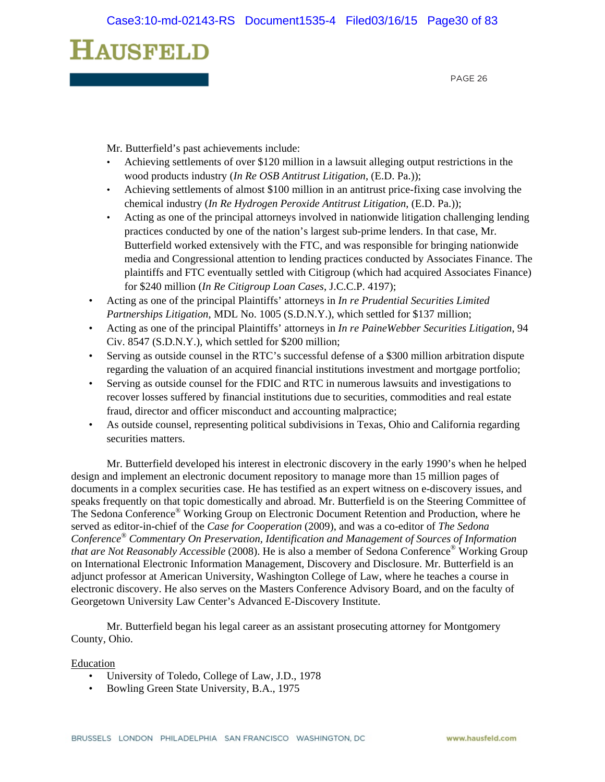PAGE 26

Mr. Butterfield's past achievements include:

- Achieving settlements of over \$120 million in a lawsuit alleging output restrictions in the wood products industry (*In Re OSB Antitrust Litigation*, (E.D. Pa.));
- Achieving settlements of almost \$100 million in an antitrust price-fixing case involving the chemical industry (*In Re Hydrogen Peroxide Antitrust Litigation*, (E.D. Pa.));
- Acting as one of the principal attorneys involved in nationwide litigation challenging lending practices conducted by one of the nation's largest sub-prime lenders. In that case, Mr. Butterfield worked extensively with the FTC, and was responsible for bringing nationwide media and Congressional attention to lending practices conducted by Associates Finance. The plaintiffs and FTC eventually settled with Citigroup (which had acquired Associates Finance) for \$240 million (*In Re Citigroup Loan Cases*, J.C.C.P. 4197);
- Acting as one of the principal Plaintiffs' attorneys in *In re Prudential Securities Limited Partnerships Litigation*, MDL No. 1005 (S.D.N.Y.), which settled for \$137 million;
- Acting as one of the principal Plaintiffs' attorneys in *In re PaineWebber Securities Litigation*, 94 Civ. 8547 (S.D.N.Y.), which settled for \$200 million;
- Serving as outside counsel in the RTC's successful defense of a \$300 million arbitration dispute regarding the valuation of an acquired financial institutions investment and mortgage portfolio;
- Serving as outside counsel for the FDIC and RTC in numerous lawsuits and investigations to recover losses suffered by financial institutions due to securities, commodities and real estate fraud, director and officer misconduct and accounting malpractice;
- As outside counsel, representing political subdivisions in Texas, Ohio and California regarding securities matters.

 Mr. Butterfield developed his interest in electronic discovery in the early 1990's when he helped design and implement an electronic document repository to manage more than 15 million pages of documents in a complex securities case. He has testified as an expert witness on e-discovery issues, and speaks frequently on that topic domestically and abroad. Mr. Butterfield is on the Steering Committee of The Sedona Conference® Working Group on Electronic Document Retention and Production, where he served as editor-in-chief of the *Case for Cooperation* (2009), and was a co-editor of *The Sedona Conference® Commentary On Preservation, Identification and Management of Sources of Information that are Not Reasonably Accessible* (2008). He is also a member of Sedona Conference® Working Group on International Electronic Information Management, Discovery and Disclosure. Mr. Butterfield is an adjunct professor at American University, Washington College of Law, where he teaches a course in electronic discovery. He also serves on the Masters Conference Advisory Board, and on the faculty of Georgetown University Law Center's Advanced E-Discovery Institute.

 Mr. Butterfield began his legal career as an assistant prosecuting attorney for Montgomery County, Ohio.

#### Education

- University of Toledo, College of Law, J.D., 1978
- Bowling Green State University, B.A., 1975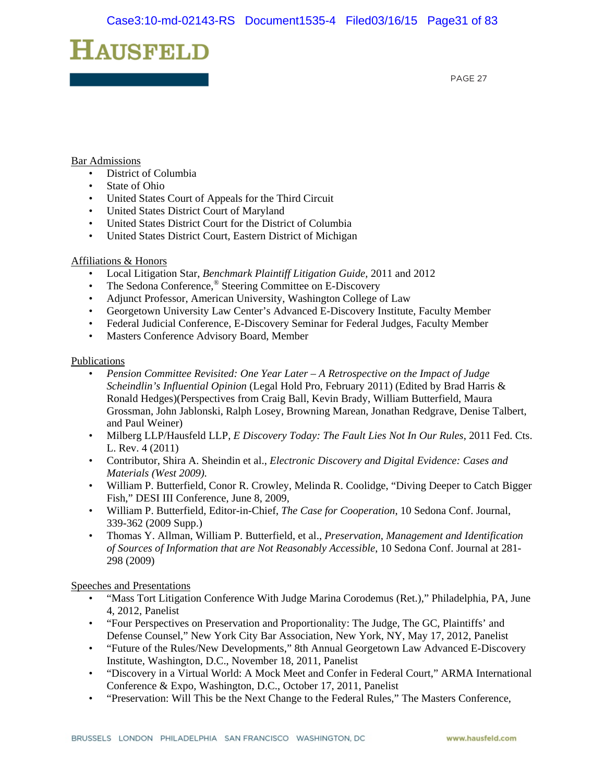PAGE 27

#### Bar Admissions

- District of Columbia
- State of Ohio
- United States Court of Appeals for the Third Circuit
- United States District Court of Maryland
- United States District Court for the District of Columbia
- United States District Court, Eastern District of Michigan

#### Affiliations & Honors

- Local Litigation Star, *Benchmark Plaintiff Litigation Guide,* 2011 and 2012
- The Sedona Conference,® Steering Committee on E-Discovery
- Adjunct Professor, American University, Washington College of Law
- Georgetown University Law Center's Advanced E-Discovery Institute, Faculty Member
- Federal Judicial Conference, E-Discovery Seminar for Federal Judges, Faculty Member
- Masters Conference Advisory Board, Member

#### Publications

- *Pension Committee Revisited: One Year Later A Retrospective on the Impact of Judge Scheindlin's Influential Opinion* (Legal Hold Pro, February 2011) (Edited by Brad Harris & Ronald Hedges)(Perspectives from Craig Ball, Kevin Brady, William Butterfield, Maura Grossman, John Jablonski, Ralph Losey, Browning Marean, Jonathan Redgrave, Denise Talbert, and Paul Weiner)
- Milberg LLP/Hausfeld LLP, *E Discovery Today: The Fault Lies Not In Our Rules*, 2011 Fed. Cts. L. Rev. 4 (2011)
- Contributor, Shira A. Sheindin et al., *Electronic Discovery and Digital Evidence: Cases and Materials (West 2009).*
- William P. Butterfield, Conor R. Crowley, Melinda R. Coolidge, "Diving Deeper to Catch Bigger Fish," DESI III Conference, June 8, 2009,
- William P. Butterfield, Editor-in-Chief, *The Case for Cooperation*, 10 Sedona Conf. Journal, 339-362 (2009 Supp.)
- Thomas Y. Allman, William P. Butterfield, et al., *Preservation, Management and Identification of Sources of Information that are Not Reasonably Accessible*, 10 Sedona Conf. Journal at 281- 298 (2009)

Speeches and Presentations

- "Mass Tort Litigation Conference With Judge Marina Corodemus (Ret.)," Philadelphia, PA, June 4, 2012, Panelist
- "Four Perspectives on Preservation and Proportionality: The Judge, The GC, Plaintiffs' and Defense Counsel," New York City Bar Association, New York, NY, May 17, 2012, Panelist
- "Future of the Rules/New Developments," 8th Annual Georgetown Law Advanced E-Discovery Institute, Washington, D.C., November 18, 2011, Panelist
- "Discovery in a Virtual World: A Mock Meet and Confer in Federal Court," ARMA International Conference & Expo, Washington, D.C., October 17, 2011, Panelist
- "Preservation: Will This be the Next Change to the Federal Rules," The Masters Conference,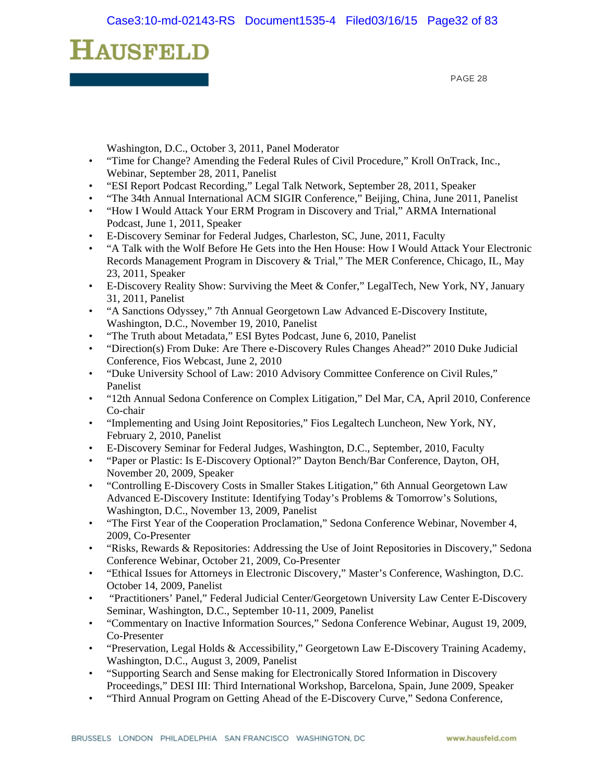PAGE 28

Washington, D.C., October 3, 2011, Panel Moderator

- "Time for Change? Amending the Federal Rules of Civil Procedure," Kroll OnTrack, Inc., Webinar, September 28, 2011, Panelist
- "ESI Report Podcast Recording," Legal Talk Network, September 28, 2011, Speaker
- "The 34th Annual International ACM SIGIR Conference," Beijing, China, June 2011, Panelist
- "How I Would Attack Your ERM Program in Discovery and Trial," ARMA International Podcast, June 1, 2011, Speaker
- E-Discovery Seminar for Federal Judges, Charleston, SC, June, 2011, Faculty
- "A Talk with the Wolf Before He Gets into the Hen House: How I Would Attack Your Electronic Records Management Program in Discovery & Trial," The MER Conference, Chicago, IL, May 23, 2011, Speaker
- E-Discovery Reality Show: Surviving the Meet & Confer," LegalTech, New York, NY, January 31, 2011, Panelist
- "A Sanctions Odyssey," 7th Annual Georgetown Law Advanced E-Discovery Institute, Washington, D.C., November 19, 2010, Panelist
- "The Truth about Metadata," ESI Bytes Podcast, June 6, 2010, Panelist
- "Direction(s) From Duke: Are There e-Discovery Rules Changes Ahead?" 2010 Duke Judicial Conference, Fios Webcast, June 2, 2010
- "Duke University School of Law: 2010 Advisory Committee Conference on Civil Rules," Panelist
- "12th Annual Sedona Conference on Complex Litigation," Del Mar, CA, April 2010, Conference Co-chair
- "Implementing and Using Joint Repositories," Fios Legaltech Luncheon, New York, NY, February 2, 2010, Panelist
- E-Discovery Seminar for Federal Judges, Washington, D.C., September, 2010, Faculty
- "Paper or Plastic: Is E-Discovery Optional?" Dayton Bench/Bar Conference, Dayton, OH, November 20, 2009, Speaker
- "Controlling E-Discovery Costs in Smaller Stakes Litigation," 6th Annual Georgetown Law Advanced E-Discovery Institute: Identifying Today's Problems & Tomorrow's Solutions, Washington, D.C., November 13, 2009, Panelist
- "The First Year of the Cooperation Proclamation," Sedona Conference Webinar, November 4, 2009, Co-Presenter
- "Risks, Rewards & Repositories: Addressing the Use of Joint Repositories in Discovery," Sedona Conference Webinar, October 21, 2009, Co-Presenter
- "Ethical Issues for Attorneys in Electronic Discovery," Master's Conference, Washington, D.C. October 14, 2009, Panelist
- "Practitioners' Panel," Federal Judicial Center/Georgetown University Law Center E-Discovery Seminar, Washington, D.C., September 10-11, 2009, Panelist
- "Commentary on Inactive Information Sources," Sedona Conference Webinar, August 19, 2009, Co-Presenter
- "Preservation, Legal Holds & Accessibility," Georgetown Law E-Discovery Training Academy, Washington, D.C., August 3, 2009, Panelist
- "Supporting Search and Sense making for Electronically Stored Information in Discovery Proceedings," DESI III: Third International Workshop, Barcelona, Spain, June 2009, Speaker
- "Third Annual Program on Getting Ahead of the E-Discovery Curve," Sedona Conference,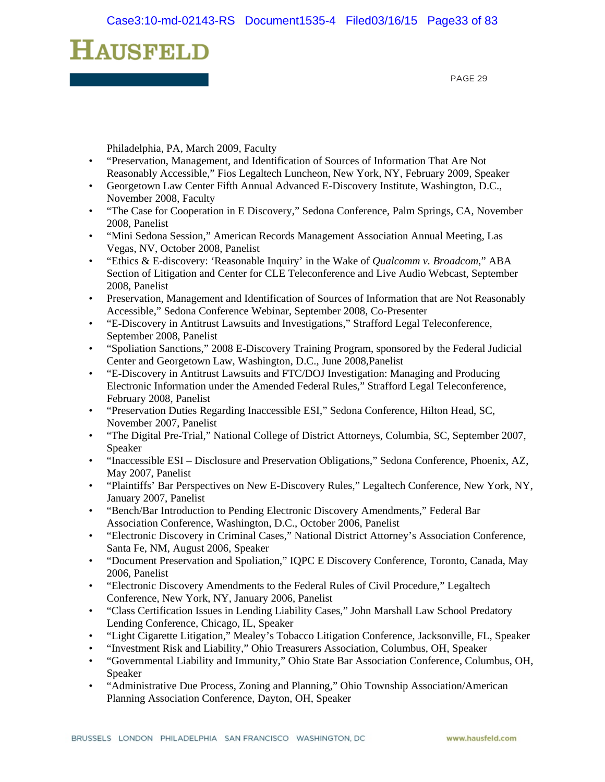PAGE 29

Philadelphia, PA, March 2009, Faculty

- "Preservation, Management, and Identification of Sources of Information That Are Not Reasonably Accessible," Fios Legaltech Luncheon, New York, NY, February 2009, Speaker
- Georgetown Law Center Fifth Annual Advanced E-Discovery Institute, Washington, D.C., November 2008, Faculty
- "The Case for Cooperation in E Discovery," Sedona Conference, Palm Springs, CA, November 2008, Panelist
- "Mini Sedona Session," American Records Management Association Annual Meeting, Las Vegas, NV, October 2008, Panelist
- "Ethics & E-discovery: 'Reasonable Inquiry' in the Wake of *Qualcomm v. Broadcom*," ABA Section of Litigation and Center for CLE Teleconference and Live Audio Webcast, September 2008, Panelist
- Preservation, Management and Identification of Sources of Information that are Not Reasonably Accessible," Sedona Conference Webinar, September 2008, Co-Presenter
- "E-Discovery in Antitrust Lawsuits and Investigations," Strafford Legal Teleconference, September 2008, Panelist
- "Spoliation Sanctions," 2008 E-Discovery Training Program, sponsored by the Federal Judicial Center and Georgetown Law, Washington, D.C., June 2008,Panelist
- "E-Discovery in Antitrust Lawsuits and FTC/DOJ Investigation: Managing and Producing Electronic Information under the Amended Federal Rules," Strafford Legal Teleconference, February 2008, Panelist
- "Preservation Duties Regarding Inaccessible ESI," Sedona Conference, Hilton Head, SC, November 2007, Panelist
- "The Digital Pre-Trial," National College of District Attorneys, Columbia, SC, September 2007, Speaker
- "Inaccessible ESI Disclosure and Preservation Obligations," Sedona Conference, Phoenix, AZ, May 2007, Panelist
- "Plaintiffs' Bar Perspectives on New E-Discovery Rules," Legaltech Conference, New York, NY, January 2007, Panelist
- "Bench/Bar Introduction to Pending Electronic Discovery Amendments," Federal Bar Association Conference, Washington, D.C., October 2006, Panelist
- "Electronic Discovery in Criminal Cases," National District Attorney's Association Conference, Santa Fe, NM, August 2006, Speaker
- "Document Preservation and Spoliation," IQPC E Discovery Conference, Toronto, Canada, May 2006, Panelist
- "Electronic Discovery Amendments to the Federal Rules of Civil Procedure," Legaltech Conference, New York, NY, January 2006, Panelist
- "Class Certification Issues in Lending Liability Cases," John Marshall Law School Predatory Lending Conference, Chicago, IL, Speaker
- "Light Cigarette Litigation," Mealey's Tobacco Litigation Conference, Jacksonville, FL, Speaker
- "Investment Risk and Liability," Ohio Treasurers Association, Columbus, OH, Speaker
- "Governmental Liability and Immunity," Ohio State Bar Association Conference, Columbus, OH, Speaker
- "Administrative Due Process, Zoning and Planning," Ohio Township Association/American Planning Association Conference, Dayton, OH, Speaker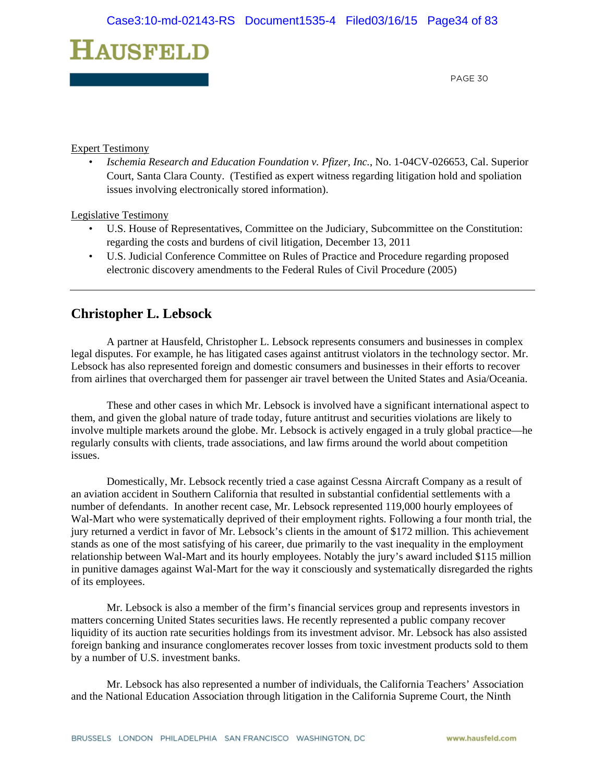PAGE 30

#### Expert Testimony

• *Ischemia Research and Education Foundation v. Pfizer, Inc.*, No. 1-04CV-026653, Cal. Superior Court, Santa Clara County. (Testified as expert witness regarding litigation hold and spoliation issues involving electronically stored information).

Legislative Testimony

- U.S. House of Representatives, Committee on the Judiciary, Subcommittee on the Constitution: regarding the costs and burdens of civil litigation, December 13, 2011
- U.S. Judicial Conference Committee on Rules of Practice and Procedure regarding proposed electronic discovery amendments to the Federal Rules of Civil Procedure (2005)

### **Christopher L. Lebsock**

 A partner at Hausfeld, Christopher L. Lebsock represents consumers and businesses in complex legal disputes. For example, he has litigated cases against antitrust violators in the technology sector. Mr. Lebsock has also represented foreign and domestic consumers and businesses in their efforts to recover from airlines that overcharged them for passenger air travel between the United States and Asia/Oceania.

These and other cases in which Mr. Lebsock is involved have a significant international aspect to them, and given the global nature of trade today, future antitrust and securities violations are likely to involve multiple markets around the globe. Mr. Lebsock is actively engaged in a truly global practice—he regularly consults with clients, trade associations, and law firms around the world about competition issues.

Domestically, Mr. Lebsock recently tried a case against Cessna Aircraft Company as a result of an aviation accident in Southern California that resulted in substantial confidential settlements with a number of defendants. In another recent case, Mr. Lebsock represented 119,000 hourly employees of Wal-Mart who were systematically deprived of their employment rights. Following a four month trial, the jury returned a verdict in favor of Mr. Lebsock's clients in the amount of \$172 million. This achievement stands as one of the most satisfying of his career, due primarily to the vast inequality in the employment relationship between Wal-Mart and its hourly employees. Notably the jury's award included \$115 million in punitive damages against Wal-Mart for the way it consciously and systematically disregarded the rights of its employees.

Mr. Lebsock is also a member of the firm's financial services group and represents investors in matters concerning United States securities laws. He recently represented a public company recover liquidity of its auction rate securities holdings from its investment advisor. Mr. Lebsock has also assisted foreign banking and insurance conglomerates recover losses from toxic investment products sold to them by a number of U.S. investment banks.

Mr. Lebsock has also represented a number of individuals, the California Teachers' Association and the National Education Association through litigation in the California Supreme Court, the Ninth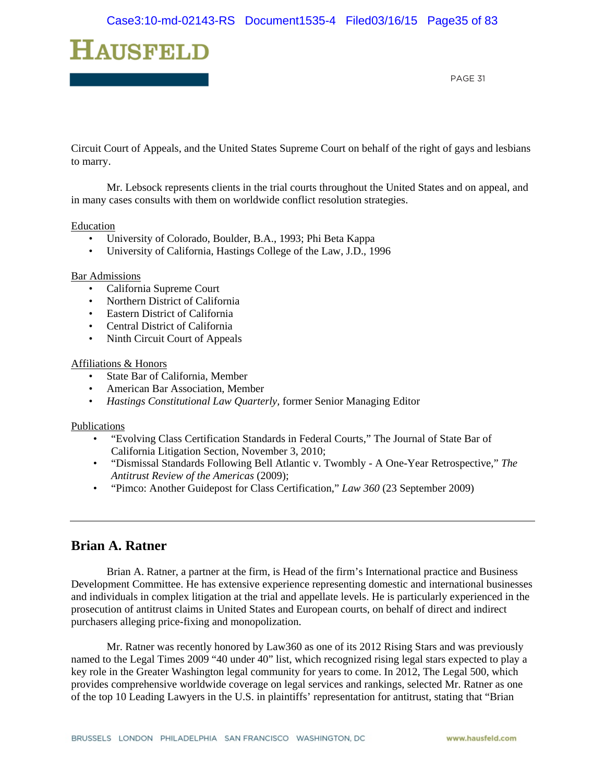

Circuit Court of Appeals, and the United States Supreme Court on behalf of the right of gays and lesbians to marry.

Mr. Lebsock represents clients in the trial courts throughout the United States and on appeal, and in many cases consults with them on worldwide conflict resolution strategies.

#### Education

- University of Colorado, Boulder, B.A., 1993; Phi Beta Kappa
- University of California, Hastings College of the Law, J.D., 1996

#### **Bar Admissions**

- California Supreme Court
- Northern District of California
- Eastern District of California
- Central District of California
- Ninth Circuit Court of Appeals

#### Affiliations & Honors

- State Bar of California, Member
- American Bar Association, Member
- *Hastings Constitutional Law Quarterly,* former Senior Managing Editor

#### Publications

- "Evolving Class Certification Standards in Federal Courts," The Journal of State Bar of California Litigation Section, November 3, 2010;
- "Dismissal Standards Following Bell Atlantic v. Twombly A One-Year Retrospective," *The Antitrust Review of the Americas* (2009);
- "Pimco: Another Guidepost for Class Certification," *Law 360* (23 September 2009)

### **Brian A. Ratner**

 Brian A. Ratner, a partner at the firm, is Head of the firm's International practice and Business Development Committee. He has extensive experience representing domestic and international businesses and individuals in complex litigation at the trial and appellate levels. He is particularly experienced in the prosecution of antitrust claims in United States and European courts, on behalf of direct and indirect purchasers alleging price-fixing and monopolization.

 Mr. Ratner was recently honored by Law360 as one of its 2012 Rising Stars and was previously named to the Legal Times 2009 "40 under 40" list, which recognized rising legal stars expected to play a key role in the Greater Washington legal community for years to come. In 2012, The Legal 500, which provides comprehensive worldwide coverage on legal services and rankings, selected Mr. Ratner as one of the top 10 Leading Lawyers in the U.S. in plaintiffs' representation for antitrust, stating that "Brian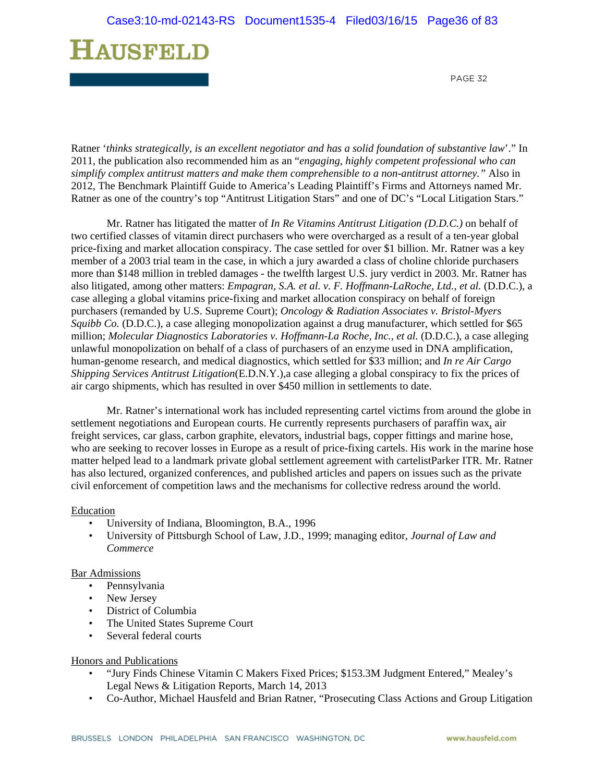PAGE 32

Ratner '*thinks strategically, is an excellent negotiator and has a solid foundation of substantive law*'." In 2011, the publication also recommended him as an "*engaging, highly competent professional who can simplify complex antitrust matters and make them comprehensible to a non-antitrust attorney."* Also in 2012, The Benchmark Plaintiff Guide to America's Leading Plaintiff's Firms and Attorneys named Mr. Ratner as one of the country's top "Antitrust Litigation Stars" and one of DC's "Local Litigation Stars."

 Mr. Ratner has litigated the matter of *In Re Vitamins Antitrust Litigation (D.D.C.)* on behalf of two certified classes of vitamin direct purchasers who were overcharged as a result of a ten-year global price-fixing and market allocation conspiracy. The case settled for over \$1 billion. Mr. Ratner was a key member of a 2003 trial team in the case, in which a jury awarded a class of choline chloride purchasers more than \$148 million in trebled damages - the twelfth largest U.S. jury verdict in 2003. Mr. Ratner has also litigated, among other matters: *Empagran, S.A. et al. v. F. Hoffmann-LaRoche, Ltd., et al.* (D.D.C.), a case alleging a global vitamins price-fixing and market allocation conspiracy on behalf of foreign purchasers (remanded by U.S. Supreme Court); *Oncology & Radiation Associates v. Bristol-Myers Squibb Co.* (D.D.C.), a case alleging monopolization against a drug manufacturer, which settled for \$65 million; *Molecular Diagnostics Laboratories v. Hoffmann-La Roche, Inc., et al.* (D.D.C.), a case alleging unlawful monopolization on behalf of a class of purchasers of an enzyme used in DNA amplification, human-genome research, and medical diagnostics, which settled for \$33 million; and *In re Air Cargo Shipping Services Antitrust Litigation*(E.D.N.Y.),a case alleging a global conspiracy to fix the prices of air cargo shipments, which has resulted in over \$450 million in settlements to date.

 Mr. Ratner's international work has included representing cartel victims from around the globe in settlement negotiations and European courts. He currently represents purchasers of paraffin wax, air freight services, car glass, carbon graphite, elevators, industrial bags, copper fittings and marine hose, who are seeking to recover losses in Europe as a result of price-fixing cartels. His work in the marine hose matter helped lead to a landmark private global settlement agreement with cartelistParker ITR. Mr. Ratner has also lectured, organized conferences, and published articles and papers on issues such as the private civil enforcement of competition laws and the mechanisms for collective redress around the world.

#### Education

- University of Indiana, Bloomington, B.A., 1996
- University of Pittsburgh School of Law, J.D., 1999; managing editor, *Journal of Law and Commerce*

#### Bar Admissions

- Pennsylvania
- New Jersey
- District of Columbia
- The United States Supreme Court
- Several federal courts

#### Honors and Publications

- "Jury Finds Chinese Vitamin C Makers Fixed Prices; \$153.3M Judgment Entered," Mealey's Legal News & Litigation Reports, March 14, 2013
- Co-Author, Michael Hausfeld and Brian Ratner, "Prosecuting Class Actions and Group Litigation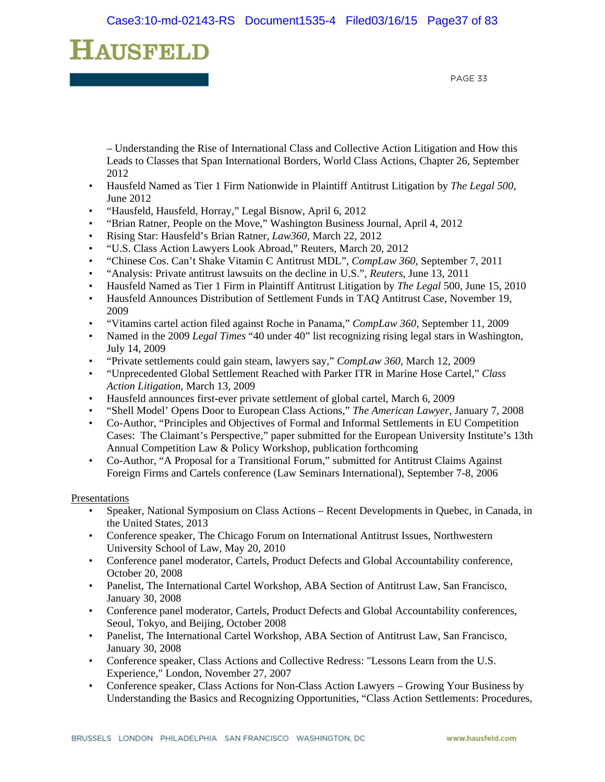# HAUSFELD

PAGE 33

– Understanding the Rise of International Class and Collective Action Litigation and How this Leads to Classes that Span International Borders, World Class Actions, Chapter 26, September 2012

- Hausfeld Named as Tier 1 Firm Nationwide in Plaintiff Antitrust Litigation by *The Legal 500*, June 2012
- "Hausfeld, Hausfeld, Horray," Legal Bisnow, April 6, 2012
- "Brian Ratner, People on the Move," Washington Business Journal, April 4, 2012
- Rising Star: Hausfeld's Brian Ratner, *Law360,* March 22, 2012
- "U.S. Class Action Lawyers Look Abroad," Reuters, March 20, 2012
- "Chinese Cos. Can't Shake Vitamin C Antitrust MDL", *CompLaw 360,* September 7, 2011
- "Analysis: Private antitrust lawsuits on the decline in U.S.", *Reuters*, June 13, 2011
- Hausfeld Named as Tier 1 Firm in Plaintiff Antitrust Litigation by *The Legal* 500, June 15, 2010
- Hausfeld Announces Distribution of Settlement Funds in TAQ Antitrust Case, November 19, 2009
- "Vitamins cartel action filed against Roche in Panama," *CompLaw 360,* September 11, 2009
- Named in the 2009 *Legal Times* "40 under 40" list recognizing rising legal stars in Washington, July 14, 2009
- "Private settlements could gain steam, lawyers say," *CompLaw 360,* March 12, 2009
- "Unprecedented Global Settlement Reached with Parker ITR in Marine Hose Cartel," *Class Action Litigation*, March 13, 2009
- Hausfeld announces first-ever private settlement of global cartel, March 6, 2009
- "Shell Model' Opens Door to European Class Actions," *The American Lawyer,* January 7, 2008
- Co-Author, "Principles and Objectives of Formal and Informal Settlements in EU Competition Cases: The Claimant's Perspective," paper submitted for the European University Institute's 13th Annual Competition Law & Policy Workshop, publication forthcoming
- Co-Author, "A Proposal for a Transitional Forum," submitted for Antitrust Claims Against Foreign Firms and Cartels conference (Law Seminars International), September 7-8, 2006

#### Presentations

- Speaker, National Symposium on Class Actions Recent Developments in Quebec, in Canada, in the United States, 2013
- Conference speaker, The Chicago Forum on International Antitrust Issues, Northwestern University School of Law, May 20, 2010
- Conference panel moderator, Cartels, Product Defects and Global Accountability conference, October 20, 2008
- Panelist, The International Cartel Workshop, ABA Section of Antitrust Law, San Francisco, January 30, 2008
- Conference panel moderator, Cartels, Product Defects and Global Accountability conferences, Seoul, Tokyo, and Beijing, October 2008
- Panelist, The International Cartel Workshop, ABA Section of Antitrust Law, San Francisco, January 30, 2008
- Conference speaker, Class Actions and Collective Redress: "Lessons Learn from the U.S. Experience," London, November 27, 2007
- Conference speaker, Class Actions for Non-Class Action Lawyers Growing Your Business by Understanding the Basics and Recognizing Opportunities, "Class Action Settlements: Procedures,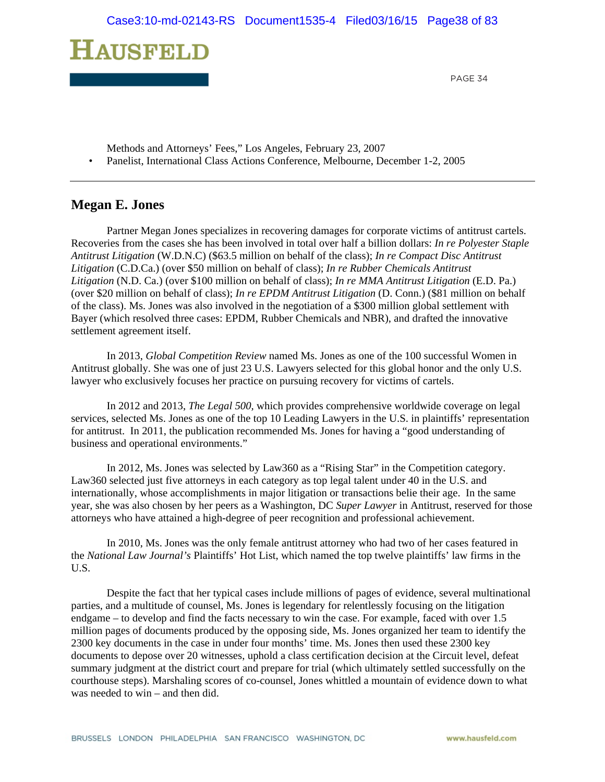

- Methods and Attorneys' Fees," Los Angeles, February 23, 2007
- Panelist, International Class Actions Conference, Melbourne, December 1-2, 2005

# **Megan E. Jones**

 Partner Megan Jones specializes in recovering damages for corporate victims of antitrust cartels. Recoveries from the cases she has been involved in total over half a billion dollars: *In re Polyester Staple Antitrust Litigation* (W.D.N.C) (\$63.5 million on behalf of the class); *In re Compact Disc Antitrust Litigation* (C.D.Ca.) (over \$50 million on behalf of class); *In re Rubber Chemicals Antitrust Litigation* (N.D. Ca.) (over \$100 million on behalf of class); *In re MMA Antitrust Litigation* (E.D. Pa.) (over \$20 million on behalf of class); *In re EPDM Antitrust Litigation* (D. Conn.) (\$81 million on behalf of the class). Ms. Jones was also involved in the negotiation of a \$300 million global settlement with Bayer (which resolved three cases: EPDM, Rubber Chemicals and NBR), and drafted the innovative settlement agreement itself.

 In 2013, *Global Competition Review* named Ms. Jones as one of the 100 successful Women in Antitrust globally. She was one of just 23 U.S. Lawyers selected for this global honor and the only U.S. lawyer who exclusively focuses her practice on pursuing recovery for victims of cartels.

In 2012 and 2013, *The Legal 500,* which provides comprehensive worldwide coverage on legal services, selected Ms. Jones as one of the top 10 Leading Lawyers in the U.S. in plaintiffs' representation for antitrust. In 2011, the publication recommended Ms. Jones for having a "good understanding of business and operational environments."

In 2012, Ms. Jones was selected by Law360 as a "Rising Star" in the Competition category. Law360 selected just five attorneys in each category as top legal talent under 40 in the U.S. and internationally, whose accomplishments in major litigation or transactions belie their age. In the same year, she was also chosen by her peers as a Washington, DC *Super Lawyer* in Antitrust, reserved for those attorneys who have attained a high-degree of peer recognition and professional achievement.

 In 2010, Ms. Jones was the only female antitrust attorney who had two of her cases featured in the *National Law Journal's* Plaintiffs' Hot List, which named the top twelve plaintiffs' law firms in the U.S.

 Despite the fact that her typical cases include millions of pages of evidence, several multinational parties, and a multitude of counsel, Ms. Jones is legendary for relentlessly focusing on the litigation endgame – to develop and find the facts necessary to win the case. For example, faced with over 1.5 million pages of documents produced by the opposing side, Ms. Jones organized her team to identify the 2300 key documents in the case in under four months' time. Ms. Jones then used these 2300 key documents to depose over 20 witnesses, uphold a class certification decision at the Circuit level, defeat summary judgment at the district court and prepare for trial (which ultimately settled successfully on the courthouse steps). Marshaling scores of co-counsel, Jones whittled a mountain of evidence down to what was needed to win – and then did.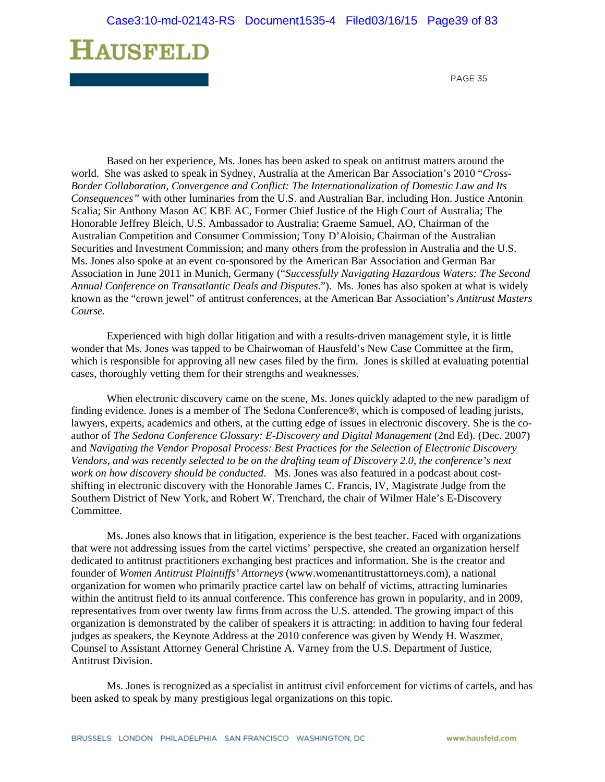

 Based on her experience, Ms. Jones has been asked to speak on antitrust matters around the world. She was asked to speak in Sydney, Australia at the American Bar Association's 2010 "*Cross-Border Collaboration, Convergence and Conflict: The Internationalization of Domestic Law and Its Consequences"* with other luminaries from the U.S. and Australian Bar, including Hon. Justice Antonin Scalia; Sir Anthony Mason AC KBE AC, Former Chief Justice of the High Court of Australia; The Honorable Jeffrey Bleich, U.S. Ambassador to Australia; Graeme Samuel, AO, Chairman of the Australian Competition and Consumer Commission; Tony D'Aloisio, Chairman of the Australian Securities and Investment Commission; and many others from the profession in Australia and the U.S. Ms. Jones also spoke at an event co-sponsored by the American Bar Association and German Bar Association in June 2011 in Munich, Germany ("*Successfully Navigating Hazardous Waters: The Second Annual Conference on Transatlantic Deals and Disputes*."). Ms. Jones has also spoken at what is widely known as the "crown jewel" of antitrust conferences, at the American Bar Association's *Antitrust Masters Course.*

 Experienced with high dollar litigation and with a results-driven management style, it is little wonder that Ms. Jones was tapped to be Chairwoman of Hausfeld's New Case Committee at the firm, which is responsible for approving all new cases filed by the firm. Jones is skilled at evaluating potential cases, thoroughly vetting them for their strengths and weaknesses.

 When electronic discovery came on the scene, Ms. Jones quickly adapted to the new paradigm of finding evidence. Jones is a member of The Sedona Conference®, which is composed of leading jurists, lawyers, experts, academics and others, at the cutting edge of issues in electronic discovery. She is the coauthor of *The Sedona Conference Glossary: E-Discovery and Digital Management* (2nd Ed). (Dec. 2007) and *Navigating the Vendor Proposal Process: Best Practices for the Selection of Electronic Discovery Vendors, and was recently selected to be on the drafting team of Discovery 2.0, the conference's next work on how discovery should be conducted*. Ms. Jones was also featured in a podcast about costshifting in electronic discovery with the Honorable James C. Francis, IV, Magistrate Judge from the Southern District of New York, and Robert W. Trenchard, the chair of Wilmer Hale's E-Discovery Committee.

 Ms. Jones also knows that in litigation, experience is the best teacher. Faced with organizations that were not addressing issues from the cartel victims' perspective, she created an organization herself dedicated to antitrust practitioners exchanging best practices and information. She is the creator and founder of *Women Antitrust Plaintiffs' Attorneys* (www.womenantitrustattorneys.com), a national organization for women who primarily practice cartel law on behalf of victims, attracting luminaries within the antitrust field to its annual conference. This conference has grown in popularity, and in 2009, representatives from over twenty law firms from across the U.S. attended. The growing impact of this organization is demonstrated by the caliber of speakers it is attracting: in addition to having four federal judges as speakers, the Keynote Address at the 2010 conference was given by Wendy H. Waszmer, Counsel to Assistant Attorney General Christine A. Varney from the U.S. Department of Justice, Antitrust Division.

 Ms. Jones is recognized as a specialist in antitrust civil enforcement for victims of cartels, and has been asked to speak by many prestigious legal organizations on this topic.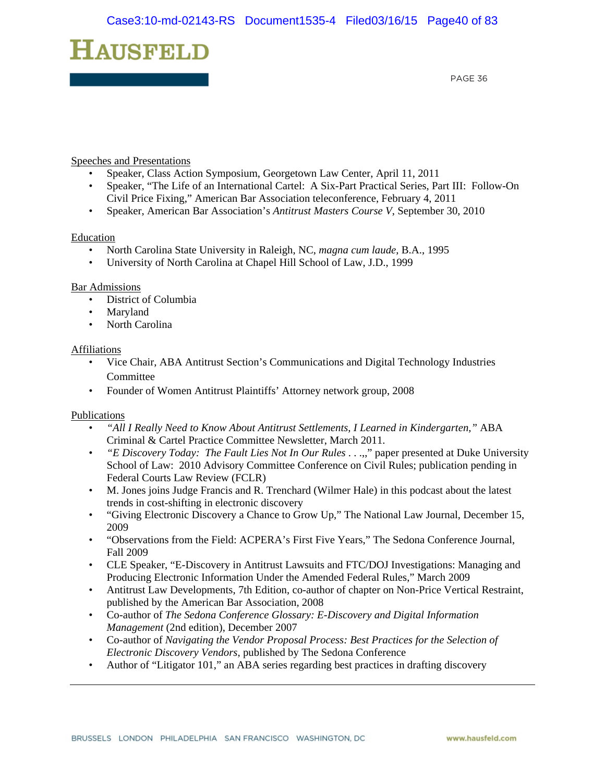

#### Speeches and Presentations

- Speaker, Class Action Symposium, Georgetown Law Center, April 11, 2011
- Speaker, "The Life of an International Cartel: A Six-Part Practical Series, Part III: Follow-On Civil Price Fixing," American Bar Association teleconference, February 4, 2011
- Speaker, American Bar Association's *Antitrust Masters Course V*, September 30, 2010

#### Education

- North Carolina State University in Raleigh, NC, *magna cum laude*, B.A., 1995
- University of North Carolina at Chapel Hill School of Law, J.D., 1999

#### Bar Admissions

- District of Columbia
- **Maryland**
- North Carolina

#### Affiliations

- Vice Chair, ABA Antitrust Section's Communications and Digital Technology Industries Committee
- Founder of Women Antitrust Plaintiffs' Attorney network group, 2008

#### Publications

- *"All I Really Need to Know About Antitrust Settlements, I Learned in Kindergarten,"* ABA Criminal & Cartel Practice Committee Newsletter, March 2011.
- *"E Discovery Today: The Fault Lies Not In Our Rules* . . .,," paper presented at Duke University School of Law: 2010 Advisory Committee Conference on Civil Rules; publication pending in Federal Courts Law Review (FCLR)
- M. Jones joins Judge Francis and R. Trenchard (Wilmer Hale) in this podcast about the latest trends in cost-shifting in electronic discovery
- "Giving Electronic Discovery a Chance to Grow Up," The National Law Journal, December 15, 2009
- "Observations from the Field: ACPERA's First Five Years," The Sedona Conference Journal, Fall 2009
- CLE Speaker, "E-Discovery in Antitrust Lawsuits and FTC/DOJ Investigations: Managing and Producing Electronic Information Under the Amended Federal Rules," March 2009
- Antitrust Law Developments, 7th Edition, co-author of chapter on Non-Price Vertical Restraint, published by the American Bar Association, 2008
- Co-author of *The Sedona Conference Glossary: E-Discovery and Digital Information Management* (2nd edition), December 2007
- Co-author of *Navigating the Vendor Proposal Process: Best Practices for the Selection of Electronic Discovery Vendors*, published by The Sedona Conference
- Author of "Litigator 101," an ABA series regarding best practices in drafting discovery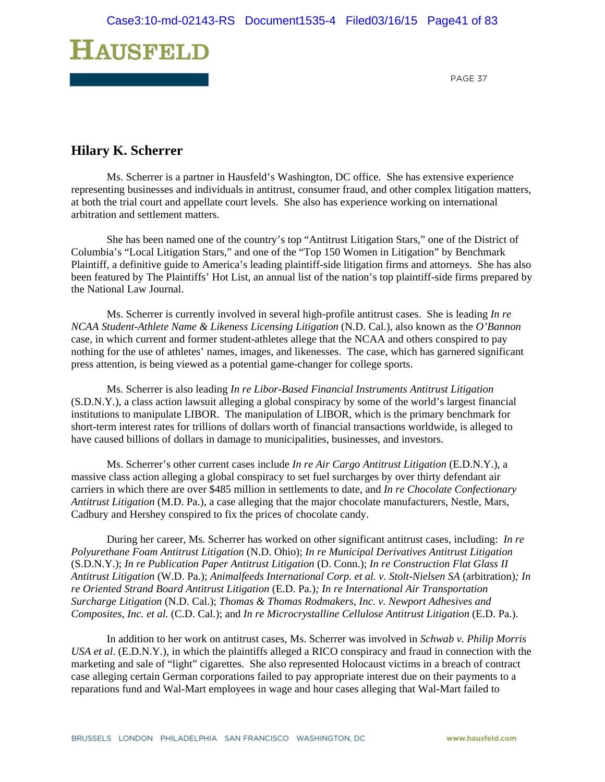

# **Hilary K. Scherrer**

Ms. Scherrer is a partner in Hausfeld's Washington, DC office. She has extensive experience representing businesses and individuals in antitrust, consumer fraud, and other complex litigation matters, at both the trial court and appellate court levels. She also has experience working on international arbitration and settlement matters.

She has been named one of the country's top "Antitrust Litigation Stars," one of the District of Columbia's "Local Litigation Stars," and one of the "Top 150 Women in Litigation" by Benchmark Plaintiff, a definitive guide to America's leading plaintiff-side litigation firms and attorneys. She has also been featured by The Plaintiffs' Hot List, an annual list of the nation's top plaintiff-side firms prepared by the National Law Journal.

Ms. Scherrer is currently involved in several high-profile antitrust cases. She is leading *In re NCAA Student-Athlete Name & Likeness Licensing Litigation* (N.D. Cal.), also known as the *O'Bannon* case, in which current and former student-athletes allege that the NCAA and others conspired to pay nothing for the use of athletes' names, images, and likenesses. The case, which has garnered significant press attention, is being viewed as a potential game-changer for college sports.

Ms. Scherrer is also leading *In re Libor-Based Financial Instruments Antitrust Litigation* (S.D.N.Y.), a class action lawsuit alleging a global conspiracy by some of the world's largest financial institutions to manipulate LIBOR. The manipulation of LIBOR, which is the primary benchmark for short-term interest rates for trillions of dollars worth of financial transactions worldwide, is alleged to have caused billions of dollars in damage to municipalities, businesses, and investors.

 Ms. Scherrer's other current cases include *In re Air Cargo Antitrust Litigation* (E.D.N.Y.), a massive class action alleging a global conspiracy to set fuel surcharges by over thirty defendant air carriers in which there are over \$485 million in settlements to date, and *In re Chocolate Confectionary Antitrust Litigation* (M.D. Pa.), a case alleging that the major chocolate manufacturers, Nestle, Mars, Cadbury and Hershey conspired to fix the prices of chocolate candy.

 During her career, Ms. Scherrer has worked on other significant antitrust cases, including: *In re Polyurethane Foam Antitrust Litigation* (N.D. Ohio); *In re Municipal Derivatives Antitrust Litigation* (S.D.N.Y.); *In re Publication Paper Antitrust Litigation* (D. Conn.); *In re Construction Flat Glass II Antitrust Litigation* (W.D. Pa.); *Animalfeeds International Corp. et al. v. Stolt-Nielsen SA* (arbitration)*; In re Oriented Strand Board Antitrust Litigation* (E.D. Pa.)*; In re International Air Transportation Surcharge Litigation* (N.D. Cal.); *Thomas & Thomas Rodmakers, Inc. v. Newport Adhesives and Composites, Inc. et al.* (C.D. Cal.); and *In re Microcrystalline Cellulose Antitrust Litigation* (E.D. Pa.).

In addition to her work on antitrust cases, Ms. Scherrer was involved in *Schwab v. Philip Morris USA et al*. (E.D.N.Y.), in which the plaintiffs alleged a RICO conspiracy and fraud in connection with the marketing and sale of "light" cigarettes. She also represented Holocaust victims in a breach of contract case alleging certain German corporations failed to pay appropriate interest due on their payments to a reparations fund and Wal-Mart employees in wage and hour cases alleging that Wal-Mart failed to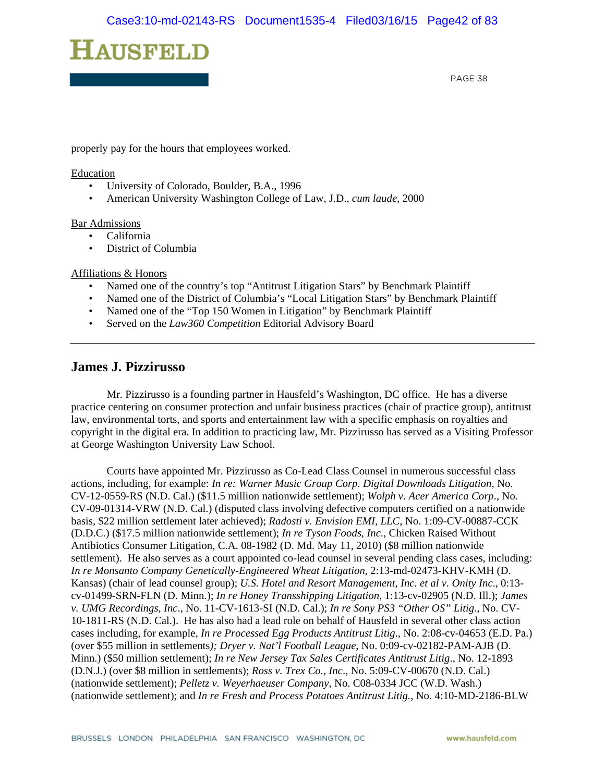

properly pay for the hours that employees worked.

#### **Education**

- University of Colorado, Boulder, B.A., 1996
- American University Washington College of Law, J.D., *cum laude*, 2000

#### Bar Admissions

- California
- District of Columbia

#### Affiliations & Honors

- Named one of the country's top "Antitrust Litigation Stars" by Benchmark Plaintiff
- Named one of the District of Columbia's "Local Litigation Stars" by Benchmark Plaintiff
- Named one of the "Top 150 Women in Litigation" by Benchmark Plaintiff
- Served on the *Law360 Competition* Editorial Advisory Board

### **James J. Pizzirusso**

 Mr. Pizzirusso is a founding partner in Hausfeld's Washington, DC office. He has a diverse practice centering on consumer protection and unfair business practices (chair of practice group), antitrust law, environmental torts, and sports and entertainment law with a specific emphasis on royalties and copyright in the digital era. In addition to practicing law, Mr. Pizzirusso has served as a Visiting Professor at George Washington University Law School.

 Courts have appointed Mr. Pizzirusso as Co-Lead Class Counsel in numerous successful class actions, including, for example: *In re: Warner Music Group Corp. Digital Downloads Litigation*, No. CV-12-0559-RS (N.D. Cal.) (\$11.5 million nationwide settlement); *Wolph v. Acer America Corp*., No. CV-09-01314-VRW (N.D. Cal.) (disputed class involving defective computers certified on a nationwide basis, \$22 million settlement later achieved); *Radosti v. Envision EMI, LLC*, No. 1:09-CV-00887-CCK (D.D.C.) (\$17.5 million nationwide settlement); *In re Tyson Foods, Inc*., Chicken Raised Without Antibiotics Consumer Litigation, C.A. 08-1982 (D. Md. May 11, 2010) (\$8 million nationwide settlement). He also serves as a court appointed co-lead counsel in several pending class cases, including: *In re Monsanto Company Genetically-Engineered Wheat Litigation*, 2:13-md-02473-KHV-KMH (D. Kansas) (chair of lead counsel group); *U.S. Hotel and Resort Management, Inc. et al v. Onity Inc*., 0:13 cv-01499-SRN-FLN (D. Minn.); *In re Honey Transshipping Litigation*, 1:13-cv-02905 (N.D. Ill.); *James v. UMG Recordings, Inc*., No. 11-CV-1613-SI (N.D. Cal.); *In re Sony PS3 "Other OS" Litig*., No. CV-10-1811-RS (N.D. Cal.). He has also had a lead role on behalf of Hausfeld in several other class action cases including, for example, *In re Processed Egg Products Antitrust Litig*., No. 2:08-cv-04653 (E.D. Pa.) (over \$55 million in settlements*); Dryer v. Nat'l Football League*, No. 0:09-cv-02182-PAM-AJB (D. Minn.) (\$50 million settlement); *In re New Jersey Tax Sales Certificates Antitrust Litig*., No. 12-1893 (D.N.J.) (over \$8 million in settlements); *Ross v. Trex Co., Inc*., No. 5:09-CV-00670 (N.D. Cal.) (nationwide settlement); *Pelletz v. Weyerhaeuser Company*, No. C08-0334 JCC (W.D. Wash.) (nationwide settlement); and *In re Fresh and Process Potatoes Antitrust Litig.*, No. 4:10-MD-2186-BLW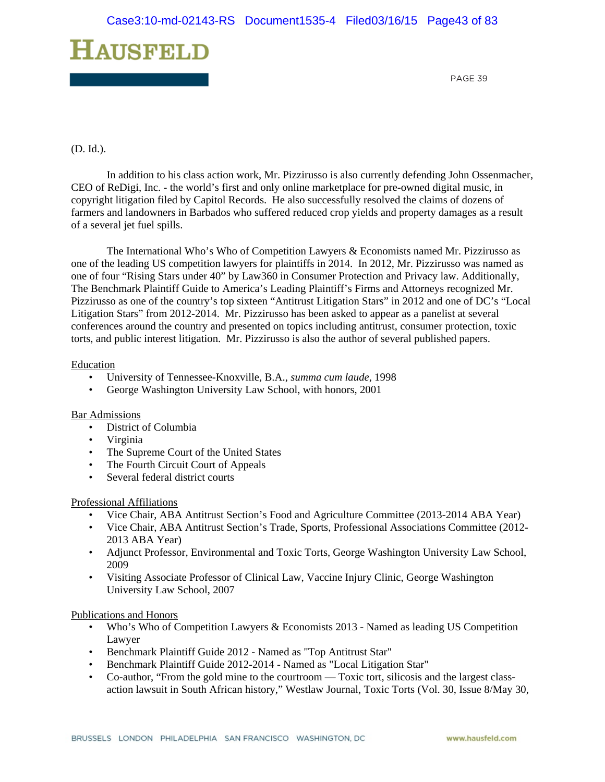

#### (D. Id.).

 In addition to his class action work, Mr. Pizzirusso is also currently defending John Ossenmacher, CEO of ReDigi, Inc. - the world's first and only online marketplace for pre-owned digital music, in copyright litigation filed by Capitol Records. He also successfully resolved the claims of dozens of farmers and landowners in Barbados who suffered reduced crop yields and property damages as a result of a several jet fuel spills.

 The International Who's Who of Competition Lawyers & Economists named Mr. Pizzirusso as one of the leading US competition lawyers for plaintiffs in 2014. In 2012, Mr. Pizzirusso was named as one of four "Rising Stars under 40" by Law360 in Consumer Protection and Privacy law. Additionally, The Benchmark Plaintiff Guide to America's Leading Plaintiff's Firms and Attorneys recognized Mr. Pizzirusso as one of the country's top sixteen "Antitrust Litigation Stars" in 2012 and one of DC's "Local Litigation Stars" from 2012-2014. Mr. Pizzirusso has been asked to appear as a panelist at several conferences around the country and presented on topics including antitrust, consumer protection, toxic torts, and public interest litigation. Mr. Pizzirusso is also the author of several published papers.

#### Education

- University of Tennessee-Knoxville, B.A., *summa cum laude*, 1998
- George Washington University Law School, with honors, 2001

#### Bar Admissions

- District of Columbia
- Virginia
- The Supreme Court of the United States
- The Fourth Circuit Court of Appeals
- Several federal district courts

#### Professional Affiliations

- Vice Chair, ABA Antitrust Section's Food and Agriculture Committee (2013-2014 ABA Year)
- Vice Chair, ABA Antitrust Section's Trade, Sports, Professional Associations Committee (2012- 2013 ABA Year)
- Adjunct Professor, Environmental and Toxic Torts, George Washington University Law School, 2009
- Visiting Associate Professor of Clinical Law, Vaccine Injury Clinic, George Washington University Law School, 2007

#### Publications and Honors

- Who's Who of Competition Lawyers & Economists 2013 Named as leading US Competition Lawyer
- Benchmark Plaintiff Guide 2012 Named as "Top Antitrust Star"
- Benchmark Plaintiff Guide 2012-2014 Named as "Local Litigation Star"
- Co-author, "From the gold mine to the courtroom Toxic tort, silicosis and the largest classaction lawsuit in South African history," Westlaw Journal, Toxic Torts (Vol. 30, Issue 8/May 30,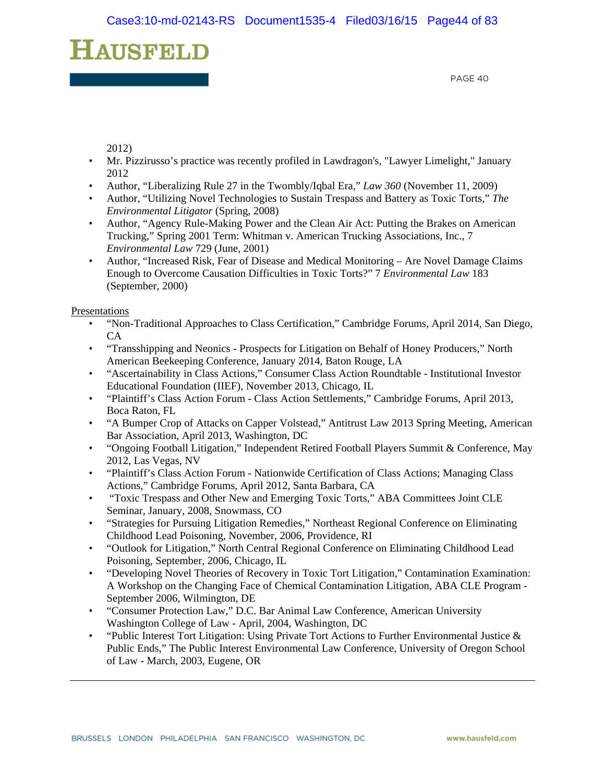# HAUSFELD

PAGE 40

2012)

- Mr. Pizzirusso's practice was recently profiled in Lawdragon's, "Lawyer Limelight," January 2012
- Author, "Liberalizing Rule 27 in the Twombly/Iqbal Era," *Law 360* (November 11, 2009)
- Author, "Utilizing Novel Technologies to Sustain Trespass and Battery as Toxic Torts," *The Environmental Litigator* (Spring, 2008)
- Author, "Agency Rule-Making Power and the Clean Air Act: Putting the Brakes on American Trucking," Spring 2001 Term: Whitman v. American Trucking Associations, Inc., 7 *Environmental Law* 729 (June, 2001)
- Author, "Increased Risk, Fear of Disease and Medical Monitoring Are Novel Damage Claims Enough to Overcome Causation Difficulties in Toxic Torts?" 7 *Environmental Law* 183 (September, 2000)

Presentations

- "Non-Traditional Approaches to Class Certification," Cambridge Forums, April 2014, San Diego, CA
- "Transshipping and Neonics Prospects for Litigation on Behalf of Honey Producers," North American Beekeeping Conference, January 2014, Baton Rouge, LA
- "Ascertainability in Class Actions," Consumer Class Action Roundtable Institutional Investor Educational Foundation (IIEF), November 2013, Chicago, IL
- "Plaintiff's Class Action Forum Class Action Settlements," Cambridge Forums, April 2013, Boca Raton, FL
- "A Bumper Crop of Attacks on Capper Volstead," Antitrust Law 2013 Spring Meeting, American Bar Association, April 2013, Washington, DC
- "Ongoing Football Litigation," Independent Retired Football Players Summit & Conference, May 2012, Las Vegas, NV
- "Plaintiff's Class Action Forum Nationwide Certification of Class Actions; Managing Class Actions," Cambridge Forums, April 2012, Santa Barbara, CA
- "Toxic Trespass and Other New and Emerging Toxic Torts," ABA Committees Joint CLE Seminar, January, 2008, Snowmass, CO
- "Strategies for Pursuing Litigation Remedies," Northeast Regional Conference on Eliminating Childhood Lead Poisoning, November, 2006, Providence, RI
- "Outlook for Litigation," North Central Regional Conference on Eliminating Childhood Lead Poisoning, September, 2006, Chicago, IL
- "Developing Novel Theories of Recovery in Toxic Tort Litigation," Contamination Examination: A Workshop on the Changing Face of Chemical Contamination Litigation, ABA CLE Program - September 2006, Wilmington, DE
- "Consumer Protection Law," D.C. Bar Animal Law Conference, American University Washington College of Law - April, 2004, Washington, DC
- "Public Interest Tort Litigation: Using Private Tort Actions to Further Environmental Justice & Public Ends," The Public Interest Environmental Law Conference, University of Oregon School of Law - March, 2003, Eugene, OR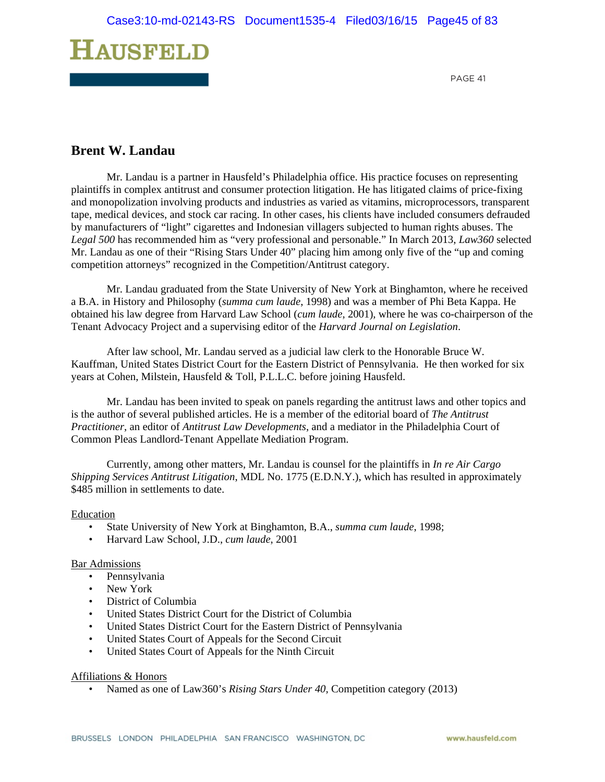

# **Brent W. Landau**

Mr. Landau is a partner in Hausfeld's Philadelphia office. His practice focuses on representing plaintiffs in complex antitrust and consumer protection litigation. He has litigated claims of price-fixing and monopolization involving products and industries as varied as vitamins, microprocessors, transparent tape, medical devices, and stock car racing. In other cases, his clients have included consumers defrauded by manufacturers of "light" cigarettes and Indonesian villagers subjected to human rights abuses. The *Legal 500* has recommended him as "very professional and personable." In March 2013, *Law360* selected Mr. Landau as one of their "Rising Stars Under 40" placing him among only five of the "up and coming competition attorneys" recognized in the Competition/Antitrust category.

Mr. Landau graduated from the State University of New York at Binghamton, where he received a B.A. in History and Philosophy (*summa cum laude*, 1998) and was a member of Phi Beta Kappa. He obtained his law degree from Harvard Law School (*cum laude*, 2001), where he was co-chairperson of the Tenant Advocacy Project and a supervising editor of the *Harvard Journal on Legislation*.

After law school, Mr. Landau served as a judicial law clerk to the Honorable Bruce W. Kauffman, United States District Court for the Eastern District of Pennsylvania. He then worked for six years at Cohen, Milstein, Hausfeld & Toll, P.L.L.C. before joining Hausfeld.

Mr. Landau has been invited to speak on panels regarding the antitrust laws and other topics and is the author of several published articles. He is a member of the editorial board of *The Antitrust Practitioner*, an editor of *Antitrust Law Developments*, and a mediator in the Philadelphia Court of Common Pleas Landlord-Tenant Appellate Mediation Program.

Currently, among other matters, Mr. Landau is counsel for the plaintiffs in *In re Air Cargo Shipping Services Antitrust Litigation*, MDL No. 1775 (E.D.N.Y.), which has resulted in approximately \$485 million in settlements to date.

#### Education

- State University of New York at Binghamton, B.A., *summa cum laude*, 1998;
- Harvard Law School, J.D., *cum laude*, 2001

#### Bar Admissions

- Pennsylvania
- New York
- District of Columbia
- United States District Court for the District of Columbia
- United States District Court for the Eastern District of Pennsylvania
- United States Court of Appeals for the Second Circuit
- United States Court of Appeals for the Ninth Circuit

#### Affiliations & Honors

• Named as one of Law360's *Rising Stars Under 40*, Competition category (2013)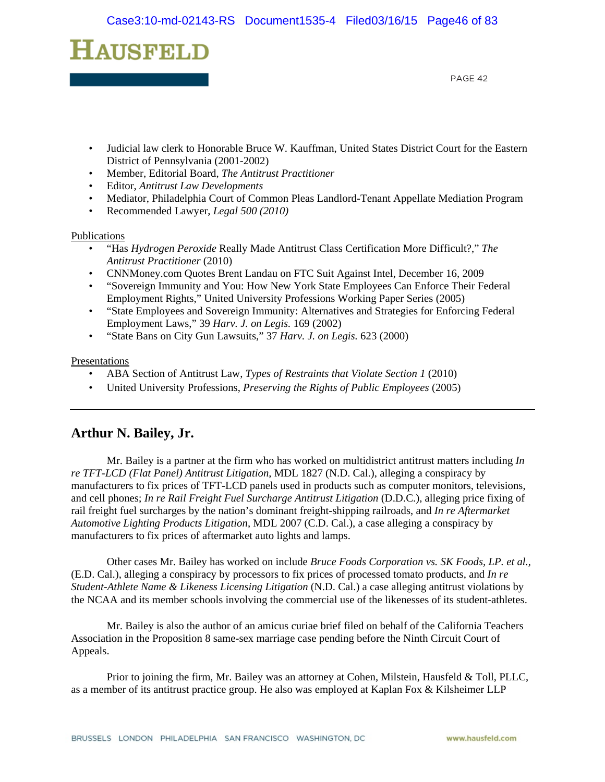

- Judicial law clerk to Honorable Bruce W. Kauffman, United States District Court for the Eastern District of Pennsylvania (2001-2002)
- Member, Editorial Board, *The Antitrust Practitioner*
- Editor, *Antitrust Law Developments*
- Mediator, Philadelphia Court of Common Pleas Landlord-Tenant Appellate Mediation Program
- Recommended Lawyer, *Legal 500 (2010)*

#### Publications

- "Has *Hydrogen Peroxide* Really Made Antitrust Class Certification More Difficult?," *The Antitrust Practitioner* (2010)
- CNNMoney.com Quotes Brent Landau on FTC Suit Against Intel, December 16, 2009
- "Sovereign Immunity and You: How New York State Employees Can Enforce Their Federal Employment Rights," United University Professions Working Paper Series (2005)
- "State Employees and Sovereign Immunity: Alternatives and Strategies for Enforcing Federal Employment Laws," 39 *Harv. J. on Legis.* 169 (2002)
- "State Bans on City Gun Lawsuits," 37 *Harv. J. on Legis.* 623 (2000)

#### **Presentations**

- ABA Section of Antitrust Law, *Types of Restraints that Violate Section 1* (2010)
- United University Professions, *Preserving the Rights of Public Employees* (2005)

# **Arthur N. Bailey, Jr.**

Mr. Bailey is a partner at the firm who has worked on multidistrict antitrust matters including *In re TFT-LCD (Flat Panel) Antitrust Litigation*, MDL 1827 (N.D. Cal.), alleging a conspiracy by manufacturers to fix prices of TFT-LCD panels used in products such as computer monitors, televisions, and cell phones; *In re Rail Freight Fuel Surcharge Antitrust Litigation* (D.D.C.), alleging price fixing of rail freight fuel surcharges by the nation's dominant freight-shipping railroads, and *In re Aftermarket Automotive Lighting Products Litigation*, MDL 2007 (C.D. Cal.), a case alleging a conspiracy by manufacturers to fix prices of aftermarket auto lights and lamps.

Other cases Mr. Bailey has worked on include *Bruce Foods Corporation vs. SK Foods, LP. et al.,*  (E.D. Cal.), alleging a conspiracy by processors to fix prices of processed tomato products, and *In re Student-Athlete Name & Likeness Licensing Litigation* (N.D. Cal.) a case alleging antitrust violations by the NCAA and its member schools involving the commercial use of the likenesses of its student-athletes.

Mr. Bailey is also the author of an amicus curiae brief filed on behalf of the California Teachers Association in the Proposition 8 same-sex marriage case pending before the Ninth Circuit Court of Appeals.

Prior to joining the firm, Mr. Bailey was an attorney at Cohen, Milstein, Hausfeld & Toll, PLLC, as a member of its antitrust practice group. He also was employed at Kaplan Fox & Kilsheimer LLP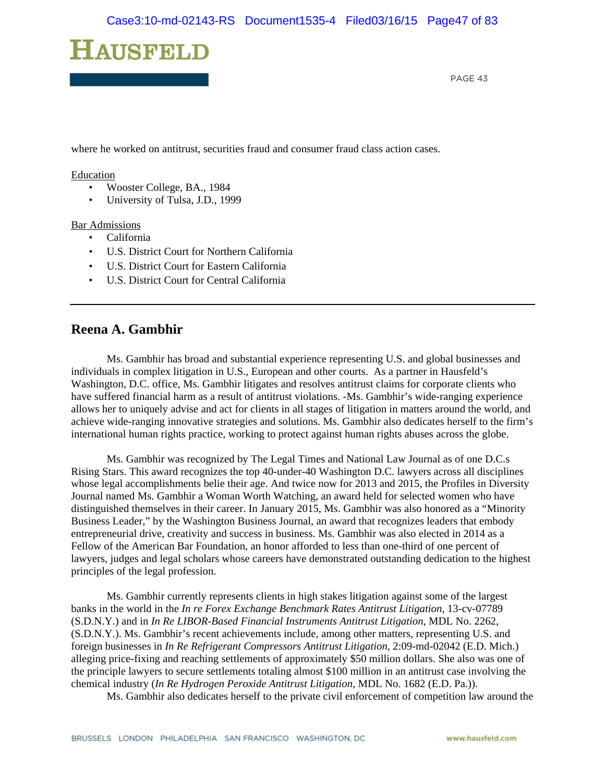

where he worked on antitrust, securities fraud and consumer fraud class action cases.

#### Education

- Wooster College, BA., 1984
- University of Tulsa, J.D., 1999

#### Bar Admissions

- California
- U.S. District Court for Northern California
- U.S. District Court for Eastern California
- U.S. District Court for Central California

### **Reena A. Gambhir**

Ms. Gambhir has broad and substantial experience representing U.S. and global businesses and individuals in complex litigation in U.S., European and other courts. As a partner in Hausfeld's Washington, D.C. office, Ms. Gambhir litigates and resolves antitrust claims for corporate clients who have suffered financial harm as a result of antitrust violations. -Ms. Gambhir's wide-ranging experience allows her to uniquely advise and act for clients in all stages of litigation in matters around the world, and achieve wide-ranging innovative strategies and solutions. Ms. Gambhir also dedicates herself to the firm's international human rights practice, working to protect against human rights abuses across the globe.

Ms. Gambhir was recognized by The Legal Times and National Law Journal as of one D.C.s Rising Stars. This award recognizes the top 40-under-40 Washington D.C. lawyers across all disciplines whose legal accomplishments belie their age. And twice now for 2013 and 2015, the Profiles in Diversity Journal named Ms. Gambhir a Woman Worth Watching, an award held for selected women who have distinguished themselves in their career. In January 2015, Ms. Gambhir was also honored as a "Minority Business Leader," by the Washington Business Journal, an award that recognizes leaders that embody entrepreneurial drive, creativity and success in business. Ms. Gambhir was also elected in 2014 as a Fellow of the American Bar Foundation, an honor afforded to less than one-third of one percent of lawyers, judges and legal scholars whose careers have demonstrated outstanding dedication to the highest principles of the legal profession.

Ms. Gambhir currently represents clients in high stakes litigation against some of the largest banks in the world in the *In re Forex Exchange Benchmark Rates Antitrust Litigation*, 13-cv-07789 (S.D.N.Y.) and in *In Re LIBOR-Based Financial Instruments Antitrust Litigation*, MDL No. 2262, (S.D.N.Y.). Ms. Gambhir's recent achievements include, among other matters, representing U.S. and foreign businesses in *In Re Refrigerant Compressors Antitrust Litigation*, 2:09-md-02042 (E.D. Mich.) alleging price-fixing and reaching settlements of approximately \$50 million dollars. She also was one of the principle lawyers to secure settlements totaling almost \$100 million in an antitrust case involving the chemical industry (*In Re Hydrogen Peroxide Antitrust Litigation*, MDL No. 1682 (E.D. Pa.)).

Ms. Gambhir also dedicates herself to the private civil enforcement of competition law around the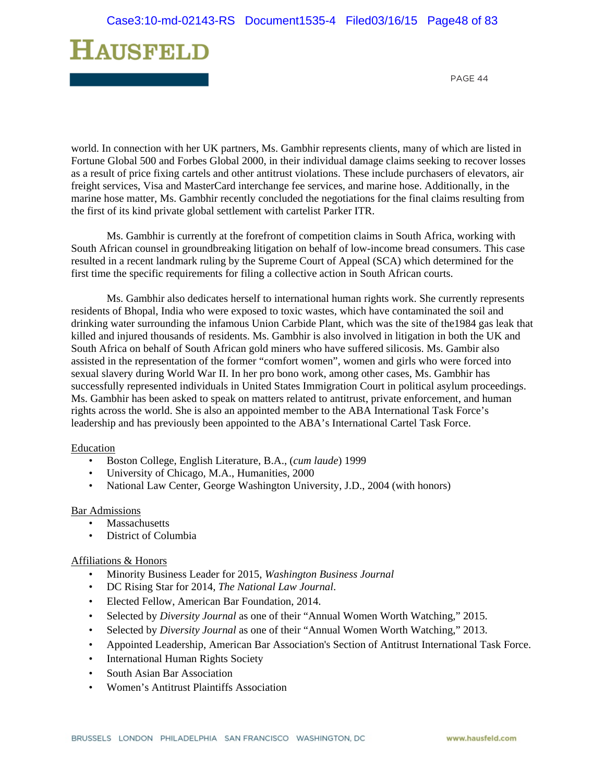

world. In connection with her UK partners, Ms. Gambhir represents clients, many of which are listed in Fortune Global 500 and Forbes Global 2000, in their individual damage claims seeking to recover losses as a result of price fixing cartels and other antitrust violations. These include purchasers of elevators, air freight services, Visa and MasterCard interchange fee services, and marine hose. Additionally, in the marine hose matter, Ms. Gambhir recently concluded the negotiations for the final claims resulting from the first of its kind private global settlement with cartelist Parker ITR.

Ms. Gambhir is currently at the forefront of competition claims in South Africa, working with South African counsel in groundbreaking litigation on behalf of low-income bread consumers. This case resulted in a recent landmark ruling by the Supreme Court of Appeal (SCA) which determined for the first time the specific requirements for filing a collective action in South African courts.

Ms. Gambhir also dedicates herself to international human rights work. She currently represents residents of Bhopal, India who were exposed to toxic wastes, which have contaminated the soil and drinking water surrounding the infamous Union Carbide Plant, which was the site of the1984 gas leak that killed and injured thousands of residents. Ms. Gambhir is also involved in litigation in both the UK and South Africa on behalf of South African gold miners who have suffered silicosis. Ms. Gambir also assisted in the representation of the former "comfort women", women and girls who were forced into sexual slavery during World War II. In her pro bono work, among other cases, Ms. Gambhir has successfully represented individuals in United States Immigration Court in political asylum proceedings. Ms. Gambhir has been asked to speak on matters related to antitrust, private enforcement, and human rights across the world. She is also an appointed member to the ABA International Task Force's leadership and has previously been appointed to the ABA's International Cartel Task Force.

#### Education

- Boston College, English Literature, B.A., (*cum laude*) 1999
- University of Chicago, M.A., Humanities, 2000
- National Law Center, George Washington University, J.D., 2004 (with honors)

#### Bar Admissions

- **Massachusetts**
- District of Columbia

#### Affiliations & Honors

- Minority Business Leader for 2015, *Washington Business Journal*
- DC Rising Star for 2014, *The National Law Journal*.
- Elected Fellow, American Bar Foundation, 2014.
- Selected by *Diversity Journal* as one of their "Annual Women Worth Watching," 2015.
- Selected by *Diversity Journal* as one of their "Annual Women Worth Watching," 2013.
- Appointed Leadership, American Bar Association's Section of Antitrust International Task Force.
- International Human Rights Society
- South Asian Bar Association
- Women's Antitrust Plaintiffs Association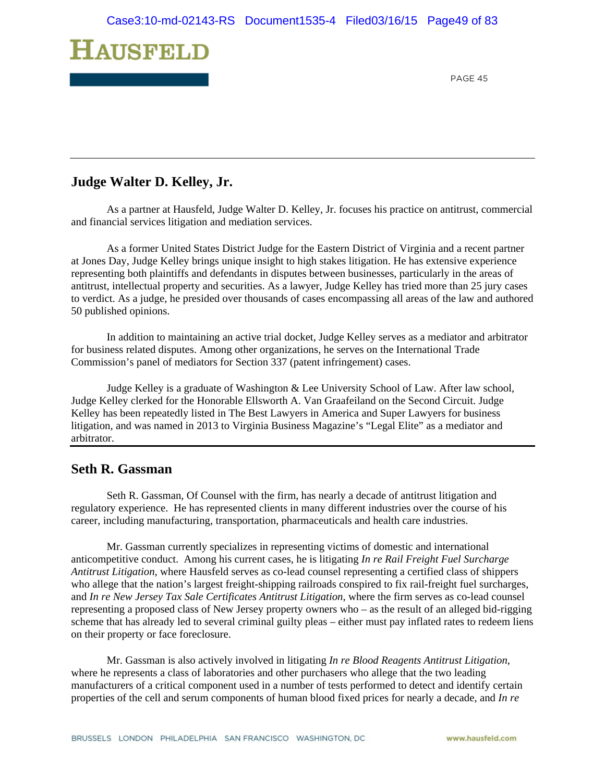

# **Judge Walter D. Kelley, Jr.**

As a partner at Hausfeld, Judge Walter D. Kelley, Jr. focuses his practice on antitrust, commercial and financial services litigation and mediation services.

As a former United States District Judge for the Eastern District of Virginia and a recent partner at Jones Day, Judge Kelley brings unique insight to high stakes litigation. He has extensive experience representing both plaintiffs and defendants in disputes between businesses, particularly in the areas of antitrust, intellectual property and securities. As a lawyer, Judge Kelley has tried more than 25 jury cases to verdict. As a judge, he presided over thousands of cases encompassing all areas of the law and authored 50 published opinions.

In addition to maintaining an active trial docket, Judge Kelley serves as a mediator and arbitrator for business related disputes. Among other organizations, he serves on the International Trade Commission's panel of mediators for Section 337 (patent infringement) cases.

Judge Kelley is a graduate of Washington & Lee University School of Law. After law school, Judge Kelley clerked for the Honorable Ellsworth A. Van Graafeiland on the Second Circuit. Judge Kelley has been repeatedly listed in The Best Lawyers in America and Super Lawyers for business litigation, and was named in 2013 to Virginia Business Magazine's "Legal Elite" as a mediator and arbitrator.

## **Seth R. Gassman**

 Seth R. Gassman, Of Counsel with the firm, has nearly a decade of antitrust litigation and regulatory experience. He has represented clients in many different industries over the course of his career, including manufacturing, transportation, pharmaceuticals and health care industries.

Mr. Gassman currently specializes in representing victims of domestic and international anticompetitive conduct. Among his current cases, he is litigating *In re Rail Freight Fuel Surcharge Antitrust Litigation*, where Hausfeld serves as co-lead counsel representing a certified class of shippers who allege that the nation's largest freight-shipping railroads conspired to fix rail-freight fuel surcharges, and *In re New Jersey Tax Sale Certificates Antitrust Litigation*, where the firm serves as co-lead counsel representing a proposed class of New Jersey property owners who – as the result of an alleged bid-rigging scheme that has already led to several criminal guilty pleas – either must pay inflated rates to redeem liens on their property or face foreclosure.

Mr. Gassman is also actively involved in litigating *In re Blood Reagents Antitrust Litigation*, where he represents a class of laboratories and other purchasers who allege that the two leading manufacturers of a critical component used in a number of tests performed to detect and identify certain properties of the cell and serum components of human blood fixed prices for nearly a decade, and *In re*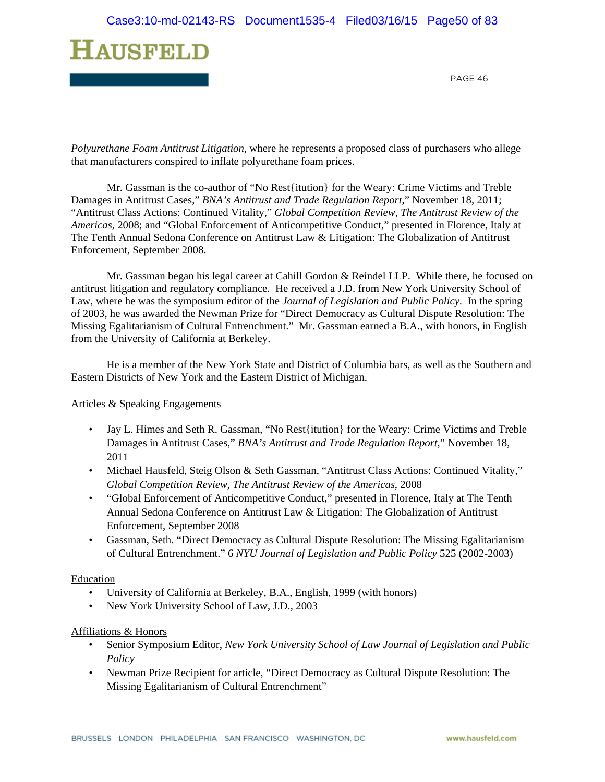

*Polyurethane Foam Antitrust Litigation*, where he represents a proposed class of purchasers who allege that manufacturers conspired to inflate polyurethane foam prices.

Mr. Gassman is the co-author of "No Rest{itution} for the Weary: Crime Victims and Treble Damages in Antitrust Cases," *BNA's Antitrust and Trade Regulation Report*," November 18, 2011; "Antitrust Class Actions: Continued Vitality," *Global Competition Review, The Antitrust Review of the Americas*, 2008; and "Global Enforcement of Anticompetitive Conduct," presented in Florence, Italy at The Tenth Annual Sedona Conference on Antitrust Law & Litigation: The Globalization of Antitrust Enforcement, September 2008.

Mr. Gassman began his legal career at Cahill Gordon & Reindel LLP. While there, he focused on antitrust litigation and regulatory compliance. He received a J.D. from New York University School of Law, where he was the symposium editor of the *Journal of Legislation and Public Policy*. In the spring of 2003, he was awarded the Newman Prize for "Direct Democracy as Cultural Dispute Resolution: The Missing Egalitarianism of Cultural Entrenchment." Mr. Gassman earned a B.A., with honors, in English from the University of California at Berkeley.

He is a member of the New York State and District of Columbia bars, as well as the Southern and Eastern Districts of New York and the Eastern District of Michigan.

#### Articles & Speaking Engagements

- Jay L. Himes and Seth R. Gassman, "No Rest{itution} for the Weary: Crime Victims and Treble Damages in Antitrust Cases," *BNA's Antitrust and Trade Regulation Report*," November 18, 2011
- Michael Hausfeld, Steig Olson & Seth Gassman, "Antitrust Class Actions: Continued Vitality," *Global Competition Review, The Antitrust Review of the Americas*, 2008
- "Global Enforcement of Anticompetitive Conduct," presented in Florence, Italy at The Tenth Annual Sedona Conference on Antitrust Law & Litigation: The Globalization of Antitrust Enforcement, September 2008
- Gassman, Seth. "Direct Democracy as Cultural Dispute Resolution: The Missing Egalitarianism of Cultural Entrenchment." 6 *NYU Journal of Legislation and Public Policy* 525 (2002-2003)

#### Education

- University of California at Berkeley, B.A., English, 1999 (with honors)
- New York University School of Law, J.D., 2003

#### Affiliations & Honors

- Senior Symposium Editor, *New York University School of Law Journal of Legislation and Public Policy*
- Newman Prize Recipient for article, "Direct Democracy as Cultural Dispute Resolution: The Missing Egalitarianism of Cultural Entrenchment"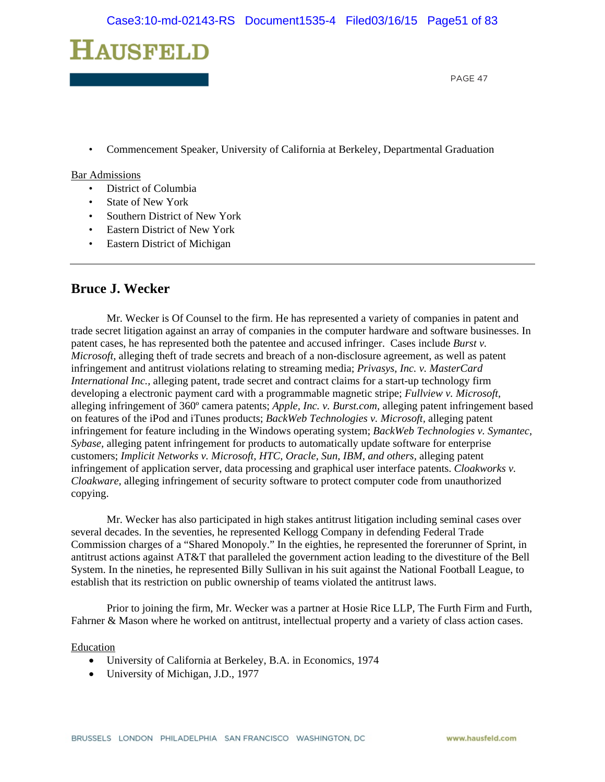

• Commencement Speaker, University of California at Berkeley, Departmental Graduation

#### Bar Admissions

- District of Columbia
- State of New York
- Southern District of New York
- Eastern District of New York
- Eastern District of Michigan

## **Bruce J. Wecker**

Mr. Wecker is Of Counsel to the firm. He has represented a variety of companies in patent and trade secret litigation against an array of companies in the computer hardware and software businesses. In patent cases, he has represented both the patentee and accused infringer. Cases include *Burst v. Microsoft,* alleging theft of trade secrets and breach of a non-disclosure agreement, as well as patent infringement and antitrust violations relating to streaming media; *Privasys, Inc. v. MasterCard International Inc., alleging patent, trade secret and contract claims for a start-up technology firm* developing a electronic payment card with a programmable magnetic stripe; *Fullview v. Microsoft*, alleging infringement of 360º camera patents; *Apple, Inc. v. Burst.com,* alleging patent infringement based on features of the iPod and iTunes products; *BackWeb Technologies v. Microsoft,* alleging patent infringement for feature including in the Windows operating system; *BackWeb Technologies v. Symantec, Sybase,* alleging patent infringement for products to automatically update software for enterprise customers; *Implicit Networks v. Microsoft, HTC, Oracle, Sun, IBM, and others,* alleging patent infringement of application server, data processing and graphical user interface patents. *Cloakworks v. Cloakware,* alleging infringement of security software to protect computer code from unauthorized copying.

Mr. Wecker has also participated in high stakes antitrust litigation including seminal cases over several decades. In the seventies, he represented Kellogg Company in defending Federal Trade Commission charges of a "Shared Monopoly." In the eighties, he represented the forerunner of Sprint, in antitrust actions against AT&T that paralleled the government action leading to the divestiture of the Bell System. In the nineties, he represented Billy Sullivan in his suit against the National Football League, to establish that its restriction on public ownership of teams violated the antitrust laws.

Prior to joining the firm, Mr. Wecker was a partner at Hosie Rice LLP, The Furth Firm and Furth, Fahrner & Mason where he worked on antitrust, intellectual property and a variety of class action cases.

#### Education

- University of California at Berkeley, B.A. in Economics, 1974
- University of Michigan, J.D., 1977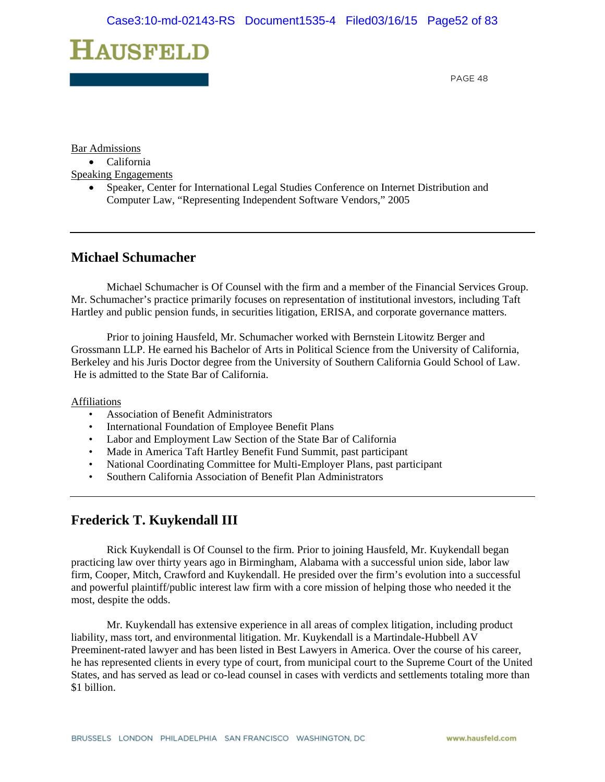# **HAUSFELD**

PAGE 48

Bar Admissions

• California

Speaking Engagements

 Speaker, Center for International Legal Studies Conference on Internet Distribution and Computer Law, "Representing Independent Software Vendors," 2005

# **Michael Schumacher**

 Michael Schumacher is Of Counsel with the firm and a member of the Financial Services Group. Mr. Schumacher's practice primarily focuses on representation of institutional investors, including Taft Hartley and public pension funds, in securities litigation, ERISA, and corporate governance matters.

 Prior to joining Hausfeld, Mr. Schumacher worked with Bernstein Litowitz Berger and Grossmann LLP. He earned his Bachelor of Arts in Political Science from the University of California, Berkeley and his Juris Doctor degree from the University of Southern California Gould School of Law. He is admitted to the State Bar of California.

#### Affiliations

- Association of Benefit Administrators
- International Foundation of Employee Benefit Plans
- Labor and Employment Law Section of the State Bar of California
- Made in America Taft Hartley Benefit Fund Summit, past participant
- National Coordinating Committee for Multi-Employer Plans, past participant
- Southern California Association of Benefit Plan Administrators

# **Frederick T. Kuykendall III**

 Rick Kuykendall is Of Counsel to the firm. Prior to joining Hausfeld, Mr. Kuykendall began practicing law over thirty years ago in Birmingham, Alabama with a successful union side, labor law firm, Cooper, Mitch, Crawford and Kuykendall. He presided over the firm's evolution into a successful and powerful plaintiff/public interest law firm with a core mission of helping those who needed it the most, despite the odds.

Mr. Kuykendall has extensive experience in all areas of complex litigation, including product liability, mass tort, and environmental litigation. Mr. Kuykendall is a Martindale-Hubbell AV Preeminent-rated lawyer and has been listed in Best Lawyers in America. Over the course of his career, he has represented clients in every type of court, from municipal court to the Supreme Court of the United States, and has served as lead or co-lead counsel in cases with verdicts and settlements totaling more than \$1 billion.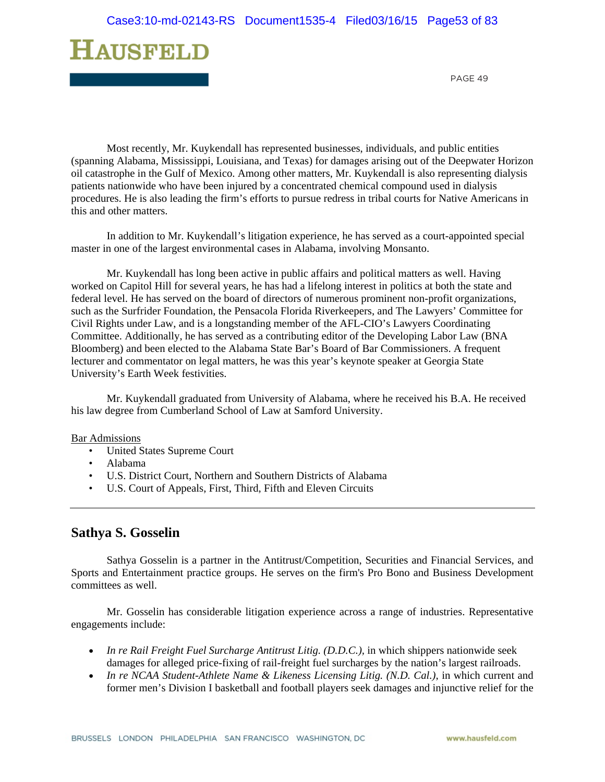

Most recently, Mr. Kuykendall has represented businesses, individuals, and public entities (spanning Alabama, Mississippi, Louisiana, and Texas) for damages arising out of the Deepwater Horizon oil catastrophe in the Gulf of Mexico. Among other matters, Mr. Kuykendall is also representing dialysis patients nationwide who have been injured by a concentrated chemical compound used in dialysis procedures. He is also leading the firm's efforts to pursue redress in tribal courts for Native Americans in this and other matters.

In addition to Mr. Kuykendall's litigation experience, he has served as a court-appointed special master in one of the largest environmental cases in Alabama, involving Monsanto.

Mr. Kuykendall has long been active in public affairs and political matters as well. Having worked on Capitol Hill for several years, he has had a lifelong interest in politics at both the state and federal level. He has served on the board of directors of numerous prominent non-profit organizations, such as the Surfrider Foundation, the Pensacola Florida Riverkeepers, and The Lawyers' Committee for Civil Rights under Law, and is a longstanding member of the AFL-CIO's Lawyers Coordinating Committee. Additionally, he has served as a contributing editor of the Developing Labor Law (BNA Bloomberg) and been elected to the Alabama State Bar's Board of Bar Commissioners. A frequent lecturer and commentator on legal matters, he was this year's keynote speaker at Georgia State University's Earth Week festivities.

Mr. Kuykendall graduated from University of Alabama, where he received his B.A. He received his law degree from Cumberland School of Law at Samford University.

#### Bar Admissions

- United States Supreme Court
- Alabama
- U.S. District Court, Northern and Southern Districts of Alabama
- U.S. Court of Appeals, First, Third, Fifth and Eleven Circuits

### **Sathya S. Gosselin**

Sathya Gosselin is a partner in the Antitrust/Competition, Securities and Financial Services, and Sports and Entertainment practice groups. He serves on the firm's Pro Bono and Business Development committees as well.

Mr. Gosselin has considerable litigation experience across a range of industries. Representative engagements include:

- *In re Rail Freight Fuel Surcharge Antitrust Litig. (D.D.C.),* in which shippers nationwide seek damages for alleged price-fixing of rail-freight fuel surcharges by the nation's largest railroads.
- *In re NCAA Student-Athlete Name & Likeness Licensing Litig. (N.D. Cal.)*, in which current and former men's Division I basketball and football players seek damages and injunctive relief for the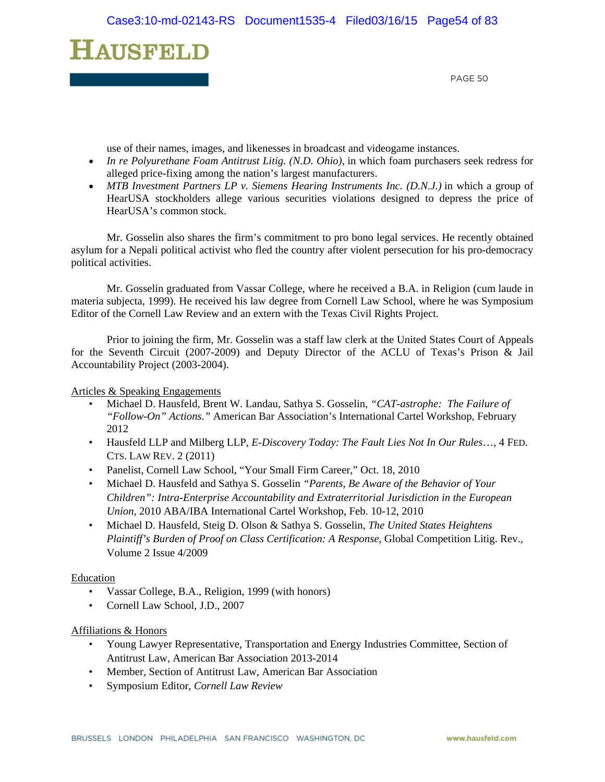

use of their names, images, and likenesses in broadcast and videogame instances.

- *In re Polyurethane Foam Antitrust Litig. (N.D. Ohio)*, in which foam purchasers seek redress for alleged price-fixing among the nation's largest manufacturers.
- MTB Investment Partners LP v. Siemens Hearing Instruments Inc. (D.N.J.) in which a group of HearUSA stockholders allege various securities violations designed to depress the price of HearUSA's common stock.

Mr. Gosselin also shares the firm's commitment to pro bono legal services. He recently obtained asylum for a Nepali political activist who fled the country after violent persecution for his pro-democracy political activities.

Mr. Gosselin graduated from Vassar College, where he received a B.A. in Religion (cum laude in materia subjecta, 1999). He received his law degree from Cornell Law School, where he was Symposium Editor of the Cornell Law Review and an extern with the Texas Civil Rights Project.

Prior to joining the firm, Mr. Gosselin was a staff law clerk at the United States Court of Appeals for the Seventh Circuit (2007-2009) and Deputy Director of the ACLU of Texas's Prison & Jail Accountability Project (2003-2004).

Articles & Speaking Engagements

- Michael D. Hausfeld, Brent W. Landau, Sathya S. Gosselin, *"CAT-astrophe: The Failure of "Follow-On" Actions."* American Bar Association's International Cartel Workshop, February 2012
- Hausfeld LLP and Milberg LLP, *E-Discovery Today: The Fault Lies Not In Our Rules*…, 4 FED. CTS. LAW REV. 2 (2011)
- Panelist, Cornell Law School, "Your Small Firm Career," Oct. 18, 2010
- Michael D. Hausfeld and Sathya S. Gosselin *"Parents, Be Aware of the Behavior of Your Children": Intra-Enterprise Accountability and Extraterritorial Jurisdiction in the European Union*, 2010 ABA/IBA International Cartel Workshop, Feb. 10-12, 2010
- Michael D. Hausfeld, Steig D. Olson & Sathya S. Gosselin, *The United States Heightens Plaintiff's Burden of Proof on Class Certification: A Response*, Global Competition Litig. Rev., Volume 2 Issue 4/2009

#### Education

- Vassar College, B.A., Religion, 1999 (with honors)
- Cornell Law School, J.D., 2007

#### Affiliations & Honors

- Young Lawyer Representative, Transportation and Energy Industries Committee, Section of Antitrust Law, American Bar Association 2013-2014
- Member, Section of Antitrust Law, American Bar Association
- Symposium Editor, *Cornell Law Review*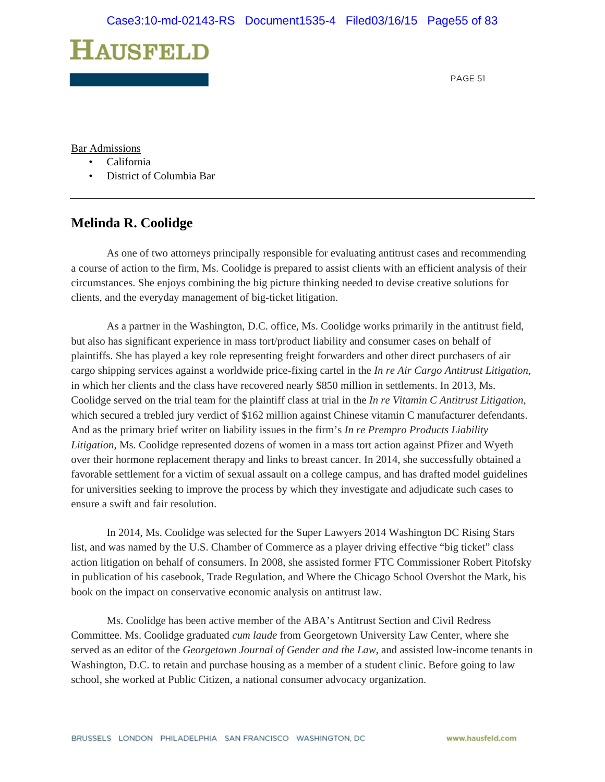

Bar Admissions

- California
- District of Columbia Bar

## **Melinda R. Coolidge**

As one of two attorneys principally responsible for evaluating antitrust cases and recommending a course of action to the firm, Ms. Coolidge is prepared to assist clients with an efficient analysis of their circumstances. She enjoys combining the big picture thinking needed to devise creative solutions for clients, and the everyday management of big-ticket litigation.

As a partner in the Washington, D.C. office, Ms. Coolidge works primarily in the antitrust field, but also has significant experience in mass tort/product liability and consumer cases on behalf of plaintiffs. She has played a key role representing freight forwarders and other direct purchasers of air cargo shipping services against a worldwide price-fixing cartel in the *In re Air Cargo Antitrust Litigation*, in which her clients and the class have recovered nearly \$850 million in settlements. In 2013, Ms. Coolidge served on the trial team for the plaintiff class at trial in the *In re Vitamin C Antitrust Litigation*, which secured a trebled jury verdict of \$162 million against Chinese vitamin C manufacturer defendants. And as the primary brief writer on liability issues in the firm's *In re Prempro Products Liability Litigation*, Ms. Coolidge represented dozens of women in a mass tort action against Pfizer and Wyeth over their hormone replacement therapy and links to breast cancer. In 2014, she successfully obtained a favorable settlement for a victim of sexual assault on a college campus, and has drafted model guidelines for universities seeking to improve the process by which they investigate and adjudicate such cases to ensure a swift and fair resolution.

In 2014, Ms. Coolidge was selected for the Super Lawyers 2014 Washington DC Rising Stars list, and was named by the U.S. Chamber of Commerce as a player driving effective "big ticket" class action litigation on behalf of consumers. In 2008, she assisted former FTC Commissioner Robert Pitofsky in publication of his casebook, Trade Regulation, and Where the Chicago School Overshot the Mark, his book on the impact on conservative economic analysis on antitrust law.

Ms. Coolidge has been active member of the ABA's Antitrust Section and Civil Redress Committee. Ms. Coolidge graduated *cum laude* from Georgetown University Law Center, where she served as an editor of the *Georgetown Journal of Gender and the Law*, and assisted low-income tenants in Washington, D.C. to retain and purchase housing as a member of a student clinic. Before going to law school, she worked at Public Citizen, a national consumer advocacy organization.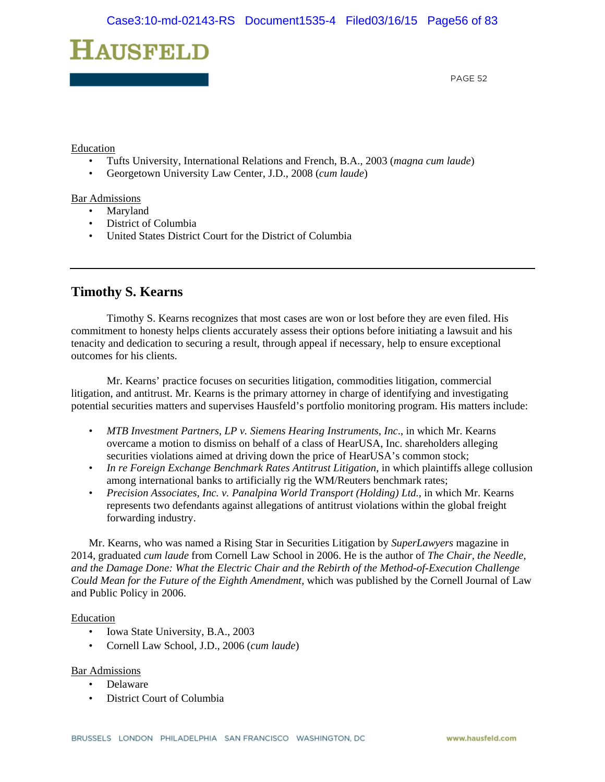

#### Education

- Tufts University, International Relations and French, B.A., 2003 (*magna cum laude*)
- Georgetown University Law Center, J.D., 2008 (*cum laude*)

Bar Admissions

- **Maryland** 
	- District of Columbia
	- United States District Court for the District of Columbia

# **Timothy S. Kearns**

Timothy S. Kearns recognizes that most cases are won or lost before they are even filed. His commitment to honesty helps clients accurately assess their options before initiating a lawsuit and his tenacity and dedication to securing a result, through appeal if necessary, help to ensure exceptional outcomes for his clients.

Mr. Kearns' practice focuses on securities litigation, commodities litigation, commercial litigation, and antitrust. Mr. Kearns is the primary attorney in charge of identifying and investigating potential securities matters and supervises Hausfeld's portfolio monitoring program. His matters include:

- *MTB Investment Partners, LP v. Siemens Hearing Instruments, Inc*., in which Mr. Kearns overcame a motion to dismiss on behalf of a class of HearUSA, Inc. shareholders alleging securities violations aimed at driving down the price of HearUSA's common stock;
- *In re Foreign Exchange Benchmark Rates Antitrust Litigation*, in which plaintiffs allege collusion among international banks to artificially rig the WM/Reuters benchmark rates;
- *Precision Associates, Inc. v. Panalpina World Transport (Holding) Ltd.*, in which Mr. Kearns represents two defendants against allegations of antitrust violations within the global freight forwarding industry.

Mr. Kearns, who was named a Rising Star in Securities Litigation by *SuperLawyers* magazine in 2014, graduated *cum laude* from Cornell Law School in 2006. He is the author of *The Chair, the Needle, and the Damage Done: What the Electric Chair and the Rebirth of the Method-of-Execution Challenge Could Mean for the Future of the Eighth Amendment*, which was published by the Cornell Journal of Law and Public Policy in 2006.

#### Education

- Iowa State University, B.A., 2003
- Cornell Law School, J.D., 2006 (*cum laude*)

#### Bar Admissions

- Delaware
- District Court of Columbia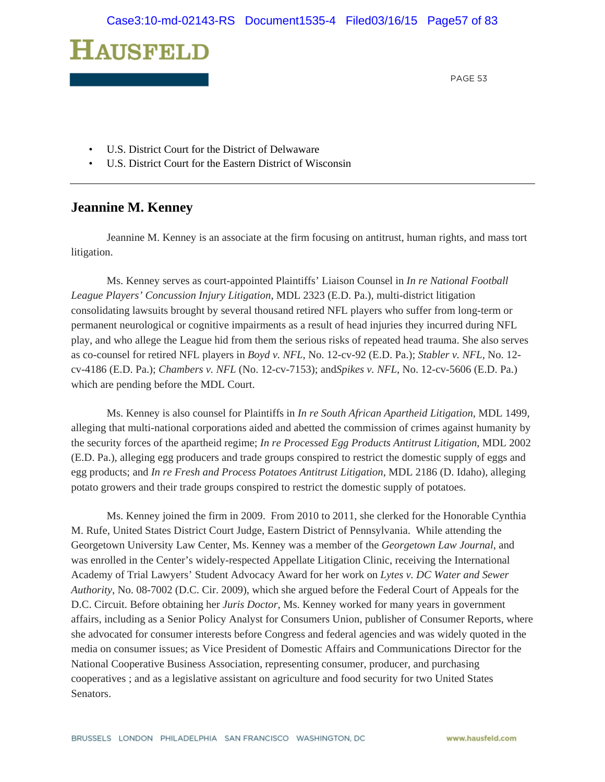

- U.S. District Court for the District of Delwaware
- U.S. District Court for the Eastern District of Wisconsin

## **Jeannine M. Kenney**

Jeannine M. Kenney is an associate at the firm focusing on antitrust, human rights, and mass tort litigation.

Ms. Kenney serves as court-appointed Plaintiffs' Liaison Counsel in *In re National Football League Players' Concussion Injury Litigation*, MDL 2323 (E.D. Pa.), multi-district litigation consolidating lawsuits brought by several thousand retired NFL players who suffer from long-term or permanent neurological or cognitive impairments as a result of head injuries they incurred during NFL play, and who allege the League hid from them the serious risks of repeated head trauma. She also serves as co-counsel for retired NFL players in *Boyd v. NFL*, No. 12-cv-92 (E.D. Pa.); *Stabler v. NFL*, No. 12 cv-4186 (E.D. Pa.); *Chambers v. NFL* (No. 12-cv-7153); and*Spikes v. NFL*, No. 12-cv-5606 (E.D. Pa.) which are pending before the MDL Court.

Ms. Kenney is also counsel for Plaintiffs in *In re South African Apartheid Litigation*, MDL 1499, alleging that multi-national corporations aided and abetted the commission of crimes against humanity by the security forces of the apartheid regime; *In re Processed Egg Products Antitrust Litigation*, MDL 2002 (E.D. Pa.), alleging egg producers and trade groups conspired to restrict the domestic supply of eggs and egg products; and *In re Fresh and Process Potatoes Antitrust Litigation*, MDL 2186 (D. Idaho), alleging potato growers and their trade groups conspired to restrict the domestic supply of potatoes.

Ms. Kenney joined the firm in 2009. From 2010 to 2011, she clerked for the Honorable Cynthia M. Rufe, United States District Court Judge, Eastern District of Pennsylvania. While attending the Georgetown University Law Center, Ms. Kenney was a member of the *Georgetown Law Journal*, and was enrolled in the Center's widely-respected Appellate Litigation Clinic, receiving the International Academy of Trial Lawyers' Student Advocacy Award for her work on *Lytes v. DC Water and Sewer Authority*, No. 08-7002 (D.C. Cir. 2009), which she argued before the Federal Court of Appeals for the D.C. Circuit. Before obtaining her *Juris Doctor*, Ms. Kenney worked for many years in government affairs, including as a Senior Policy Analyst for Consumers Union, publisher of Consumer Reports, where she advocated for consumer interests before Congress and federal agencies and was widely quoted in the media on consumer issues; as Vice President of Domestic Affairs and Communications Director for the National Cooperative Business Association, representing consumer, producer, and purchasing cooperatives ; and as a legislative assistant on agriculture and food security for two United States Senators.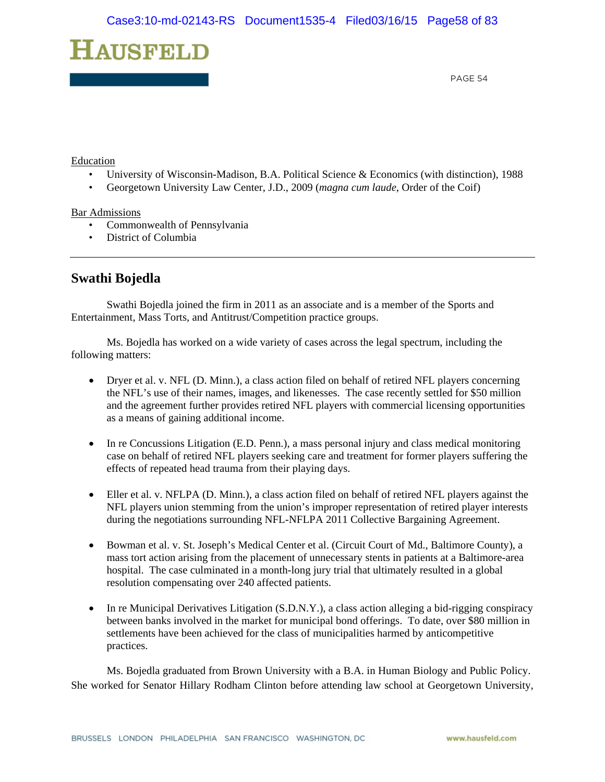

#### Education

- University of Wisconsin-Madison, B.A. Political Science & Economics (with distinction), 1988
- Georgetown University Law Center, J.D., 2009 (*magna cum laude*, Order of the Coif)

#### Bar Admissions

- Commonwealth of Pennsylvania
- District of Columbia

# **Swathi Bojedla**

Swathi Bojedla joined the firm in 2011 as an associate and is a member of the Sports and Entertainment, Mass Torts, and Antitrust/Competition practice groups.

Ms. Bojedla has worked on a wide variety of cases across the legal spectrum, including the following matters:

- Dryer et al. v. NFL (D. Minn.), a class action filed on behalf of retired NFL players concerning the NFL's use of their names, images, and likenesses. The case recently settled for \$50 million and the agreement further provides retired NFL players with commercial licensing opportunities as a means of gaining additional income.
- In re Concussions Litigation (E.D. Penn.), a mass personal injury and class medical monitoring case on behalf of retired NFL players seeking care and treatment for former players suffering the effects of repeated head trauma from their playing days.
- Eller et al. v. NFLPA (D. Minn.), a class action filed on behalf of retired NFL players against the NFL players union stemming from the union's improper representation of retired player interests during the negotiations surrounding NFL-NFLPA 2011 Collective Bargaining Agreement.
- Bowman et al. v. St. Joseph's Medical Center et al. (Circuit Court of Md., Baltimore County), a mass tort action arising from the placement of unnecessary stents in patients at a Baltimore-area hospital. The case culminated in a month-long jury trial that ultimately resulted in a global resolution compensating over 240 affected patients.
- In re Municipal Derivatives Litigation (S.D.N.Y.), a class action alleging a bid-rigging conspiracy between banks involved in the market for municipal bond offerings. To date, over \$80 million in settlements have been achieved for the class of municipalities harmed by anticompetitive practices.

Ms. Bojedla graduated from Brown University with a B.A. in Human Biology and Public Policy. She worked for Senator Hillary Rodham Clinton before attending law school at Georgetown University,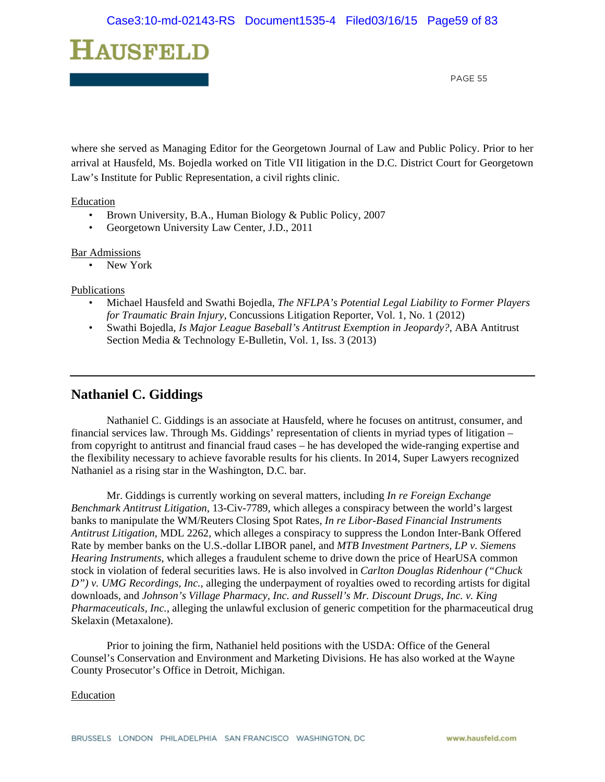

where she served as Managing Editor for the Georgetown Journal of Law and Public Policy. Prior to her arrival at Hausfeld, Ms. Bojedla worked on Title VII litigation in the D.C. District Court for Georgetown Law's Institute for Public Representation, a civil rights clinic.

#### Education

- Brown University, B.A., Human Biology & Public Policy, 2007
- Georgetown University Law Center, J.D., 2011

#### Bar Admissions

• New York

#### Publications

- Michael Hausfeld and Swathi Bojedla, *The NFLPA's Potential Legal Liability to Former Players for Traumatic Brain Injury*, Concussions Litigation Reporter, Vol. 1, No. 1 (2012)
- Swathi Bojedla, *Is Major League Baseball's Antitrust Exemption in Jeopardy?*, ABA Antitrust Section Media & Technology E-Bulletin, Vol. 1, Iss. 3 (2013)

# **Nathaniel C. Giddings**

 Nathaniel C. Giddings is an associate at Hausfeld, where he focuses on antitrust, consumer, and financial services law. Through Ms. Giddings' representation of clients in myriad types of litigation – from copyright to antitrust and financial fraud cases – he has developed the wide-ranging expertise and the flexibility necessary to achieve favorable results for his clients. In 2014, Super Lawyers recognized Nathaniel as a rising star in the Washington, D.C. bar.

Mr. Giddings is currently working on several matters, including *In re Foreign Exchange Benchmark Antitrust Litigation*, 13-Civ-7789, which alleges a conspiracy between the world's largest banks to manipulate the WM/Reuters Closing Spot Rates, *In re Libor-Based Financial Instruments Antitrust Litigation*, MDL 2262, which alleges a conspiracy to suppress the London Inter-Bank Offered Rate by member banks on the U.S.-dollar LIBOR panel, and *MTB Investment Partners, LP v. Siemens Hearing Instruments*, which alleges a fraudulent scheme to drive down the price of HearUSA common stock in violation of federal securities laws. He is also involved in *Carlton Douglas Ridenhour ("Chuck D") v. UMG Recordings, Inc.*, alleging the underpayment of royalties owed to recording artists for digital downloads, and *Johnson's Village Pharmacy, Inc. and Russell's Mr. Discount Drugs, Inc. v. King Pharmaceuticals, Inc.*, alleging the unlawful exclusion of generic competition for the pharmaceutical drug Skelaxin (Metaxalone).

 Prior to joining the firm, Nathaniel held positions with the USDA: Office of the General Counsel's Conservation and Environment and Marketing Divisions. He has also worked at the Wayne County Prosecutor's Office in Detroit, Michigan.

#### Education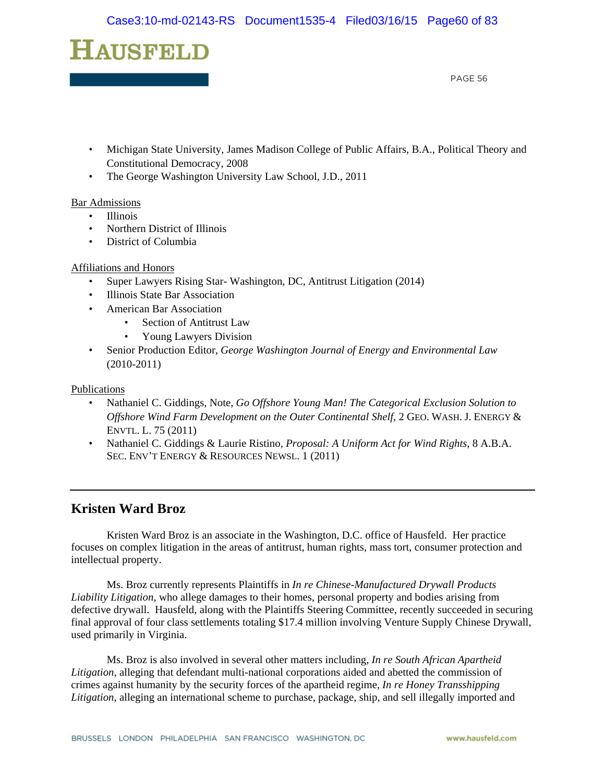

- Michigan State University, James Madison College of Public Affairs, B.A., Political Theory and Constitutional Democracy, 2008
- The George Washington University Law School, J.D., 2011

#### Bar Admissions

- Illinois
- Northern District of Illinois
- District of Columbia

#### Affiliations and Honors

- Super Lawyers Rising Star- Washington, DC, Antitrust Litigation (2014)
- Illinois State Bar Association
- American Bar Association
	- Section of Antitrust Law
	- Young Lawyers Division
- Senior Production Editor, *George Washington Journal of Energy and Environmental Law*  (2010-2011)

Publications

- Nathaniel C. Giddings, Note, *Go Offshore Young Man! The Categorical Exclusion Solution to Offshore Wind Farm Development on the Outer Continental Shelf,* 2 GEO. WASH. J. ENERGY & ENVTL. L. 75 (2011)
- Nathaniel C. Giddings & Laurie Ristino, *Proposal: A Uniform Act for Wind Rights*, 8 A.B.A. SEC. ENV'T ENERGY & RESOURCES NEWSL. 1 (2011)

## **Kristen Ward Broz**

 Kristen Ward Broz is an associate in the Washington, D.C. office of Hausfeld. Her practice focuses on complex litigation in the areas of antitrust, human rights, mass tort, consumer protection and intellectual property.

Ms. Broz currently represents Plaintiffs in *In re Chinese-Manufactured Drywall Products Liability Litigation*, who allege damages to their homes, personal property and bodies arising from defective drywall. Hausfeld, along with the Plaintiffs Steering Committee, recently succeeded in securing final approval of four class settlements totaling \$17.4 million involving Venture Supply Chinese Drywall, used primarily in Virginia.

Ms. Broz is also involved in several other matters including, *In re South African Apartheid Litigation*, alleging that defendant multi-national corporations aided and abetted the commission of crimes against humanity by the security forces of the apartheid regime, *In re Honey Transshipping Litigation*, alleging an international scheme to purchase, package, ship, and sell illegally imported and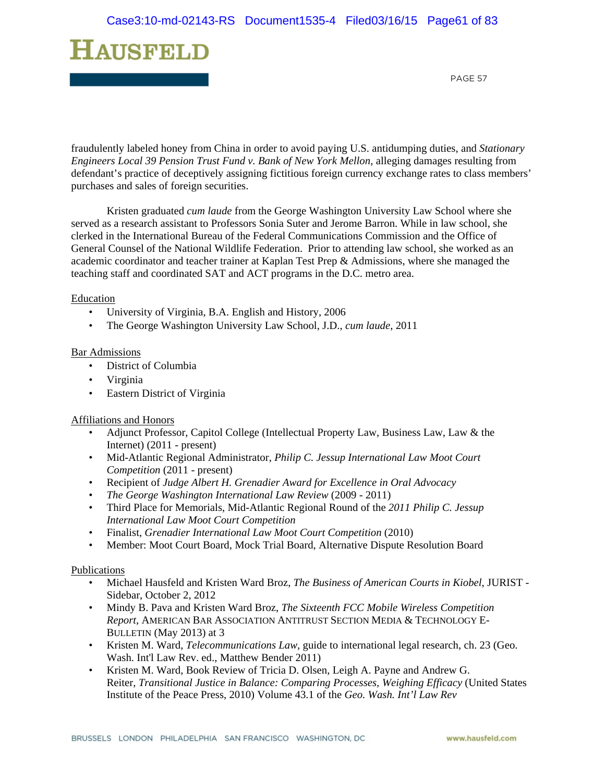

fraudulently labeled honey from China in order to avoid paying U.S. antidumping duties, and *Stationary Engineers Local 39 Pension Trust Fund v. Bank of New York Mellon*, alleging damages resulting from defendant's practice of deceptively assigning fictitious foreign currency exchange rates to class members' purchases and sales of foreign securities.

Kristen graduated *cum laude* from the George Washington University Law School where she served as a research assistant to Professors Sonia Suter and Jerome Barron. While in law school, she clerked in the International Bureau of the Federal Communications Commission and the Office of General Counsel of the National Wildlife Federation. Prior to attending law school, she worked as an academic coordinator and teacher trainer at Kaplan Test Prep & Admissions, where she managed the teaching staff and coordinated SAT and ACT programs in the D.C. metro area.

#### **Education**

- University of Virginia, B.A. English and History, 2006
- The George Washington University Law School, J.D., *cum laude*, 2011

#### Bar Admissions

- District of Columbia
- Virginia
- Eastern District of Virginia

#### Affiliations and Honors

- Adjunct Professor, Capitol College (Intellectual Property Law, Business Law, Law & the Internet) (2011 - present)
- Mid-Atlantic Regional Administrator, *Philip C. Jessup International Law Moot Court Competition* (2011 - present)
- Recipient of *Judge Albert H. Grenadier Award for Excellence in Oral Advocacy*
- *The George Washington International Law Review* (2009 2011)
- Third Place for Memorials, Mid-Atlantic Regional Round of the *2011 Philip C. Jessup International Law Moot Court Competition*
- Finalist, *Grenadier International Law Moot Court Competition* (2010)
- Member: Moot Court Board, Mock Trial Board, Alternative Dispute Resolution Board

#### Publications

- Michael Hausfeld and Kristen Ward Broz, *The Business of American Courts in Kiobel*, JURIST Sidebar, October 2, 2012
- Mindy B. Pava and Kristen Ward Broz, *The Sixteenth FCC Mobile Wireless Competition Report*, AMERICAN BAR ASSOCIATION ANTITRUST SECTION MEDIA & TECHNOLOGY E-BULLETIN (May 2013) at 3
- Kristen M. Ward, *Telecommunications Law*, guide to international legal research, ch. 23 (Geo. Wash. Int'l Law Rev. ed., Matthew Bender 2011)
- Kristen M. Ward, Book Review of Tricia D. Olsen, Leigh A. Payne and Andrew G. Reiter, *Transitional Justice in Balance: Comparing Processes, Weighing Efficacy* (United States Institute of the Peace Press, 2010) Volume 43.1 of the *Geo. Wash. Int'l Law Rev*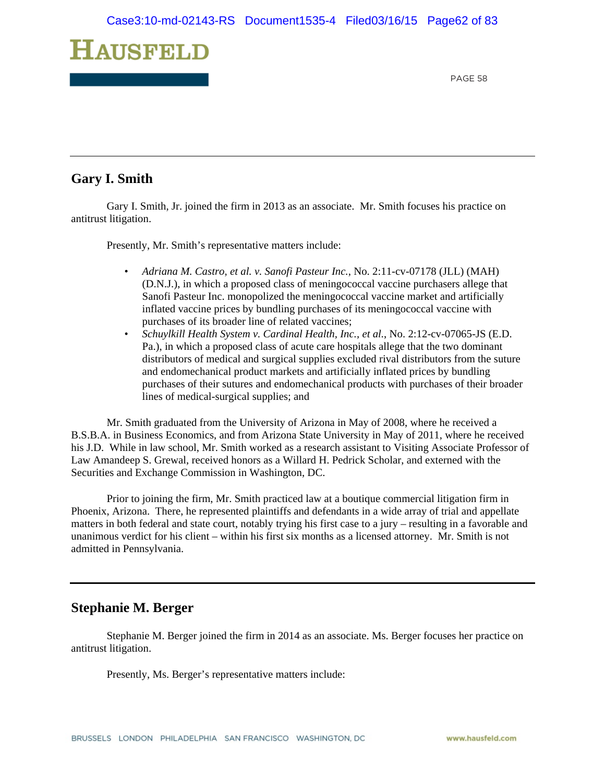

# **Gary I. Smith**

Gary I. Smith, Jr. joined the firm in 2013 as an associate. Mr. Smith focuses his practice on antitrust litigation.

Presently, Mr. Smith's representative matters include:

- *Adriana M. Castro, et al. v. Sanofi Pasteur Inc.*, No. 2:11-cv-07178 (JLL) (MAH) (D.N.J.), in which a proposed class of meningococcal vaccine purchasers allege that Sanofi Pasteur Inc. monopolized the meningococcal vaccine market and artificially inflated vaccine prices by bundling purchases of its meningococcal vaccine with purchases of its broader line of related vaccines;
- *Schuylkill Health System v. Cardinal Health, Inc., et al.*, No. 2:12-cv-07065-JS (E.D. Pa.), in which a proposed class of acute care hospitals allege that the two dominant distributors of medical and surgical supplies excluded rival distributors from the suture and endomechanical product markets and artificially inflated prices by bundling purchases of their sutures and endomechanical products with purchases of their broader lines of medical-surgical supplies; and

Mr. Smith graduated from the University of Arizona in May of 2008, where he received a B.S.B.A. in Business Economics, and from Arizona State University in May of 2011, where he received his J.D. While in law school, Mr. Smith worked as a research assistant to Visiting Associate Professor of Law Amandeep S. Grewal, received honors as a Willard H. Pedrick Scholar, and externed with the Securities and Exchange Commission in Washington, DC.

Prior to joining the firm, Mr. Smith practiced law at a boutique commercial litigation firm in Phoenix, Arizona. There, he represented plaintiffs and defendants in a wide array of trial and appellate matters in both federal and state court, notably trying his first case to a jury – resulting in a favorable and unanimous verdict for his client – within his first six months as a licensed attorney. Mr. Smith is not admitted in Pennsylvania.

## **Stephanie M. Berger**

Stephanie M. Berger joined the firm in 2014 as an associate. Ms. Berger focuses her practice on antitrust litigation.

Presently, Ms. Berger's representative matters include: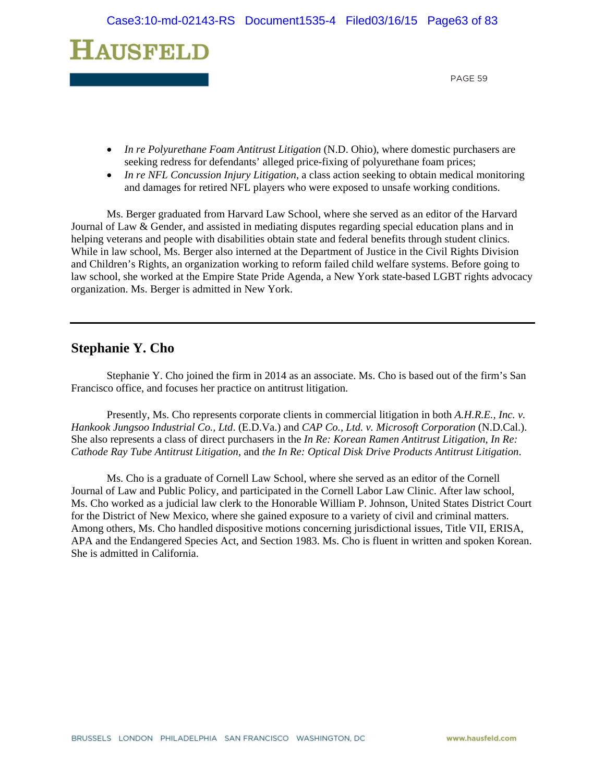# **HAUSFELD**

PAGE 59

- *In re Polyurethane Foam Antitrust Litigation* (N.D. Ohio), where domestic purchasers are seeking redress for defendants' alleged price-fixing of polyurethane foam prices;
- *In re NFL Concussion Injury Litigation*, a class action seeking to obtain medical monitoring and damages for retired NFL players who were exposed to unsafe working conditions.

Ms. Berger graduated from Harvard Law School, where she served as an editor of the Harvard Journal of Law & Gender, and assisted in mediating disputes regarding special education plans and in helping veterans and people with disabilities obtain state and federal benefits through student clinics. While in law school, Ms. Berger also interned at the Department of Justice in the Civil Rights Division and Children's Rights, an organization working to reform failed child welfare systems. Before going to law school, she worked at the Empire State Pride Agenda, a New York state-based LGBT rights advocacy organization. Ms. Berger is admitted in New York.

## **Stephanie Y. Cho**

Stephanie Y. Cho joined the firm in 2014 as an associate. Ms. Cho is based out of the firm's San Francisco office, and focuses her practice on antitrust litigation.

Presently, Ms. Cho represents corporate clients in commercial litigation in both *A.H.R.E., Inc. v. Hankook Jungsoo Industrial Co., Ltd*. (E.D.Va.) and *CAP Co., Ltd. v. Microsoft Corporation* (N.D.Cal.). She also represents a class of direct purchasers in the *In Re: Korean Ramen Antitrust Litigation*, *In Re: Cathode Ray Tube Antitrust Litigation*, and *the In Re: Optical Disk Drive Products Antitrust Litigation*.

Ms. Cho is a graduate of Cornell Law School, where she served as an editor of the Cornell Journal of Law and Public Policy, and participated in the Cornell Labor Law Clinic. After law school, Ms. Cho worked as a judicial law clerk to the Honorable William P. Johnson, United States District Court for the District of New Mexico, where she gained exposure to a variety of civil and criminal matters. Among others, Ms. Cho handled dispositive motions concerning jurisdictional issues, Title VII, ERISA, APA and the Endangered Species Act, and Section 1983. Ms. Cho is fluent in written and spoken Korean. She is admitted in California.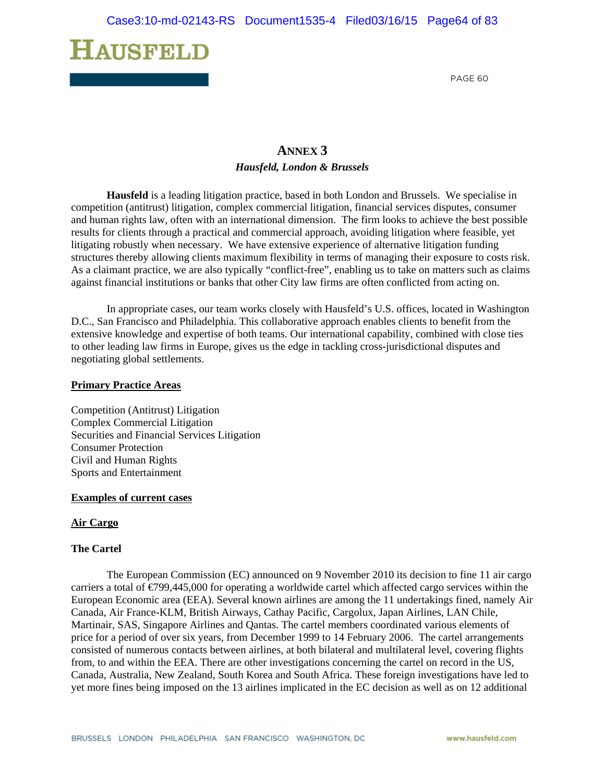

# **ANNEX 3** *Hausfeld, London & Brussels*

**Hausfeld** is a leading litigation practice, based in both London and Brussels. We specialise in competition (antitrust) litigation, complex commercial litigation, financial services disputes, consumer and human rights law, often with an international dimension. The firm looks to achieve the best possible results for clients through a practical and commercial approach, avoiding litigation where feasible, yet litigating robustly when necessary. We have extensive experience of alternative litigation funding structures thereby allowing clients maximum flexibility in terms of managing their exposure to costs risk. As a claimant practice, we are also typically "conflict-free", enabling us to take on matters such as claims against financial institutions or banks that other City law firms are often conflicted from acting on.

In appropriate cases, our team works closely with Hausfeld's U.S. offices, located in Washington D.C., San Francisco and Philadelphia. This collaborative approach enables clients to benefit from the extensive knowledge and expertise of both teams. Our international capability, combined with close ties to other leading law firms in Europe, gives us the edge in tackling cross-jurisdictional disputes and negotiating global settlements.

#### **Primary Practice Areas**

Competition (Antitrust) Litigation Complex Commercial Litigation Securities and Financial Services Litigation Consumer Protection Civil and Human Rights Sports and Entertainment

#### **Examples of current cases**

#### **Air Cargo**

#### **The Cartel**

The European Commission (EC) announced on 9 November 2010 its decision to fine 11 air cargo carriers a total of  $\epsilon$ 799,445,000 for operating a worldwide cartel which affected cargo services within the European Economic area (EEA). Several known airlines are among the 11 undertakings fined, namely Air Canada, Air France-KLM, British Airways, Cathay Pacific, Cargolux, Japan Airlines, LAN Chile, Martinair, SAS, Singapore Airlines and Qantas. The cartel members coordinated various elements of price for a period of over six years, from December 1999 to 14 February 2006. The cartel arrangements consisted of numerous contacts between airlines, at both bilateral and multilateral level, covering flights from, to and within the EEA. There are other investigations concerning the cartel on record in the US, Canada, Australia, New Zealand, South Korea and South Africa. These foreign investigations have led to yet more fines being imposed on the 13 airlines implicated in the EC decision as well as on 12 additional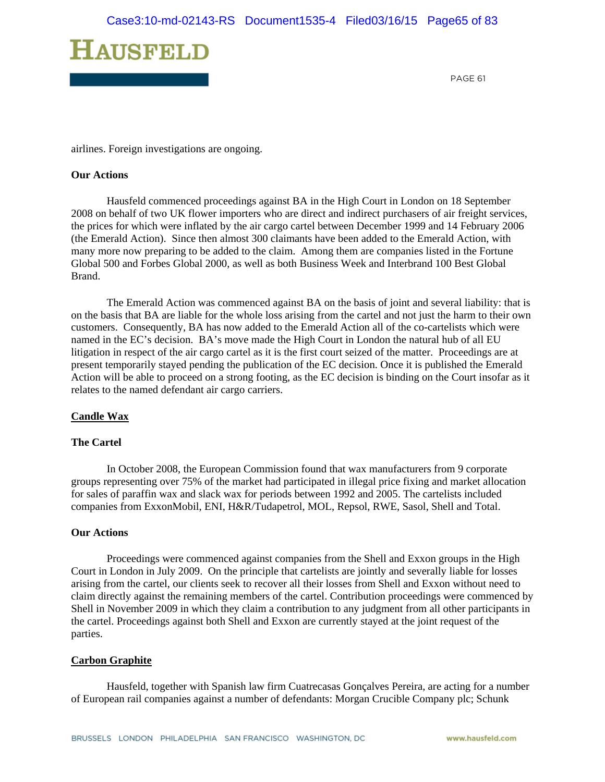

airlines. Foreign investigations are ongoing.

#### **Our Actions**

Hausfeld commenced proceedings against BA in the High Court in London on 18 September 2008 on behalf of two UK flower importers who are direct and indirect purchasers of air freight services, the prices for which were inflated by the air cargo cartel between December 1999 and 14 February 2006 (the Emerald Action). Since then almost 300 claimants have been added to the Emerald Action, with many more now preparing to be added to the claim. Among them are companies listed in the Fortune Global 500 and Forbes Global 2000, as well as both Business Week and Interbrand 100 Best Global Brand.

The Emerald Action was commenced against BA on the basis of joint and several liability: that is on the basis that BA are liable for the whole loss arising from the cartel and not just the harm to their own customers. Consequently, BA has now added to the Emerald Action all of the co-cartelists which were named in the EC's decision. BA's move made the High Court in London the natural hub of all EU litigation in respect of the air cargo cartel as it is the first court seized of the matter. Proceedings are at present temporarily stayed pending the publication of the EC decision. Once it is published the Emerald Action will be able to proceed on a strong footing, as the EC decision is binding on the Court insofar as it relates to the named defendant air cargo carriers.

#### **Candle Wax**

#### **The Cartel**

In October 2008, the European Commission found that wax manufacturers from 9 corporate groups representing over 75% of the market had participated in illegal price fixing and market allocation for sales of paraffin wax and slack wax for periods between 1992 and 2005. The cartelists included companies from ExxonMobil, ENI, H&R/Tudapetrol, MOL, Repsol, RWE, Sasol, Shell and Total.

#### **Our Actions**

Proceedings were commenced against companies from the Shell and Exxon groups in the High Court in London in July 2009. On the principle that cartelists are jointly and severally liable for losses arising from the cartel, our clients seek to recover all their losses from Shell and Exxon without need to claim directly against the remaining members of the cartel. Contribution proceedings were commenced by Shell in November 2009 in which they claim a contribution to any judgment from all other participants in the cartel. Proceedings against both Shell and Exxon are currently stayed at the joint request of the parties.

#### **Carbon Graphite**

Hausfeld, together with Spanish law firm Cuatrecasas Gonçalves Pereira, are acting for a number of European rail companies against a number of defendants: Morgan Crucible Company plc; Schunk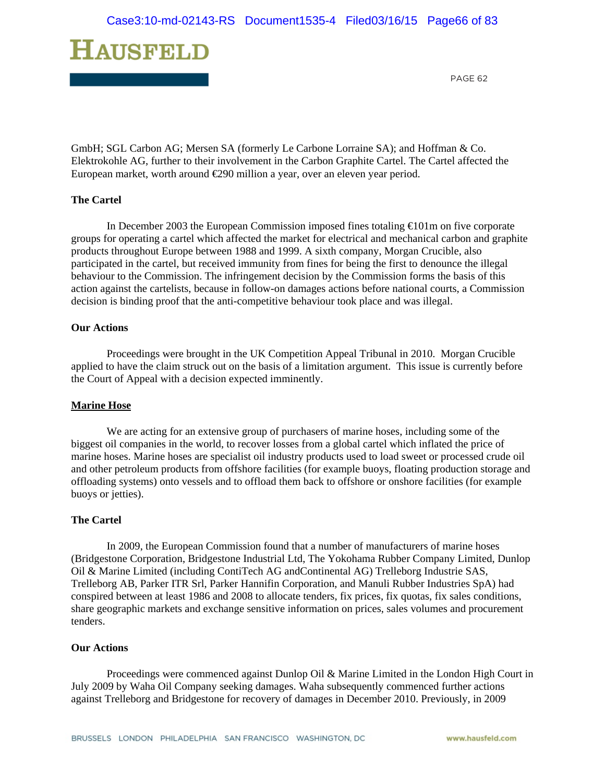

GmbH; SGL Carbon AG; Mersen SA (formerly Le Carbone Lorraine SA); and Hoffman & Co. Elektrokohle AG, further to their involvement in the Carbon Graphite Cartel. The Cartel affected the European market, worth around €290 million a year, over an eleven year period.

#### **The Cartel**

In December 2003 the European Commission imposed fines totaling €101m on five corporate groups for operating a cartel which affected the market for electrical and mechanical carbon and graphite products throughout Europe between 1988 and 1999. A sixth company, Morgan Crucible, also participated in the cartel, but received immunity from fines for being the first to denounce the illegal behaviour to the Commission. The infringement decision by the Commission forms the basis of this action against the cartelists, because in follow-on damages actions before national courts, a Commission decision is binding proof that the anti-competitive behaviour took place and was illegal.

#### **Our Actions**

Proceedings were brought in the UK Competition Appeal Tribunal in 2010. Morgan Crucible applied to have the claim struck out on the basis of a limitation argument. This issue is currently before the Court of Appeal with a decision expected imminently.

#### **Marine Hose**

We are acting for an extensive group of purchasers of marine hoses, including some of the biggest oil companies in the world, to recover losses from a global cartel which inflated the price of marine hoses. Marine hoses are specialist oil industry products used to load sweet or processed crude oil and other petroleum products from offshore facilities (for example buoys, floating production storage and offloading systems) onto vessels and to offload them back to offshore or onshore facilities (for example buoys or jetties).

#### **The Cartel**

In 2009, the European Commission found that a number of manufacturers of marine hoses (Bridgestone Corporation, Bridgestone Industrial Ltd, The Yokohama Rubber Company Limited, Dunlop Oil & Marine Limited (including ContiTech AG andContinental AG) Trelleborg Industrie SAS, Trelleborg AB, Parker ITR Srl, Parker Hannifin Corporation, and Manuli Rubber Industries SpA) had conspired between at least 1986 and 2008 to allocate tenders, fix prices, fix quotas, fix sales conditions, share geographic markets and exchange sensitive information on prices, sales volumes and procurement tenders.

#### **Our Actions**

Proceedings were commenced against Dunlop Oil & Marine Limited in the London High Court in July 2009 by Waha Oil Company seeking damages. Waha subsequently commenced further actions against Trelleborg and Bridgestone for recovery of damages in December 2010. Previously, in 2009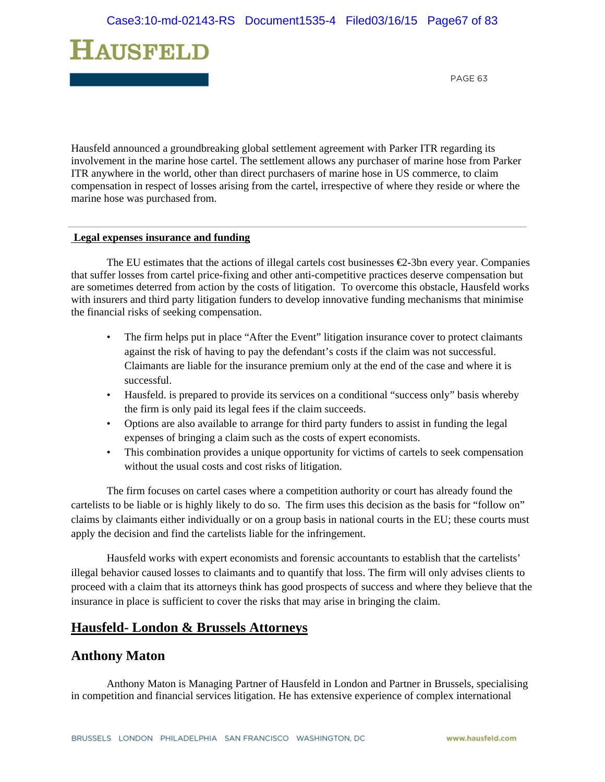

Hausfeld announced a groundbreaking global settlement agreement with Parker ITR regarding its involvement in the marine hose cartel. The settlement allows any purchaser of marine hose from Parker ITR anywhere in the world, other than direct purchasers of marine hose in US commerce, to claim compensation in respect of losses arising from the cartel, irrespective of where they reside or where the marine hose was purchased from.

#### **Legal expenses insurance and funding**

The EU estimates that the actions of illegal cartels cost businesses  $\epsilon$ 2-3bn every year. Companies that suffer losses from cartel price-fixing and other anti-competitive practices deserve compensation but are sometimes deterred from action by the costs of litigation. To overcome this obstacle, Hausfeld works with insurers and third party litigation funders to develop innovative funding mechanisms that minimise the financial risks of seeking compensation.

- The firm helps put in place "After the Event" litigation insurance cover to protect claimants against the risk of having to pay the defendant's costs if the claim was not successful. Claimants are liable for the insurance premium only at the end of the case and where it is successful.
- Hausfeld. is prepared to provide its services on a conditional "success only" basis whereby the firm is only paid its legal fees if the claim succeeds.
- Options are also available to arrange for third party funders to assist in funding the legal expenses of bringing a claim such as the costs of expert economists.
- This combination provides a unique opportunity for victims of cartels to seek compensation without the usual costs and cost risks of litigation.

The firm focuses on cartel cases where a competition authority or court has already found the cartelists to be liable or is highly likely to do so. The firm uses this decision as the basis for "follow on" claims by claimants either individually or on a group basis in national courts in the EU; these courts must apply the decision and find the cartelists liable for the infringement.

Hausfeld works with expert economists and forensic accountants to establish that the cartelists' illegal behavior caused losses to claimants and to quantify that loss. The firm will only advises clients to proceed with a claim that its attorneys think has good prospects of success and where they believe that the insurance in place is sufficient to cover the risks that may arise in bringing the claim.

# **Hausfeld- London & Brussels Attorneys**

### **Anthony Maton**

Anthony Maton is Managing Partner of Hausfeld in London and Partner in Brussels, specialising in competition and financial services litigation. He has extensive experience of complex international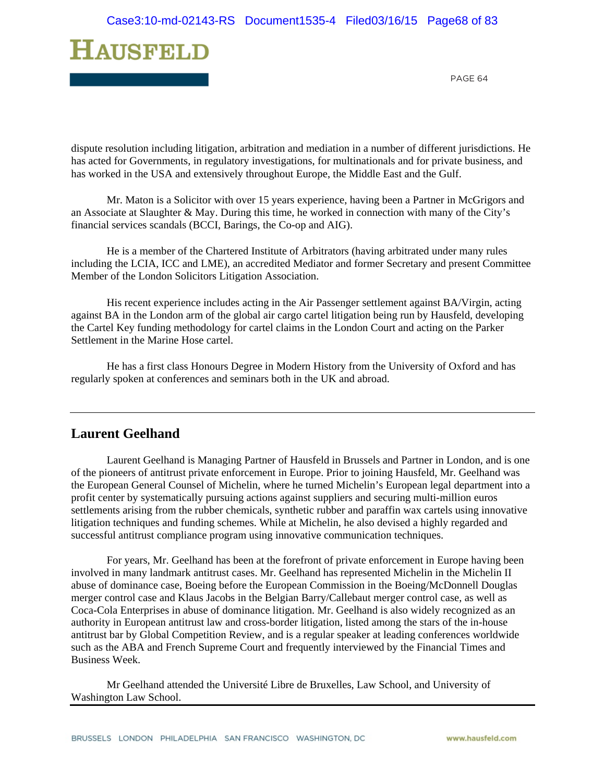

dispute resolution including litigation, arbitration and mediation in a number of different jurisdictions. He has acted for Governments, in regulatory investigations, for multinationals and for private business, and has worked in the USA and extensively throughout Europe, the Middle East and the Gulf.

Mr. Maton is a Solicitor with over 15 years experience, having been a Partner in McGrigors and an Associate at Slaughter & May. During this time, he worked in connection with many of the City's financial services scandals (BCCI, Barings, the Co-op and AIG).

He is a member of the Chartered Institute of Arbitrators (having arbitrated under many rules including the LCIA, ICC and LME), an accredited Mediator and former Secretary and present Committee Member of the London Solicitors Litigation Association.

His recent experience includes acting in the Air Passenger settlement against BA/Virgin, acting against BA in the London arm of the global air cargo cartel litigation being run by Hausfeld, developing the Cartel Key funding methodology for cartel claims in the London Court and acting on the Parker Settlement in the Marine Hose cartel.

He has a first class Honours Degree in Modern History from the University of Oxford and has regularly spoken at conferences and seminars both in the UK and abroad.

# **Laurent Geelhand**

Laurent Geelhand is Managing Partner of Hausfeld in Brussels and Partner in London, and is one of the pioneers of antitrust private enforcement in Europe. Prior to joining Hausfeld, Mr. Geelhand was the European General Counsel of Michelin, where he turned Michelin's European legal department into a profit center by systematically pursuing actions against suppliers and securing multi-million euros settlements arising from the rubber chemicals, synthetic rubber and paraffin wax cartels using innovative litigation techniques and funding schemes. While at Michelin, he also devised a highly regarded and successful antitrust compliance program using innovative communication techniques.

For years, Mr. Geelhand has been at the forefront of private enforcement in Europe having been involved in many landmark antitrust cases. Mr. Geelhand has represented Michelin in the Michelin II abuse of dominance case, Boeing before the European Commission in the Boeing/McDonnell Douglas merger control case and Klaus Jacobs in the Belgian Barry/Callebaut merger control case, as well as Coca-Cola Enterprises in abuse of dominance litigation. Mr. Geelhand is also widely recognized as an authority in European antitrust law and cross-border litigation, listed among the stars of the in-house antitrust bar by Global Competition Review, and is a regular speaker at leading conferences worldwide such as the ABA and French Supreme Court and frequently interviewed by the Financial Times and Business Week.

Mr Geelhand attended the Université Libre de Bruxelles, Law School, and University of Washington Law School.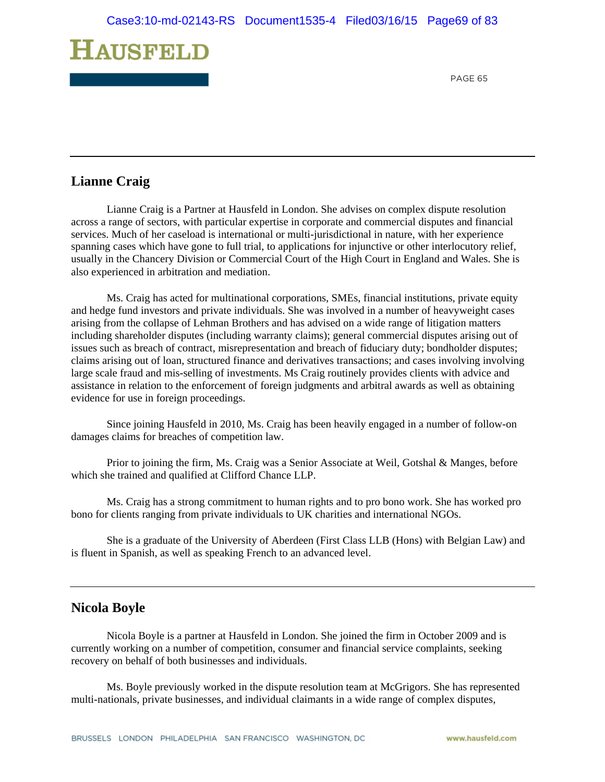

# **Lianne Craig**

Lianne Craig is a Partner at Hausfeld in London. She advises on complex dispute resolution across a range of sectors, with particular expertise in corporate and commercial disputes and financial services. Much of her caseload is international or multi-jurisdictional in nature, with her experience spanning cases which have gone to full trial, to applications for injunctive or other interlocutory relief, usually in the Chancery Division or Commercial Court of the High Court in England and Wales. She is also experienced in arbitration and mediation.

Ms. Craig has acted for multinational corporations, SMEs, financial institutions, private equity and hedge fund investors and private individuals. She was involved in a number of heavyweight cases arising from the collapse of Lehman Brothers and has advised on a wide range of litigation matters including shareholder disputes (including warranty claims); general commercial disputes arising out of issues such as breach of contract, misrepresentation and breach of fiduciary duty; bondholder disputes; claims arising out of loan, structured finance and derivatives transactions; and cases involving involving large scale fraud and mis-selling of investments. Ms Craig routinely provides clients with advice and assistance in relation to the enforcement of foreign judgments and arbitral awards as well as obtaining evidence for use in foreign proceedings.

Since joining Hausfeld in 2010, Ms. Craig has been heavily engaged in a number of follow-on damages claims for breaches of competition law.

Prior to joining the firm, Ms. Craig was a Senior Associate at Weil, Gotshal & Manges, before which she trained and qualified at Clifford Chance LLP.

Ms. Craig has a strong commitment to human rights and to pro bono work. She has worked pro bono for clients ranging from private individuals to UK charities and international NGOs.

She is a graduate of the University of Aberdeen (First Class LLB (Hons) with Belgian Law) and is fluent in Spanish, as well as speaking French to an advanced level.

## **Nicola Boyle**

Nicola Boyle is a partner at Hausfeld in London. She joined the firm in October 2009 and is currently working on a number of competition, consumer and financial service complaints, seeking recovery on behalf of both businesses and individuals.

Ms. Boyle previously worked in the dispute resolution team at McGrigors. She has represented multi-nationals, private businesses, and individual claimants in a wide range of complex disputes,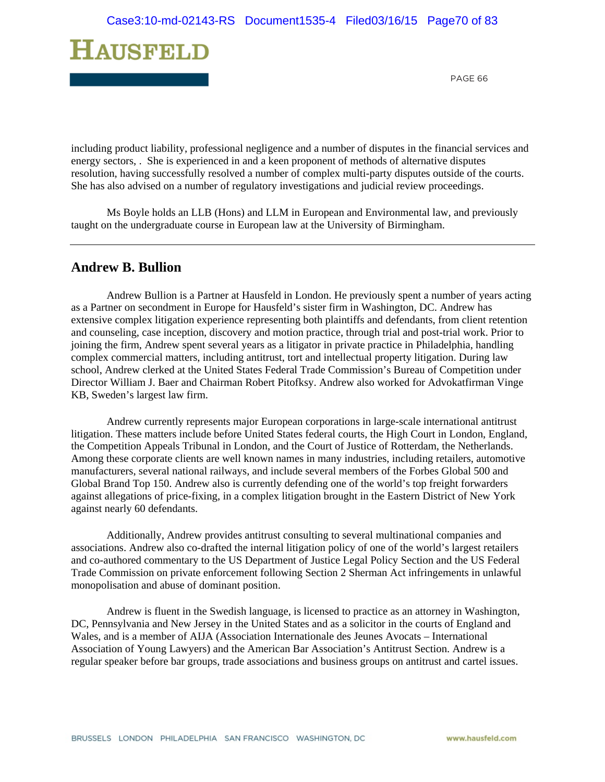

including product liability, professional negligence and a number of disputes in the financial services and energy sectors, . She is experienced in and a keen proponent of methods of alternative disputes resolution, having successfully resolved a number of complex multi-party disputes outside of the courts. She has also advised on a number of regulatory investigations and judicial review proceedings.

Ms Boyle holds an LLB (Hons) and LLM in European and Environmental law, and previously taught on the undergraduate course in European law at the University of Birmingham.

## **Andrew B. Bullion**

Andrew Bullion is a Partner at Hausfeld in London. He previously spent a number of years acting as a Partner on secondment in Europe for Hausfeld's sister firm in Washington, DC. Andrew has extensive complex litigation experience representing both plaintiffs and defendants, from client retention and counseling, case inception, discovery and motion practice, through trial and post-trial work. Prior to joining the firm, Andrew spent several years as a litigator in private practice in Philadelphia, handling complex commercial matters, including antitrust, tort and intellectual property litigation. During law school, Andrew clerked at the United States Federal Trade Commission's Bureau of Competition under Director William J. Baer and Chairman Robert Pitofksy. Andrew also worked for Advokatfirman Vinge KB, Sweden's largest law firm.

Andrew currently represents major European corporations in large-scale international antitrust litigation. These matters include before United States federal courts, the High Court in London, England, the Competition Appeals Tribunal in London, and the Court of Justice of Rotterdam, the Netherlands. Among these corporate clients are well known names in many industries, including retailers, automotive manufacturers, several national railways, and include several members of the Forbes Global 500 and Global Brand Top 150. Andrew also is currently defending one of the world's top freight forwarders against allegations of price-fixing, in a complex litigation brought in the Eastern District of New York against nearly 60 defendants.

Additionally, Andrew provides antitrust consulting to several multinational companies and associations. Andrew also co-drafted the internal litigation policy of one of the world's largest retailers and co-authored commentary to the US Department of Justice Legal Policy Section and the US Federal Trade Commission on private enforcement following Section 2 Sherman Act infringements in unlawful monopolisation and abuse of dominant position.

Andrew is fluent in the Swedish language, is licensed to practice as an attorney in Washington, DC, Pennsylvania and New Jersey in the United States and as a solicitor in the courts of England and Wales, and is a member of AIJA (Association Internationale des Jeunes Avocats – International Association of Young Lawyers) and the American Bar Association's Antitrust Section. Andrew is a regular speaker before bar groups, trade associations and business groups on antitrust and cartel issues.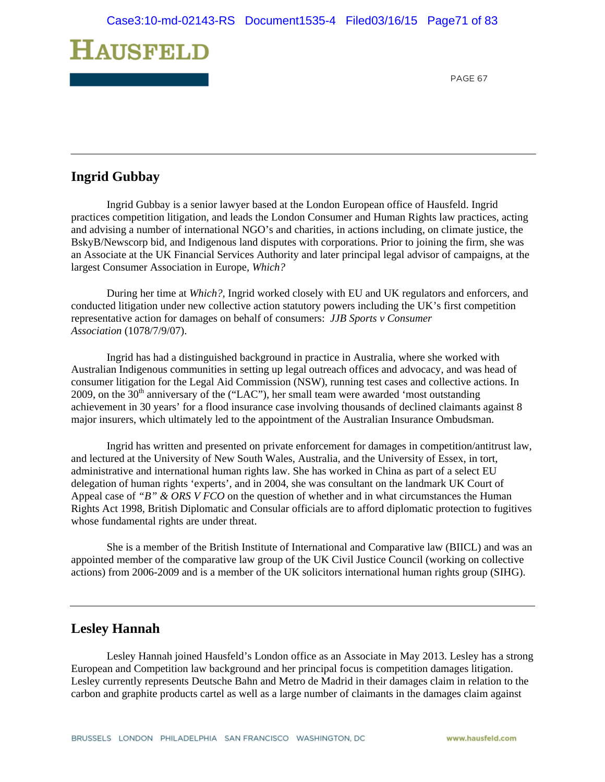

## **Ingrid Gubbay**

Ingrid Gubbay is a senior lawyer based at the London European office of Hausfeld. Ingrid practices competition litigation, and leads the London Consumer and Human Rights law practices, acting and advising a number of international NGO's and charities, in actions including, on climate justice, the BskyB/Newscorp bid, and Indigenous land disputes with corporations. Prior to joining the firm, she was an Associate at the UK Financial Services Authority and later principal legal advisor of campaigns, at the largest Consumer Association in Europe, *Which?*

During her time at *Which?,* Ingrid worked closely with EU and UK regulators and enforcers, and conducted litigation under new collective action statutory powers including the UK's first competition representative action for damages on behalf of consumers: *JJB Sports v Consumer Association* (1078/7/9/07).

Ingrid has had a distinguished background in practice in Australia, where she worked with Australian Indigenous communities in setting up legal outreach offices and advocacy, and was head of consumer litigation for the Legal Aid Commission (NSW), running test cases and collective actions. In 2009, on the  $30<sup>th</sup>$  anniversary of the ("LAC"), her small team were awarded 'most outstanding achievement in 30 years' for a flood insurance case involving thousands of declined claimants against 8 major insurers, which ultimately led to the appointment of the Australian Insurance Ombudsman.

Ingrid has written and presented on private enforcement for damages in competition/antitrust law, and lectured at the University of New South Wales, Australia, and the University of Essex, in tort, administrative and international human rights law. She has worked in China as part of a select EU delegation of human rights 'experts', and in 2004, she was consultant on the landmark UK Court of Appeal case of *"B" & ORS V FCO* on the question of whether and in what circumstances the Human Rights Act 1998, British Diplomatic and Consular officials are to afford diplomatic protection to fugitives whose fundamental rights are under threat.

She is a member of the British Institute of International and Comparative law (BIICL) and was an appointed member of the comparative law group of the UK Civil Justice Council (working on collective actions) from 2006-2009 and is a member of the UK solicitors international human rights group (SIHG).

# **Lesley Hannah**

Lesley Hannah joined Hausfeld's London office as an Associate in May 2013. Lesley has a strong European and Competition law background and her principal focus is competition damages litigation. Lesley currently represents Deutsche Bahn and Metro de Madrid in their damages claim in relation to the carbon and graphite products cartel as well as a large number of claimants in the damages claim against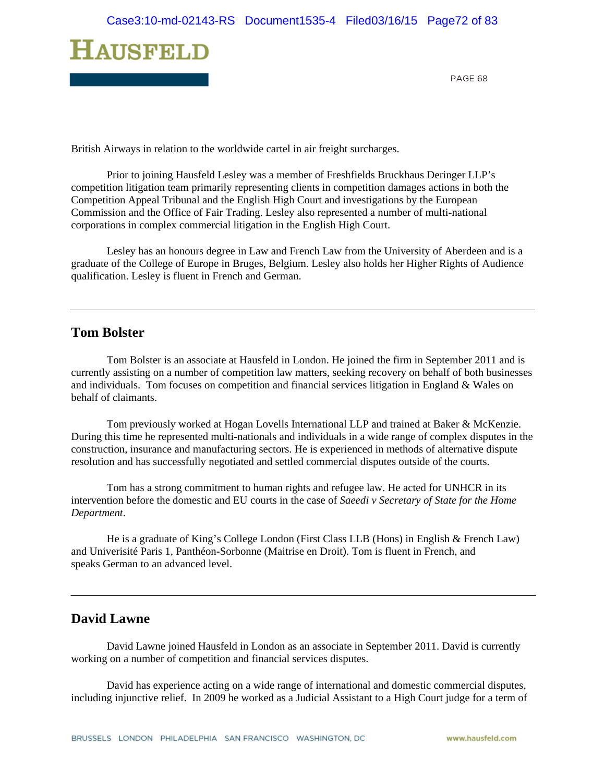

British Airways in relation to the worldwide cartel in air freight surcharges.

Prior to joining Hausfeld Lesley was a member of Freshfields Bruckhaus Deringer LLP's competition litigation team primarily representing clients in competition damages actions in both the Competition Appeal Tribunal and the English High Court and investigations by the European Commission and the Office of Fair Trading. Lesley also represented a number of multi-national corporations in complex commercial litigation in the English High Court.

Lesley has an honours degree in Law and French Law from the University of Aberdeen and is a graduate of the College of Europe in Bruges, Belgium. Lesley also holds her Higher Rights of Audience qualification. Lesley is fluent in French and German.

## **Tom Bolster**

Tom Bolster is an associate at Hausfeld in London. He joined the firm in September 2011 and is currently assisting on a number of competition law matters, seeking recovery on behalf of both businesses and individuals. Tom focuses on competition and financial services litigation in England & Wales on behalf of claimants.

Tom previously worked at Hogan Lovells International LLP and trained at Baker & McKenzie. During this time he represented multi-nationals and individuals in a wide range of complex disputes in the construction, insurance and manufacturing sectors. He is experienced in methods of alternative dispute resolution and has successfully negotiated and settled commercial disputes outside of the courts.

Tom has a strong commitment to human rights and refugee law. He acted for UNHCR in its intervention before the domestic and EU courts in the case of *Saeedi v Secretary of State for the Home Department*.

He is a graduate of King's College London (First Class LLB (Hons) in English & French Law) and Univerisité Paris 1, Panthéon-Sorbonne (Maitrise en Droit). Tom is fluent in French, and speaks German to an advanced level.

# **David Lawne**

David Lawne joined Hausfeld in London as an associate in September 2011. David is currently working on a number of competition and financial services disputes.

David has experience acting on a wide range of international and domestic commercial disputes, including injunctive relief. In 2009 he worked as a Judicial Assistant to a High Court judge for a term of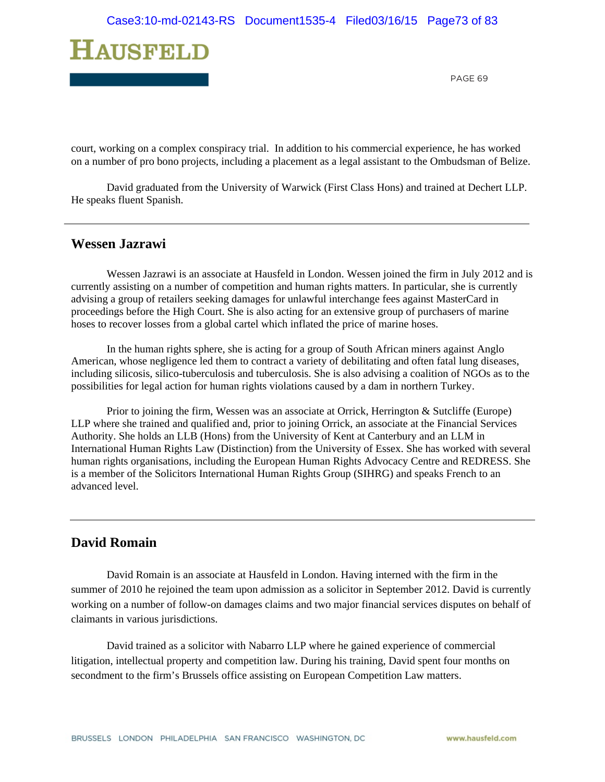

court, working on a complex conspiracy trial. In addition to his commercial experience, he has worked on a number of pro bono projects, including a placement as a legal assistant to the Ombudsman of Belize.

David graduated from the University of Warwick (First Class Hons) and trained at Dechert LLP. He speaks fluent Spanish.

### **Wessen Jazrawi**

Wessen Jazrawi is an associate at Hausfeld in London. Wessen joined the firm in July 2012 and is currently assisting on a number of competition and human rights matters. In particular, she is currently advising a group of retailers seeking damages for unlawful interchange fees against MasterCard in proceedings before the High Court. She is also acting for an extensive group of purchasers of marine hoses to recover losses from a global cartel which inflated the price of marine hoses.

In the human rights sphere, she is acting for a group of South African miners against Anglo American, whose negligence led them to contract a variety of debilitating and often fatal lung diseases, including silicosis, silico-tuberculosis and tuberculosis. She is also advising a coalition of NGOs as to the possibilities for legal action for human rights violations caused by a dam in northern Turkey.

Prior to joining the firm, Wessen was an associate at Orrick, Herrington & Sutcliffe (Europe) LLP where she trained and qualified and, prior to joining Orrick, an associate at the Financial Services Authority. She holds an LLB (Hons) from the University of Kent at Canterbury and an LLM in International Human Rights Law (Distinction) from the University of Essex. She has worked with several human rights organisations, including the European Human Rights Advocacy Centre and REDRESS. She is a member of the Solicitors International Human Rights Group (SIHRG) and speaks French to an advanced level.

# **David Romain**

 David Romain is an associate at Hausfeld in London. Having interned with the firm in the summer of 2010 he rejoined the team upon admission as a solicitor in September 2012. David is currently working on a number of follow-on damages claims and two major financial services disputes on behalf of claimants in various jurisdictions.

 David trained as a solicitor with Nabarro LLP where he gained experience of commercial litigation, intellectual property and competition law. During his training, David spent four months on secondment to the firm's Brussels office assisting on European Competition Law matters.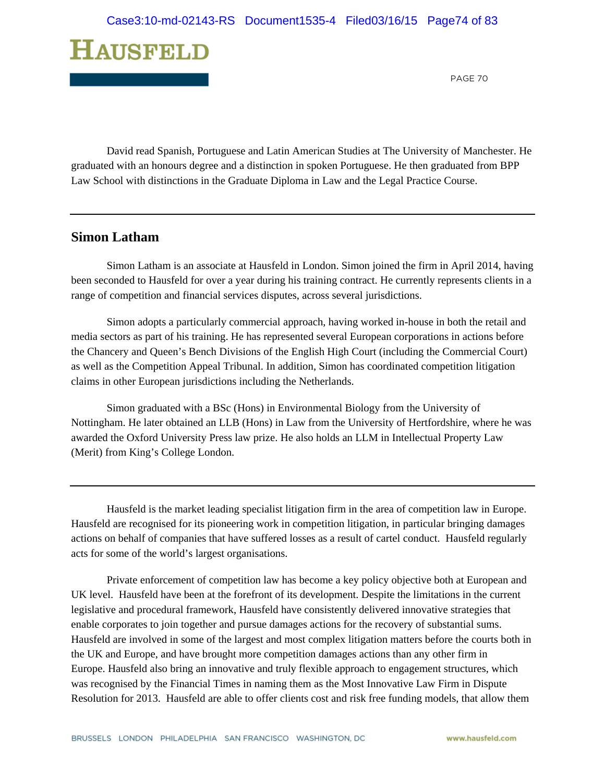

 David read Spanish, Portuguese and Latin American Studies at The University of Manchester. He graduated with an honours degree and a distinction in spoken Portuguese. He then graduated from BPP Law School with distinctions in the Graduate Diploma in Law and the Legal Practice Course.

# **Simon Latham**

 Simon Latham is an associate at Hausfeld in London. Simon joined the firm in April 2014, having been seconded to Hausfeld for over a year during his training contract. He currently represents clients in a range of competition and financial services disputes, across several jurisdictions.

Simon adopts a particularly commercial approach, having worked in-house in both the retail and media sectors as part of his training. He has represented several European corporations in actions before the Chancery and Queen's Bench Divisions of the English High Court (including the Commercial Court) as well as the Competition Appeal Tribunal. In addition, Simon has coordinated competition litigation claims in other European jurisdictions including the Netherlands.

Simon graduated with a BSc (Hons) in Environmental Biology from the University of Nottingham. He later obtained an LLB (Hons) in Law from the University of Hertfordshire, where he was awarded the Oxford University Press law prize. He also holds an LLM in Intellectual Property Law (Merit) from King's College London.

Hausfeld is the market leading specialist litigation firm in the area of competition law in Europe. Hausfeld are recognised for its pioneering work in competition litigation, in particular bringing damages actions on behalf of companies that have suffered losses as a result of cartel conduct. Hausfeld regularly acts for some of the world's largest organisations.

Private enforcement of competition law has become a key policy objective both at European and UK level. Hausfeld have been at the forefront of its development. Despite the limitations in the current legislative and procedural framework, Hausfeld have consistently delivered innovative strategies that enable corporates to join together and pursue damages actions for the recovery of substantial sums. Hausfeld are involved in some of the largest and most complex litigation matters before the courts both in the UK and Europe, and have brought more competition damages actions than any other firm in Europe. Hausfeld also bring an innovative and truly flexible approach to engagement structures, which was recognised by the Financial Times in naming them as the Most Innovative Law Firm in Dispute Resolution for 2013. Hausfeld are able to offer clients cost and risk free funding models, that allow them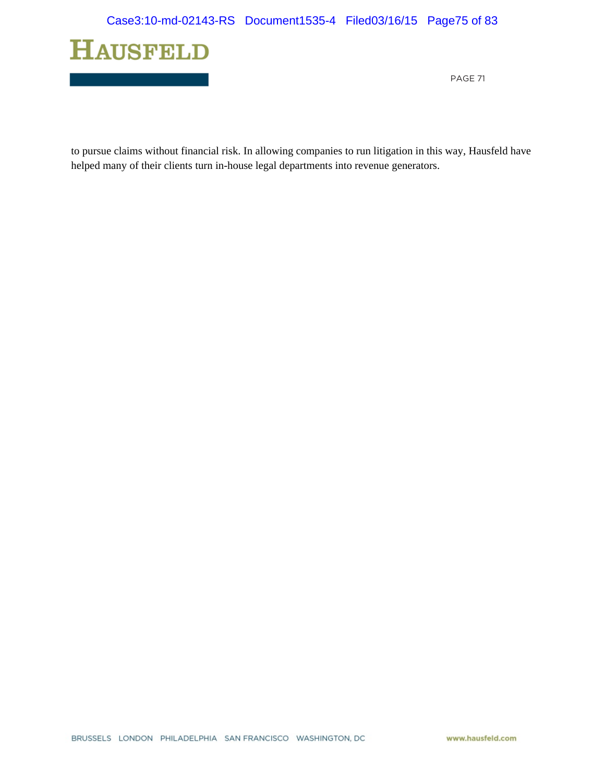

to pursue claims without financial risk. In allowing companies to run litigation in this way, Hausfeld have helped many of their clients turn in-house legal departments into revenue generators.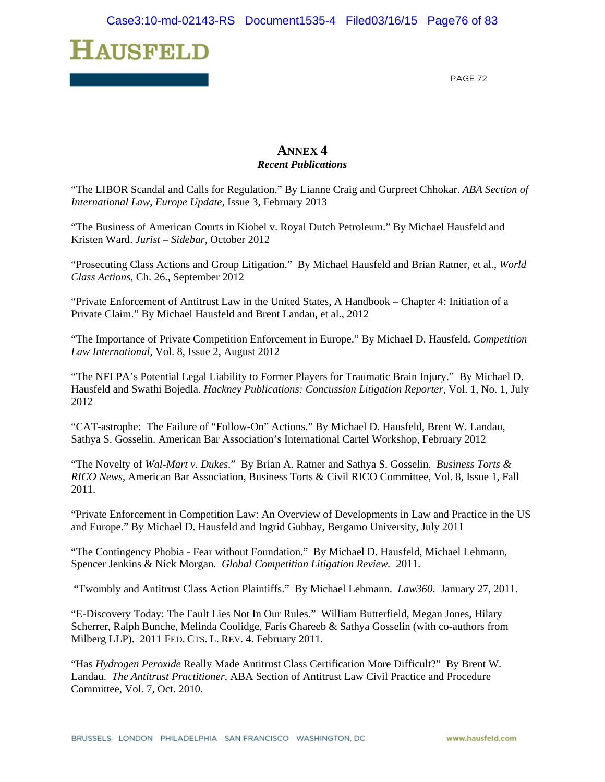

# **ANNEX 4**  *Recent Publications*

"The LIBOR Scandal and Calls for Regulation." By Lianne Craig and Gurpreet Chhokar. *ABA Section of International Law, Europe Update,* Issue 3, February 2013

"The Business of American Courts in Kiobel v. Royal Dutch Petroleum." By Michael Hausfeld and Kristen Ward. *Jurist – Sidebar,* October 2012

"Prosecuting Class Actions and Group Litigation." By Michael Hausfeld and Brian Ratner, et al., *World Class Actions*, Ch. 26., September 2012

"Private Enforcement of Antitrust Law in the United States, A Handbook – Chapter 4: Initiation of a Private Claim." By Michael Hausfeld and Brent Landau, et al., 2012

"The Importance of Private Competition Enforcement in Europe." By Michael D. Hausfeld. *Competition Law International*, Vol. 8, Issue 2, August 2012

"The NFLPA's Potential Legal Liability to Former Players for Traumatic Brain Injury." By Michael D. Hausfeld and Swathi Bojedla. *Hackney Publications: Concussion Litigation Reporter,* Vol. 1, No. 1, July 2012

"CAT-astrophe: The Failure of "Follow-On" Actions." By Michael D. Hausfeld, Brent W. Landau, Sathya S. Gosselin. American Bar Association's International Cartel Workshop, February 2012

"The Novelty of *Wal-Mart v. Dukes*." By Brian A. Ratner and Sathya S. Gosselin. *Business Torts & RICO News*, American Bar Association, Business Torts & Civil RICO Committee, Vol. 8, Issue 1, Fall 2011.

"Private Enforcement in Competition Law: An Overview of Developments in Law and Practice in the US and Europe." By Michael D. Hausfeld and Ingrid Gubbay, Bergamo University, July 2011

"The Contingency Phobia - Fear without Foundation." By Michael D. Hausfeld, Michael Lehmann, Spencer Jenkins & Nick Morgan. *Global Competition Litigation Review.* 2011.

"Twombly and Antitrust Class Action Plaintiffs." By Michael Lehmann. *Law360*. January 27, 2011.

"E-Discovery Today: The Fault Lies Not In Our Rules." William Butterfield, Megan Jones, Hilary Scherrer, Ralph Bunche, Melinda Coolidge, Faris Ghareeb & Sathya Gosselin (with co-authors from Milberg LLP). 2011 FED. CTS. L. REV. 4. February 2011.

"Has *Hydrogen Peroxide* Really Made Antitrust Class Certification More Difficult?" By Brent W. Landau. *The Antitrust Practitioner*, ABA Section of Antitrust Law Civil Practice and Procedure Committee, Vol. 7, Oct. 2010.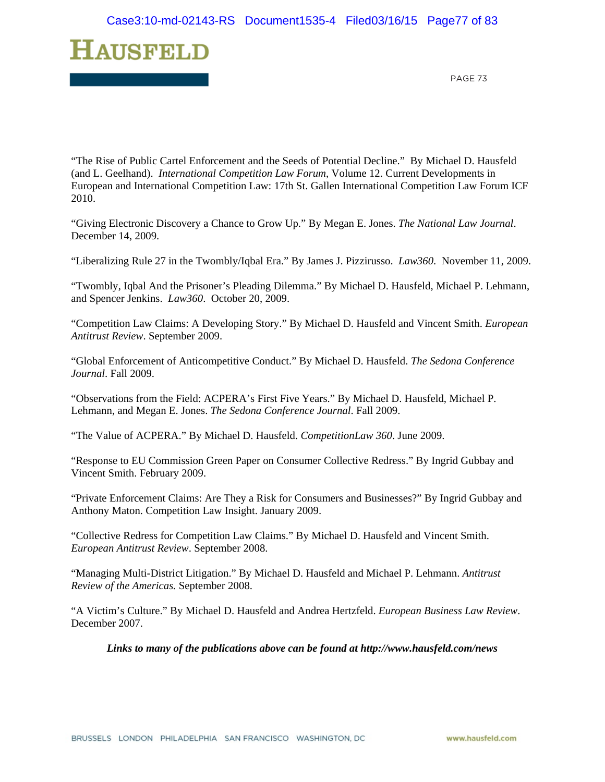

"The Rise of Public Cartel Enforcement and the Seeds of Potential Decline." By Michael D. Hausfeld (and L. Geelhand). *International Competition Law Forum*, Volume 12. Current Developments in European and International Competition Law: 17th St. Gallen International Competition Law Forum ICF 2010.

"Giving Electronic Discovery a Chance to Grow Up." By Megan E. Jones. *The National Law Journal*. December 14, 2009.

"Liberalizing Rule 27 in the Twombly/Iqbal Era." By James J. Pizzirusso. *Law360*. November 11, 2009.

"Twombly, Iqbal And the Prisoner's Pleading Dilemma." By Michael D. Hausfeld, Michael P. Lehmann, and Spencer Jenkins. *Law360*. October 20, 2009.

"Competition Law Claims: A Developing Story." By Michael D. Hausfeld and Vincent Smith. *European Antitrust Review*. September 2009.

"Global Enforcement of Anticompetitive Conduct." By Michael D. Hausfeld. *The Sedona Conference Journal*. Fall 2009.

"Observations from the Field: ACPERA's First Five Years." By Michael D. Hausfeld, Michael P. Lehmann, and Megan E. Jones. *The Sedona Conference Journal*. Fall 2009.

"The Value of ACPERA." By Michael D. Hausfeld. *CompetitionLaw 360*. June 2009.

"Response to EU Commission Green Paper on Consumer Collective Redress." By Ingrid Gubbay and Vincent Smith. February 2009.

"Private Enforcement Claims: Are They a Risk for Consumers and Businesses?" By Ingrid Gubbay and Anthony Maton. Competition Law Insight. January 2009.

"Collective Redress for Competition Law Claims." By Michael D. Hausfeld and Vincent Smith. *European Antitrust Review*. September 2008.

"Managing Multi-District Litigation." By Michael D. Hausfeld and Michael P. Lehmann. *Antitrust Review of the Americas.* September 2008.

"A Victim's Culture." By Michael D. Hausfeld and Andrea Hertzfeld. *European Business Law Review*. December 2007.

*Links to many of the publications above can be found at http://www.hausfeld.com/news*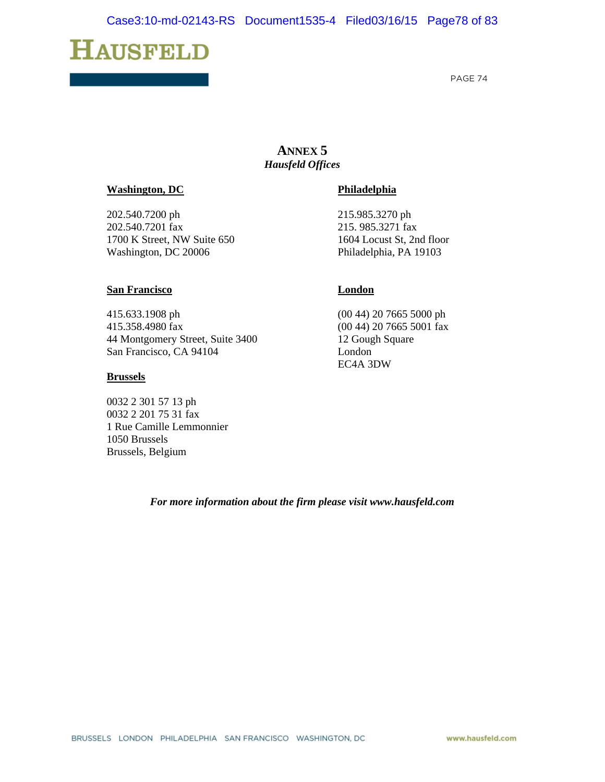# **HAUSFELD**

PAGE 74

# **ANNEX 5**  *Hausfeld Offices*

#### **Washington, DC**

202.540.7200 ph 202.540.7201 fax 1700 K Street, NW Suite 650 Washington, DC 20006

#### **San Francisco**

415.633.1908 ph 415.358.4980 fax 44 Montgomery Street, Suite 3400 San Francisco, CA 94104

#### **Brussels**

0032 2 301 57 13 ph 0032 2 201 75 31 fax 1 Rue Camille Lemmonnier 1050 Brussels Brussels, Belgium

#### **Philadelphia**

215.985.3270 ph 215. 985.3271 fax 1604 Locust St, 2nd floor Philadelphia, PA 19103

#### **London**

(00 44) 20 7665 5000 ph (00 44) 20 7665 5001 fax 12 Gough Square London EC4A 3DW

#### *For more information about the firm please visit www.hausfeld.com*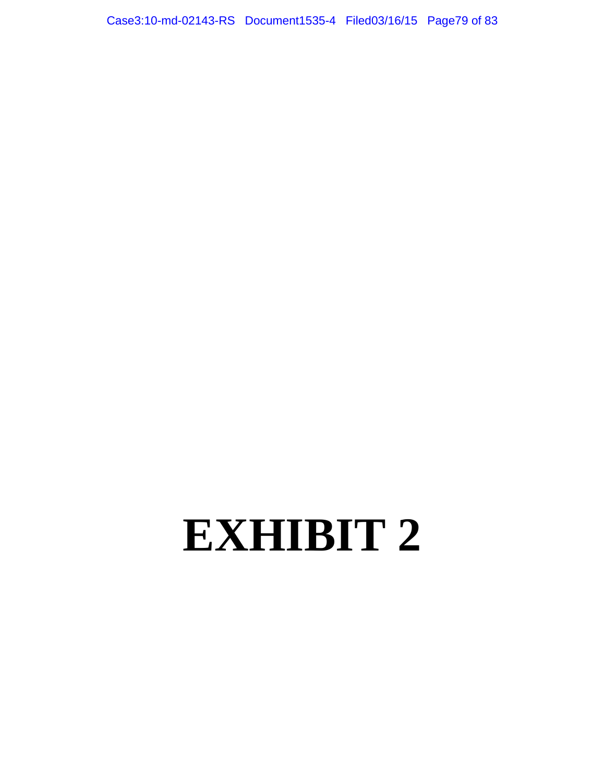Case3:10-md-02143-RS Document1535-4 Filed03/16/15 Page79 of 83

# **EXHIBIT 2**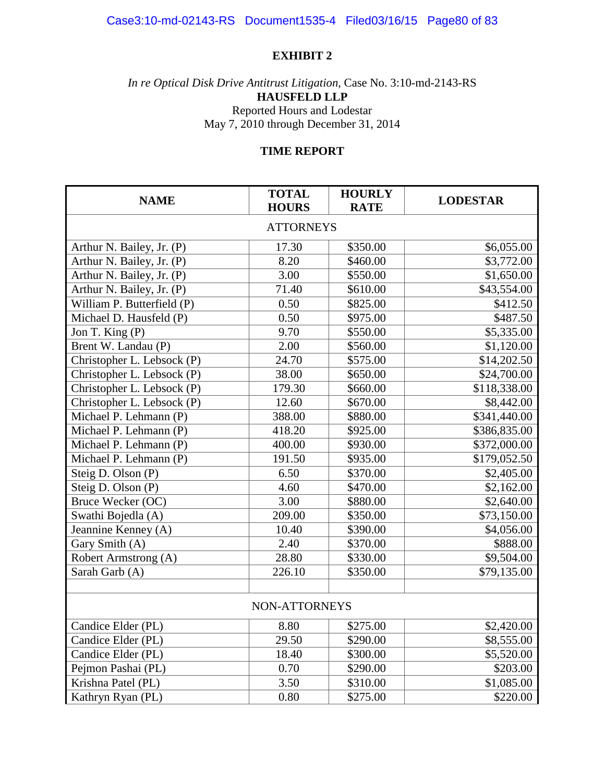# **EXHIBIT 2**

*In re Optical Disk Drive Antitrust Litigation*, Case No. 3:10-md-2143-RS **HAUSFELD LLP** Reported Hours and Lodestar May 7, 2010 through December 31, 2014

# **TIME REPORT**

| <b>NAME</b>                | <b>TOTAL</b><br><b>HOURS</b> | <b>HOURLY</b><br><b>RATE</b> | <b>LODESTAR</b> |  |  |
|----------------------------|------------------------------|------------------------------|-----------------|--|--|
| <b>ATTORNEYS</b>           |                              |                              |                 |  |  |
| Arthur N. Bailey, Jr. (P)  | 17.30                        | \$350.00                     | \$6,055.00      |  |  |
| Arthur N. Bailey, Jr. (P)  | 8.20                         | \$460.00                     | \$3,772.00      |  |  |
| Arthur N. Bailey, Jr. (P)  | 3.00                         | \$550.00                     | \$1,650.00      |  |  |
| Arthur N. Bailey, Jr. (P)  | 71.40                        | \$610.00                     | \$43,554.00     |  |  |
| William P. Butterfield (P) | 0.50                         | \$825.00                     | \$412.50        |  |  |
| Michael D. Hausfeld (P)    | 0.50                         | \$975.00                     | \$487.50        |  |  |
| Jon T. King (P)            | 9.70                         | \$550.00                     | \$5,335.00      |  |  |
| Brent W. Landau (P)        | 2.00                         | \$560.00                     | \$1,120.00      |  |  |
| Christopher L. Lebsock (P) | 24.70                        | \$575.00                     | \$14,202.50     |  |  |
| Christopher L. Lebsock (P) | 38.00                        | \$650.00                     | \$24,700.00     |  |  |
| Christopher L. Lebsock (P) | 179.30                       | \$660.00                     | \$118,338.00    |  |  |
| Christopher L. Lebsock (P) | 12.60                        | \$670.00                     | \$8,442.00      |  |  |
| Michael P. Lehmann (P)     | 388.00                       | \$880.00                     | \$341,440.00    |  |  |
| Michael P. Lehmann (P)     | 418.20                       | \$925.00                     | \$386,835.00    |  |  |
| Michael P. Lehmann (P)     | 400.00                       | \$930.00                     | \$372,000.00    |  |  |
| Michael P. Lehmann (P)     | 191.50                       | \$935.00                     | \$179,052.50    |  |  |
| Steig D. Olson (P)         | 6.50                         | \$370.00                     | \$2,405.00      |  |  |
| Steig D. Olson (P)         | 4.60                         | \$470.00                     | \$2,162.00      |  |  |
| Bruce Wecker (OC)          | 3.00                         | \$880.00                     | \$2,640.00      |  |  |
| Swathi Bojedla (A)         | 209.00                       | \$350.00                     | \$73,150.00     |  |  |
| Jeannine Kenney (A)        | 10.40                        | \$390.00                     | \$4,056.00      |  |  |
| Gary Smith (A)             | 2.40                         | \$370.00                     | \$888.00        |  |  |
| Robert Armstrong (A)       | 28.80                        | \$330.00                     | \$9,504.00      |  |  |
| Sarah Garb (A)             | 226.10                       | \$350.00                     | \$79,135.00     |  |  |
|                            |                              |                              |                 |  |  |
| NON-ATTORNEYS              |                              |                              |                 |  |  |
| Candice Elder (PL)         | 8.80                         | \$275.00                     | \$2,420.00      |  |  |
| Candice Elder (PL)         | 29.50                        | \$290.00                     | \$8,555.00      |  |  |
| Candice Elder (PL)         | 18.40                        | \$300.00                     | \$5,520.00      |  |  |
| Pejmon Pashai (PL)         | 0.70                         | \$290.00                     | \$203.00        |  |  |
| Krishna Patel (PL)         | 3.50                         | \$310.00                     | \$1,085.00      |  |  |
| Kathryn Ryan (PL)          | 0.80                         | \$275.00                     | \$220.00        |  |  |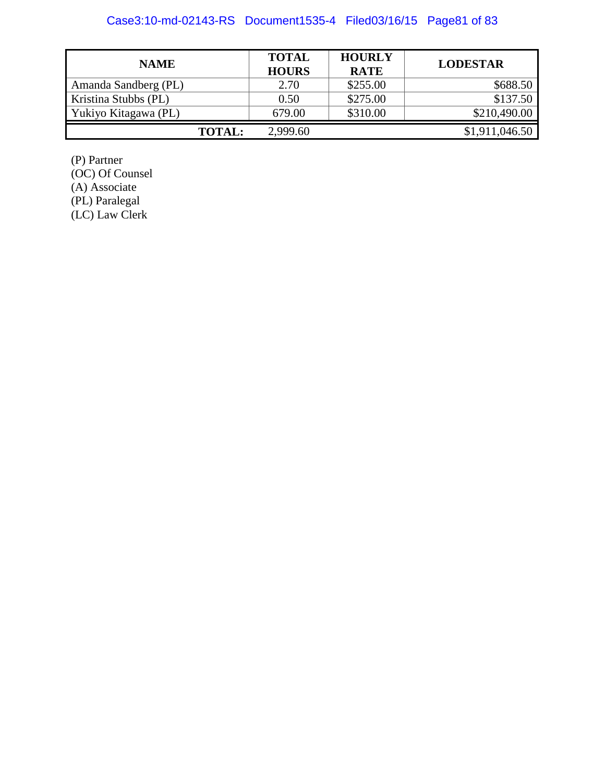# Case3:10-md-02143-RS Document1535-4 Filed03/16/15 Page81 of 83

| <b>NAME</b>          | <b>TOTAL</b><br><b>HOURS</b> | <b>HOURLY</b><br><b>RATE</b> | <b>LODESTAR</b> |
|----------------------|------------------------------|------------------------------|-----------------|
| Amanda Sandberg (PL) | 2.70                         | \$255.00                     | \$688.50        |
| Kristina Stubbs (PL) | 0.50                         | \$275.00                     | \$137.50        |
| Yukiyo Kitagawa (PL) | 679.00                       | \$310.00                     | \$210,490.00    |
| <b>TOTAL:</b>        | 2,999.60                     |                              | \$1,911,046.50  |

(P) Partner (OC) Of Counsel (A) Associate (PL) Paralegal (LC) Law Clerk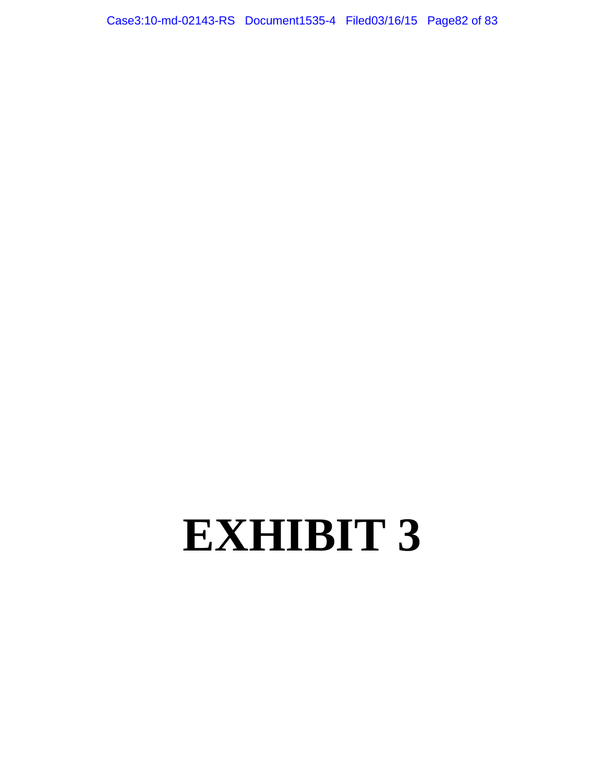Case3:10-md-02143-RS Document1535-4 Filed03/16/15 Page82 of 83

# **EXHIBIT 3**